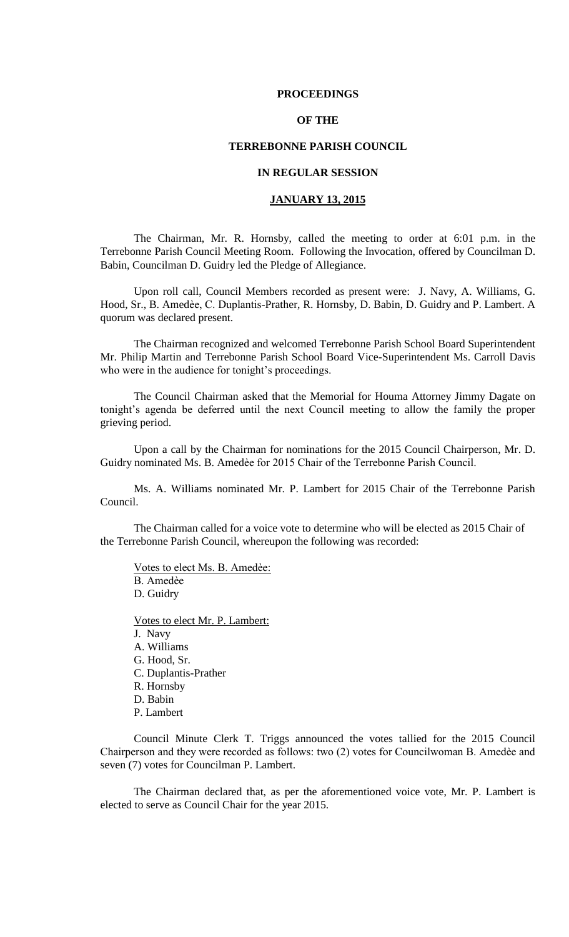### **PROCEEDINGS**

# **OF THE**

## **TERREBONNE PARISH COUNCIL**

# **IN REGULAR SESSION**

# **JANUARY 13, 2015**

The Chairman, Mr. R. Hornsby, called the meeting to order at 6:01 p.m. in the Terrebonne Parish Council Meeting Room. Following the Invocation, offered by Councilman D. Babin, Councilman D. Guidry led the Pledge of Allegiance.

Upon roll call, Council Members recorded as present were: J. Navy, A. Williams, G. Hood, Sr., B. Amedèe, C. Duplantis-Prather, R. Hornsby, D. Babin, D. Guidry and P. Lambert. A quorum was declared present.

The Chairman recognized and welcomed Terrebonne Parish School Board Superintendent Mr. Philip Martin and Terrebonne Parish School Board Vice-Superintendent Ms. Carroll Davis who were in the audience for tonight's proceedings.

The Council Chairman asked that the Memorial for Houma Attorney Jimmy Dagate on tonight's agenda be deferred until the next Council meeting to allow the family the proper grieving period.

Upon a call by the Chairman for nominations for the 2015 Council Chairperson, Mr. D. Guidry nominated Ms. B. Amedèe for 2015 Chair of the Terrebonne Parish Council.

Ms. A. Williams nominated Mr. P. Lambert for 2015 Chair of the Terrebonne Parish Council.

The Chairman called for a voice vote to determine who will be elected as 2015 Chair of the Terrebonne Parish Council, whereupon the following was recorded:

Votes to elect Ms. B. Amedѐe: B. Amedѐe D. Guidry

Votes to elect Mr. P. Lambert: J. Navy A. Williams G. Hood, Sr. C. Duplantis-Prather R. Hornsby D. Babin P. Lambert

Council Minute Clerk T. Triggs announced the votes tallied for the 2015 Council Chairperson and they were recorded as follows: two (2) votes for Councilwoman B. Amedѐe and seven (7) votes for Councilman P. Lambert.

The Chairman declared that, as per the aforementioned voice vote, Mr. P. Lambert is elected to serve as Council Chair for the year 2015.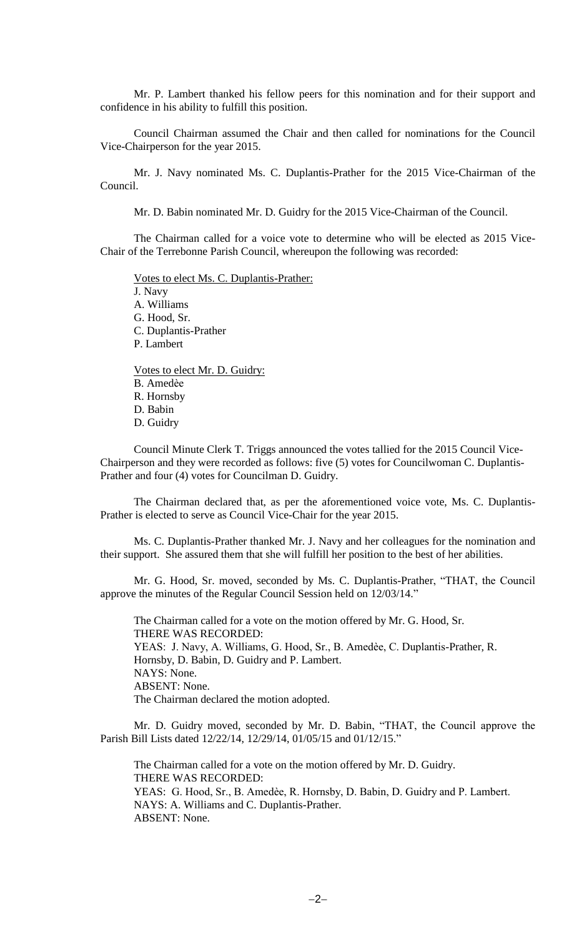Mr. P. Lambert thanked his fellow peers for this nomination and for their support and confidence in his ability to fulfill this position.

Council Chairman assumed the Chair and then called for nominations for the Council Vice-Chairperson for the year 2015.

Mr. J. Navy nominated Ms. C. Duplantis-Prather for the 2015 Vice-Chairman of the Council.

Mr. D. Babin nominated Mr. D. Guidry for the 2015 Vice-Chairman of the Council.

The Chairman called for a voice vote to determine who will be elected as 2015 Vice-Chair of the Terrebonne Parish Council, whereupon the following was recorded:

Votes to elect Ms. C. Duplantis-Prather: J. Navy A. Williams G. Hood, Sr. C. Duplantis-Prather P. Lambert Votes to elect Mr. D. Guidry: B. Amedѐe R. Hornsby D. Babin

D. Guidry

Council Minute Clerk T. Triggs announced the votes tallied for the 2015 Council Vice-Chairperson and they were recorded as follows: five (5) votes for Councilwoman C. Duplantis-Prather and four (4) votes for Councilman D. Guidry.

The Chairman declared that, as per the aforementioned voice vote, Ms. C. Duplantis-Prather is elected to serve as Council Vice-Chair for the year 2015.

Ms. C. Duplantis-Prather thanked Mr. J. Navy and her colleagues for the nomination and their support. She assured them that she will fulfill her position to the best of her abilities.

Mr. G. Hood, Sr. moved, seconded by Ms. C. Duplantis-Prather, "THAT, the Council approve the minutes of the Regular Council Session held on 12/03/14."

The Chairman called for a vote on the motion offered by Mr. G. Hood, Sr. THERE WAS RECORDED: YEAS: J. Navy, A. Williams, G. Hood, Sr., B. Amedèe, C. Duplantis-Prather, R. Hornsby, D. Babin, D. Guidry and P. Lambert. NAYS: None. ABSENT: None. The Chairman declared the motion adopted.

Mr. D. Guidry moved, seconded by Mr. D. Babin, "THAT, the Council approve the Parish Bill Lists dated 12/22/14, 12/29/14, 01/05/15 and 01/12/15."

The Chairman called for a vote on the motion offered by Mr. D. Guidry. THERE WAS RECORDED: YEAS: G. Hood, Sr., B. Amedèe, R. Hornsby, D. Babin, D. Guidry and P. Lambert. NAYS: A. Williams and C. Duplantis-Prather. ABSENT: None.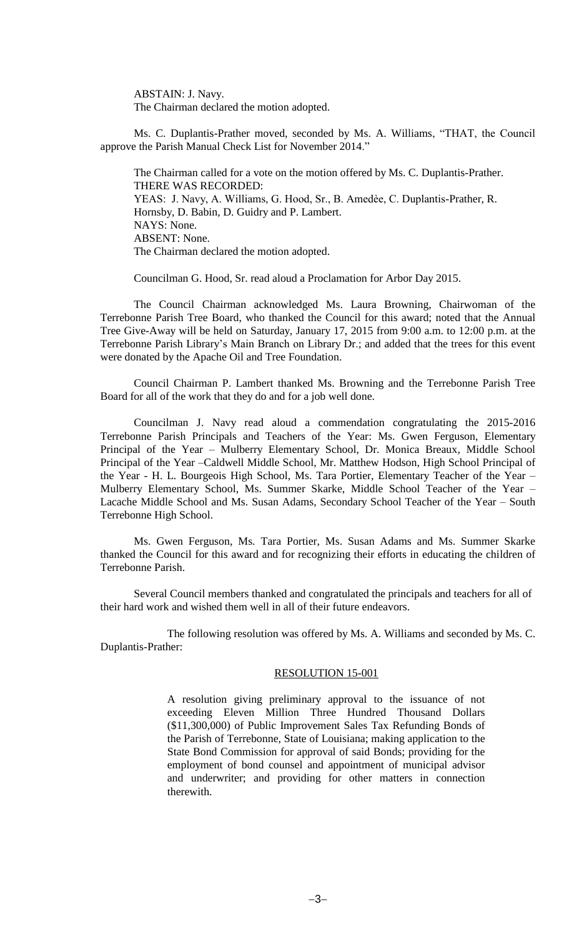ABSTAIN: J. Navy. The Chairman declared the motion adopted.

Ms. C. Duplantis-Prather moved, seconded by Ms. A. Williams, "THAT, the Council approve the Parish Manual Check List for November 2014."

The Chairman called for a vote on the motion offered by Ms. C. Duplantis-Prather. THERE WAS RECORDED: YEAS: J. Navy, A. Williams, G. Hood, Sr., B. Amedèe, C. Duplantis-Prather, R. Hornsby, D. Babin, D. Guidry and P. Lambert. NAYS: None. ABSENT: None. The Chairman declared the motion adopted.

Councilman G. Hood, Sr. read aloud a Proclamation for Arbor Day 2015.

The Council Chairman acknowledged Ms. Laura Browning, Chairwoman of the Terrebonne Parish Tree Board, who thanked the Council for this award; noted that the Annual Tree Give-Away will be held on Saturday, January 17, 2015 from 9:00 a.m. to 12:00 p.m. at the Terrebonne Parish Library's Main Branch on Library Dr.; and added that the trees for this event were donated by the Apache Oil and Tree Foundation.

Council Chairman P. Lambert thanked Ms. Browning and the Terrebonne Parish Tree Board for all of the work that they do and for a job well done.

Councilman J. Navy read aloud a commendation congratulating the 2015-2016 Terrebonne Parish Principals and Teachers of the Year: Ms. Gwen Ferguson, Elementary Principal of the Year – Mulberry Elementary School, Dr. Monica Breaux, Middle School Principal of the Year –Caldwell Middle School, Mr. Matthew Hodson, High School Principal of the Year - H. L. Bourgeois High School, Ms. Tara Portier, Elementary Teacher of the Year – Mulberry Elementary School, Ms. Summer Skarke, Middle School Teacher of the Year – Lacache Middle School and Ms. Susan Adams, Secondary School Teacher of the Year – South Terrebonne High School.

Ms. Gwen Ferguson, Ms. Tara Portier, Ms. Susan Adams and Ms. Summer Skarke thanked the Council for this award and for recognizing their efforts in educating the children of Terrebonne Parish.

Several Council members thanked and congratulated the principals and teachers for all of their hard work and wished them well in all of their future endeavors.

The following resolution was offered by Ms. A. Williams and seconded by Ms. C. Duplantis-Prather:

# RESOLUTION 15-001

A resolution giving preliminary approval to the issuance of not exceeding Eleven Million Three Hundred Thousand Dollars (\$11,300,000) of Public Improvement Sales Tax Refunding Bonds of the Parish of Terrebonne, State of Louisiana; making application to the State Bond Commission for approval of said Bonds; providing for the employment of bond counsel and appointment of municipal advisor and underwriter; and providing for other matters in connection therewith.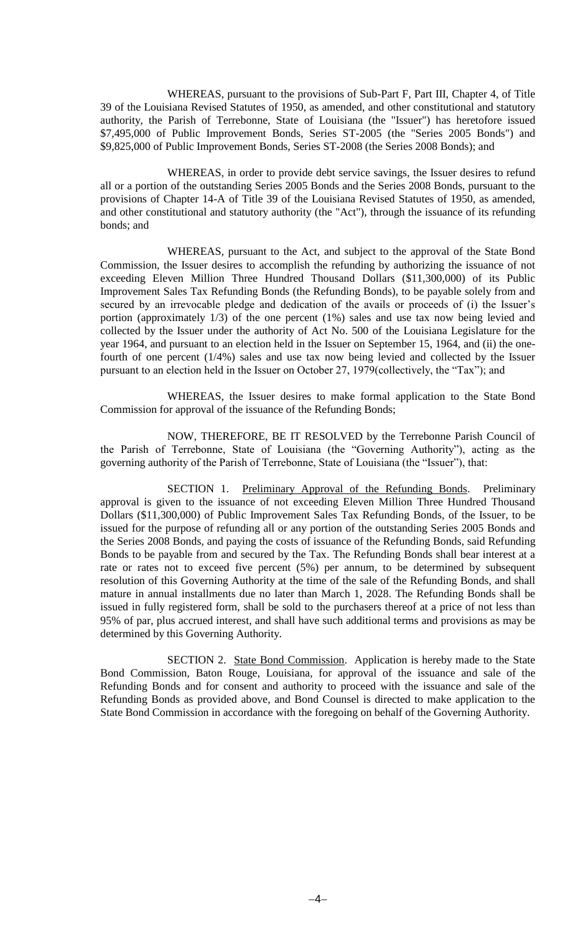WHEREAS, pursuant to the provisions of Sub-Part F, Part III, Chapter 4, of Title 39 of the Louisiana Revised Statutes of 1950, as amended, and other constitutional and statutory authority, the Parish of Terrebonne, State of Louisiana (the "Issuer") has heretofore issued \$7,495,000 of Public Improvement Bonds, Series ST-2005 (the "Series 2005 Bonds") and \$9,825,000 of Public Improvement Bonds, Series ST-2008 (the Series 2008 Bonds); and

WHEREAS, in order to provide debt service savings, the Issuer desires to refund all or a portion of the outstanding Series 2005 Bonds and the Series 2008 Bonds, pursuant to the provisions of Chapter 14-A of Title 39 of the Louisiana Revised Statutes of 1950, as amended, and other constitutional and statutory authority (the "Act"), through the issuance of its refunding bonds; and

WHEREAS, pursuant to the Act, and subject to the approval of the State Bond Commission, the Issuer desires to accomplish the refunding by authorizing the issuance of not exceeding Eleven Million Three Hundred Thousand Dollars (\$11,300,000) of its Public Improvement Sales Tax Refunding Bonds (the Refunding Bonds), to be payable solely from and secured by an irrevocable pledge and dedication of the avails or proceeds of (i) the Issuer's portion (approximately 1/3) of the one percent (1%) sales and use tax now being levied and collected by the Issuer under the authority of Act No. 500 of the Louisiana Legislature for the year 1964, and pursuant to an election held in the Issuer on September 15, 1964, and (ii) the onefourth of one percent (1/4%) sales and use tax now being levied and collected by the Issuer pursuant to an election held in the Issuer on October 27, 1979(collectively, the "Tax"); and

WHEREAS, the Issuer desires to make formal application to the State Bond Commission for approval of the issuance of the Refunding Bonds;

NOW, THEREFORE, BE IT RESOLVED by the Terrebonne Parish Council of the Parish of Terrebonne, State of Louisiana (the "Governing Authority"), acting as the governing authority of the Parish of Terrebonne, State of Louisiana (the "Issuer"), that:

SECTION 1. Preliminary Approval of the Refunding Bonds. Preliminary approval is given to the issuance of not exceeding Eleven Million Three Hundred Thousand Dollars (\$11,300,000) of Public Improvement Sales Tax Refunding Bonds, of the Issuer, to be issued for the purpose of refunding all or any portion of the outstanding Series 2005 Bonds and the Series 2008 Bonds, and paying the costs of issuance of the Refunding Bonds, said Refunding Bonds to be payable from and secured by the Tax. The Refunding Bonds shall bear interest at a rate or rates not to exceed five percent (5%) per annum, to be determined by subsequent resolution of this Governing Authority at the time of the sale of the Refunding Bonds, and shall mature in annual installments due no later than March 1, 2028. The Refunding Bonds shall be issued in fully registered form, shall be sold to the purchasers thereof at a price of not less than 95% of par, plus accrued interest, and shall have such additional terms and provisions as may be determined by this Governing Authority.

SECTION 2. State Bond Commission. Application is hereby made to the State Bond Commission, Baton Rouge, Louisiana, for approval of the issuance and sale of the Refunding Bonds and for consent and authority to proceed with the issuance and sale of the Refunding Bonds as provided above, and Bond Counsel is directed to make application to the State Bond Commission in accordance with the foregoing on behalf of the Governing Authority.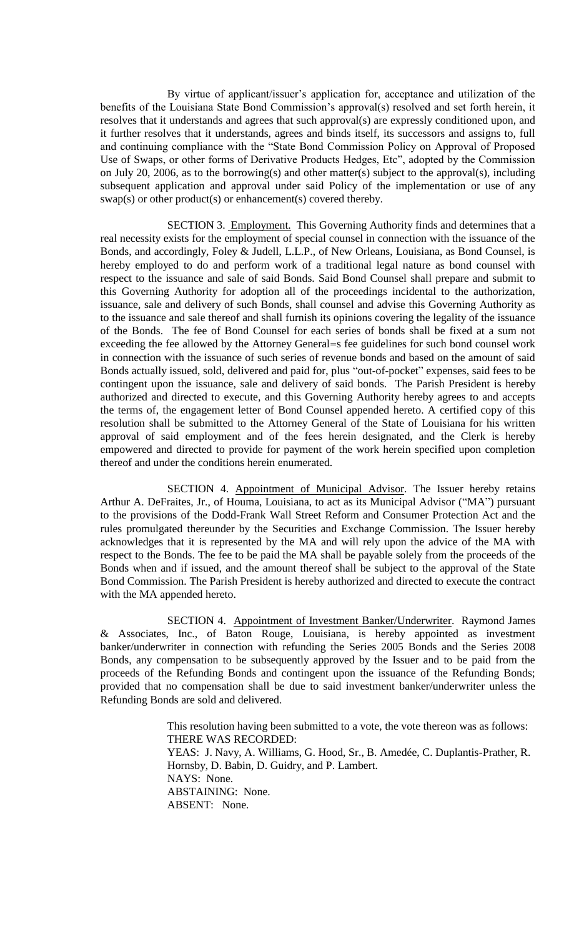By virtue of applicant/issuer's application for, acceptance and utilization of the benefits of the Louisiana State Bond Commission's approval(s) resolved and set forth herein, it resolves that it understands and agrees that such approval(s) are expressly conditioned upon, and it further resolves that it understands, agrees and binds itself, its successors and assigns to, full and continuing compliance with the "State Bond Commission Policy on Approval of Proposed Use of Swaps, or other forms of Derivative Products Hedges, Etc", adopted by the Commission on July 20, 2006, as to the borrowing(s) and other matter(s) subject to the approval(s), including subsequent application and approval under said Policy of the implementation or use of any swap(s) or other product(s) or enhancement(s) covered thereby.

SECTION 3. Employment. This Governing Authority finds and determines that a real necessity exists for the employment of special counsel in connection with the issuance of the Bonds, and accordingly, Foley & Judell, L.L.P., of New Orleans, Louisiana, as Bond Counsel, is hereby employed to do and perform work of a traditional legal nature as bond counsel with respect to the issuance and sale of said Bonds. Said Bond Counsel shall prepare and submit to this Governing Authority for adoption all of the proceedings incidental to the authorization, issuance, sale and delivery of such Bonds, shall counsel and advise this Governing Authority as to the issuance and sale thereof and shall furnish its opinions covering the legality of the issuance of the Bonds. The fee of Bond Counsel for each series of bonds shall be fixed at a sum not exceeding the fee allowed by the Attorney General=s fee guidelines for such bond counsel work in connection with the issuance of such series of revenue bonds and based on the amount of said Bonds actually issued, sold, delivered and paid for, plus "out-of-pocket" expenses, said fees to be contingent upon the issuance, sale and delivery of said bonds. The Parish President is hereby authorized and directed to execute, and this Governing Authority hereby agrees to and accepts the terms of, the engagement letter of Bond Counsel appended hereto. A certified copy of this resolution shall be submitted to the Attorney General of the State of Louisiana for his written approval of said employment and of the fees herein designated, and the Clerk is hereby empowered and directed to provide for payment of the work herein specified upon completion thereof and under the conditions herein enumerated.

SECTION 4. Appointment of Municipal Advisor. The Issuer hereby retains Arthur A. DeFraites, Jr., of Houma, Louisiana, to act as its Municipal Advisor ("MA") pursuant to the provisions of the Dodd-Frank Wall Street Reform and Consumer Protection Act and the rules promulgated thereunder by the Securities and Exchange Commission. The Issuer hereby acknowledges that it is represented by the MA and will rely upon the advice of the MA with respect to the Bonds. The fee to be paid the MA shall be payable solely from the proceeds of the Bonds when and if issued, and the amount thereof shall be subject to the approval of the State Bond Commission. The Parish President is hereby authorized and directed to execute the contract with the MA appended hereto.

SECTION 4. Appointment of Investment Banker/Underwriter. Raymond James & Associates, Inc., of Baton Rouge, Louisiana, is hereby appointed as investment banker/underwriter in connection with refunding the Series 2005 Bonds and the Series 2008 Bonds, any compensation to be subsequently approved by the Issuer and to be paid from the proceeds of the Refunding Bonds and contingent upon the issuance of the Refunding Bonds; provided that no compensation shall be due to said investment banker/underwriter unless the Refunding Bonds are sold and delivered.

> This resolution having been submitted to a vote, the vote thereon was as follows: THERE WAS RECORDED: YEAS: J. Navy, A. Williams, G. Hood, Sr., B. Amedée, C. Duplantis-Prather, R. Hornsby, D. Babin, D. Guidry, and P. Lambert. NAYS: None. ABSTAINING: None. ABSENT: None.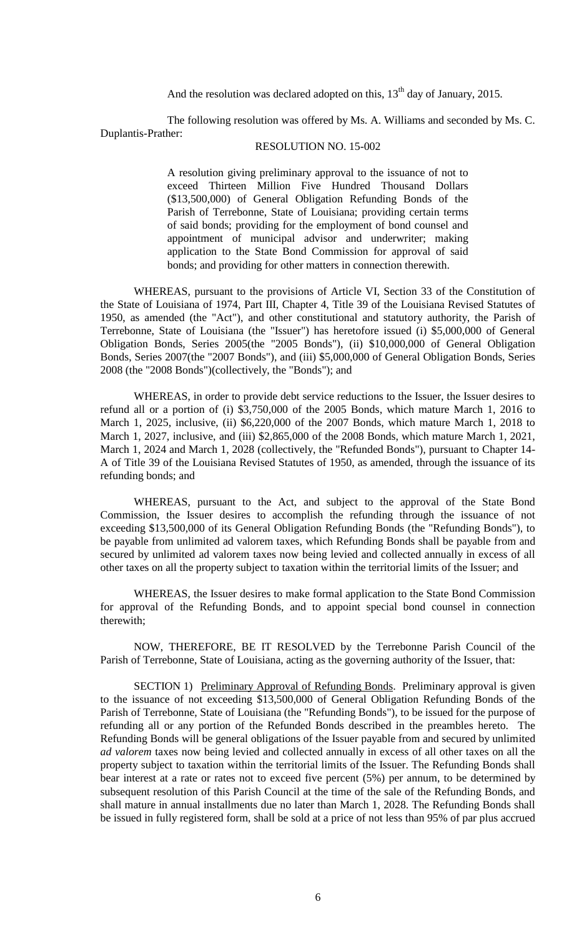And the resolution was declared adopted on this,  $13<sup>th</sup>$  day of January, 2015.

The following resolution was offered by Ms. A. Williams and seconded by Ms. C. Duplantis-Prather:

## RESOLUTION NO. 15-002

A resolution giving preliminary approval to the issuance of not to exceed Thirteen Million Five Hundred Thousand Dollars (\$13,500,000) of General Obligation Refunding Bonds of the Parish of Terrebonne, State of Louisiana; providing certain terms of said bonds; providing for the employment of bond counsel and appointment of municipal advisor and underwriter; making application to the State Bond Commission for approval of said bonds; and providing for other matters in connection therewith.

WHEREAS, pursuant to the provisions of Article VI, Section 33 of the Constitution of the State of Louisiana of 1974, Part III, Chapter 4, Title 39 of the Louisiana Revised Statutes of 1950, as amended (the "Act"), and other constitutional and statutory authority, the Parish of Terrebonne, State of Louisiana (the "Issuer") has heretofore issued (i) \$5,000,000 of General Obligation Bonds, Series 2005(the "2005 Bonds"), (ii) \$10,000,000 of General Obligation Bonds, Series 2007(the "2007 Bonds"), and (iii) \$5,000,000 of General Obligation Bonds, Series 2008 (the "2008 Bonds")(collectively, the "Bonds"); and

WHEREAS, in order to provide debt service reductions to the Issuer, the Issuer desires to refund all or a portion of (i) \$3,750,000 of the 2005 Bonds, which mature March 1, 2016 to March 1, 2025, inclusive, (ii) \$6,220,000 of the 2007 Bonds, which mature March 1, 2018 to March 1, 2027, inclusive, and (iii) \$2,865,000 of the 2008 Bonds, which mature March 1, 2021, March 1, 2024 and March 1, 2028 (collectively, the "Refunded Bonds"), pursuant to Chapter 14- A of Title 39 of the Louisiana Revised Statutes of 1950, as amended, through the issuance of its refunding bonds; and

WHEREAS, pursuant to the Act, and subject to the approval of the State Bond Commission, the Issuer desires to accomplish the refunding through the issuance of not exceeding \$13,500,000 of its General Obligation Refunding Bonds (the "Refunding Bonds"), to be payable from unlimited ad valorem taxes, which Refunding Bonds shall be payable from and secured by unlimited ad valorem taxes now being levied and collected annually in excess of all other taxes on all the property subject to taxation within the territorial limits of the Issuer; and

WHEREAS, the Issuer desires to make formal application to the State Bond Commission for approval of the Refunding Bonds, and to appoint special bond counsel in connection therewith;

NOW, THEREFORE, BE IT RESOLVED by the Terrebonne Parish Council of the Parish of Terrebonne, State of Louisiana, acting as the governing authority of the Issuer, that:

SECTION 1) Preliminary Approval of Refunding Bonds. Preliminary approval is given to the issuance of not exceeding \$13,500,000 of General Obligation Refunding Bonds of the Parish of Terrebonne, State of Louisiana (the "Refunding Bonds"), to be issued for the purpose of refunding all or any portion of the Refunded Bonds described in the preambles hereto. The Refunding Bonds will be general obligations of the Issuer payable from and secured by unlimited *ad valorem* taxes now being levied and collected annually in excess of all other taxes on all the property subject to taxation within the territorial limits of the Issuer. The Refunding Bonds shall bear interest at a rate or rates not to exceed five percent (5%) per annum, to be determined by subsequent resolution of this Parish Council at the time of the sale of the Refunding Bonds, and shall mature in annual installments due no later than March 1, 2028. The Refunding Bonds shall be issued in fully registered form, shall be sold at a price of not less than 95% of par plus accrued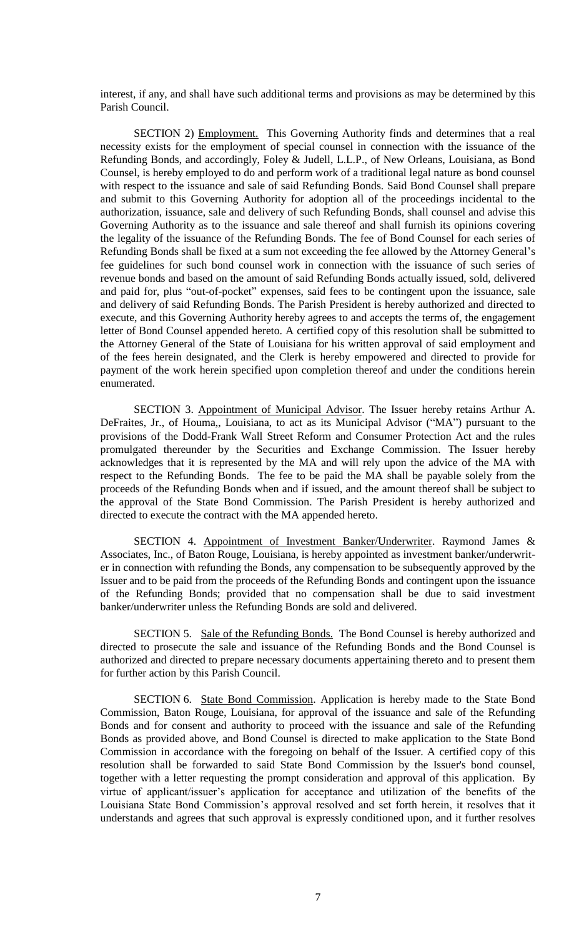interest, if any, and shall have such additional terms and provisions as may be determined by this Parish Council.

SECTION 2) Employment. This Governing Authority finds and determines that a real necessity exists for the employment of special counsel in connection with the issuance of the Refunding Bonds, and accordingly, Foley & Judell, L.L.P., of New Orleans, Louisiana, as Bond Counsel, is hereby employed to do and perform work of a traditional legal nature as bond counsel with respect to the issuance and sale of said Refunding Bonds. Said Bond Counsel shall prepare and submit to this Governing Authority for adoption all of the proceedings incidental to the authorization, issuance, sale and delivery of such Refunding Bonds, shall counsel and advise this Governing Authority as to the issuance and sale thereof and shall furnish its opinions covering the legality of the issuance of the Refunding Bonds. The fee of Bond Counsel for each series of Refunding Bonds shall be fixed at a sum not exceeding the fee allowed by the Attorney General's fee guidelines for such bond counsel work in connection with the issuance of such series of revenue bonds and based on the amount of said Refunding Bonds actually issued, sold, delivered and paid for, plus "out-of-pocket" expenses, said fees to be contingent upon the issuance, sale and delivery of said Refunding Bonds. The Parish President is hereby authorized and directed to execute, and this Governing Authority hereby agrees to and accepts the terms of, the engagement letter of Bond Counsel appended hereto. A certified copy of this resolution shall be submitted to the Attorney General of the State of Louisiana for his written approval of said employment and of the fees herein designated, and the Clerk is hereby empowered and directed to provide for payment of the work herein specified upon completion thereof and under the conditions herein enumerated.

SECTION 3. Appointment of Municipal Advisor. The Issuer hereby retains Arthur A. DeFraites, Jr., of Houma,, Louisiana, to act as its Municipal Advisor ("MA") pursuant to the provisions of the Dodd-Frank Wall Street Reform and Consumer Protection Act and the rules promulgated thereunder by the Securities and Exchange Commission. The Issuer hereby acknowledges that it is represented by the MA and will rely upon the advice of the MA with respect to the Refunding Bonds. The fee to be paid the MA shall be payable solely from the proceeds of the Refunding Bonds when and if issued, and the amount thereof shall be subject to the approval of the State Bond Commission. The Parish President is hereby authorized and directed to execute the contract with the MA appended hereto.

SECTION 4. Appointment of Investment Banker/Underwriter. Raymond James & Associates, Inc., of Baton Rouge, Louisiana, is hereby appointed as investment banker/underwriter in connection with refunding the Bonds, any compensation to be subsequently approved by the Issuer and to be paid from the proceeds of the Refunding Bonds and contingent upon the issuance of the Refunding Bonds; provided that no compensation shall be due to said investment banker/underwriter unless the Refunding Bonds are sold and delivered.

SECTION 5. Sale of the Refunding Bonds. The Bond Counsel is hereby authorized and directed to prosecute the sale and issuance of the Refunding Bonds and the Bond Counsel is authorized and directed to prepare necessary documents appertaining thereto and to present them for further action by this Parish Council.

SECTION 6. State Bond Commission. Application is hereby made to the State Bond Commission, Baton Rouge, Louisiana, for approval of the issuance and sale of the Refunding Bonds and for consent and authority to proceed with the issuance and sale of the Refunding Bonds as provided above, and Bond Counsel is directed to make application to the State Bond Commission in accordance with the foregoing on behalf of the Issuer. A certified copy of this resolution shall be forwarded to said State Bond Commission by the Issuer's bond counsel, together with a letter requesting the prompt consideration and approval of this application. By virtue of applicant/issuer's application for acceptance and utilization of the benefits of the Louisiana State Bond Commission's approval resolved and set forth herein, it resolves that it understands and agrees that such approval is expressly conditioned upon, and it further resolves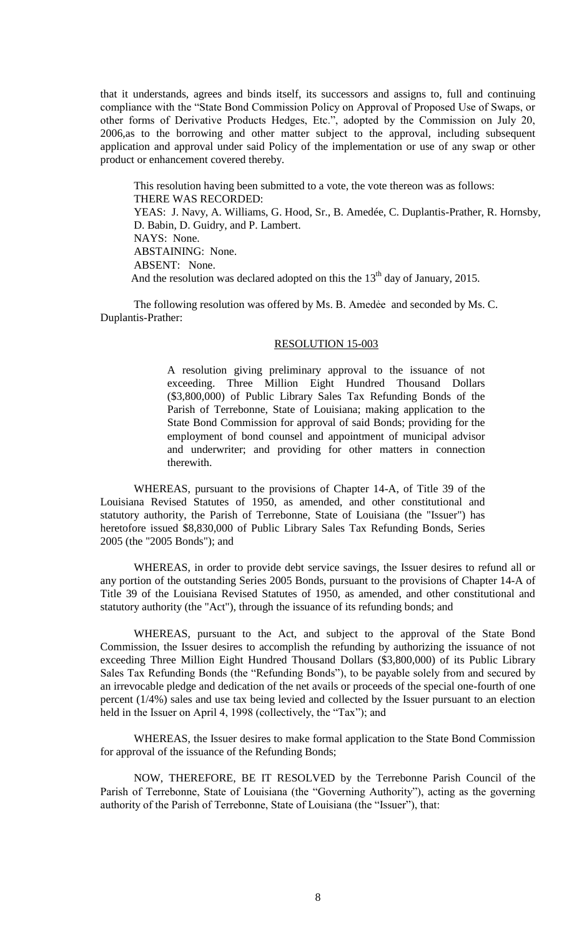that it understands, agrees and binds itself, its successors and assigns to, full and continuing compliance with the "State Bond Commission Policy on Approval of Proposed Use of Swaps, or other forms of Derivative Products Hedges, Etc.", adopted by the Commission on July 20, 2006,as to the borrowing and other matter subject to the approval, including subsequent application and approval under said Policy of the implementation or use of any swap or other product or enhancement covered thereby.

This resolution having been submitted to a vote, the vote thereon was as follows: THERE WAS RECORDED: YEAS: J. Navy, A. Williams, G. Hood, Sr., B. Amedée, C. Duplantis-Prather, R. Hornsby, D. Babin, D. Guidry, and P. Lambert. NAYS: None. ABSTAINING: None. ABSENT: None. And the resolution was declared adopted on this the  $13<sup>th</sup>$  day of January, 2015.

The following resolution was offered by Ms. B. Amedée and seconded by Ms. C. Duplantis-Prather:

#### RESOLUTION 15-003

A resolution giving preliminary approval to the issuance of not exceeding. Three Million Eight Hundred Thousand Dollars (\$3,800,000) of Public Library Sales Tax Refunding Bonds of the Parish of Terrebonne, State of Louisiana; making application to the State Bond Commission for approval of said Bonds; providing for the employment of bond counsel and appointment of municipal advisor and underwriter; and providing for other matters in connection therewith.

WHEREAS, pursuant to the provisions of Chapter 14-A, of Title 39 of the Louisiana Revised Statutes of 1950, as amended, and other constitutional and statutory authority, the Parish of Terrebonne, State of Louisiana (the "Issuer") has heretofore issued \$8,830,000 of Public Library Sales Tax Refunding Bonds, Series 2005 (the "2005 Bonds"); and

WHEREAS, in order to provide debt service savings, the Issuer desires to refund all or any portion of the outstanding Series 2005 Bonds, pursuant to the provisions of Chapter 14-A of Title 39 of the Louisiana Revised Statutes of 1950, as amended, and other constitutional and statutory authority (the "Act"), through the issuance of its refunding bonds; and

WHEREAS, pursuant to the Act, and subject to the approval of the State Bond Commission, the Issuer desires to accomplish the refunding by authorizing the issuance of not exceeding Three Million Eight Hundred Thousand Dollars (\$3,800,000) of its Public Library Sales Tax Refunding Bonds (the "Refunding Bonds"), to be payable solely from and secured by an irrevocable pledge and dedication of the net avails or proceeds of the special one-fourth of one percent (1/4%) sales and use tax being levied and collected by the Issuer pursuant to an election held in the Issuer on April 4, 1998 (collectively, the "Tax"); and

WHEREAS, the Issuer desires to make formal application to the State Bond Commission for approval of the issuance of the Refunding Bonds;

NOW, THEREFORE, BE IT RESOLVED by the Terrebonne Parish Council of the Parish of Terrebonne, State of Louisiana (the "Governing Authority"), acting as the governing authority of the Parish of Terrebonne, State of Louisiana (the "Issuer"), that: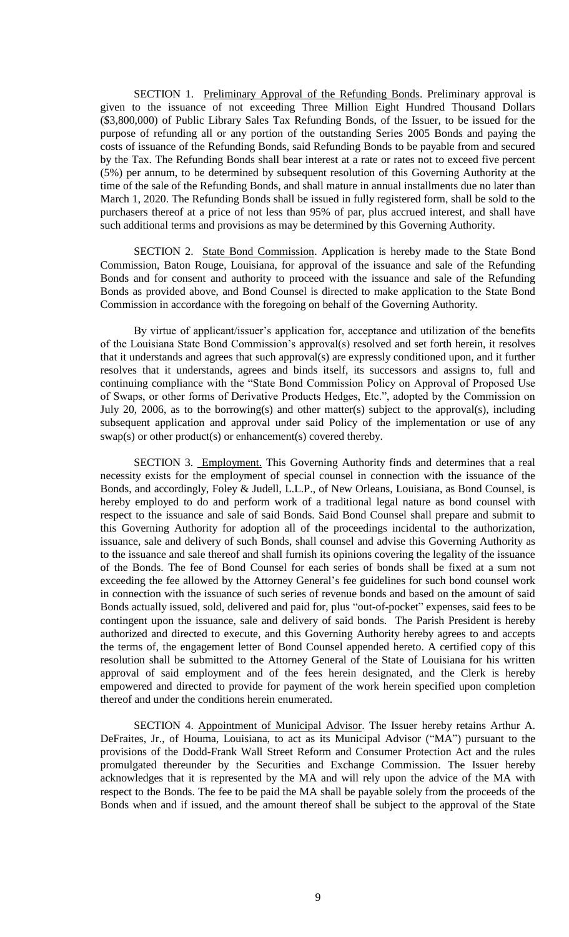SECTION 1. Preliminary Approval of the Refunding Bonds. Preliminary approval is given to the issuance of not exceeding Three Million Eight Hundred Thousand Dollars (\$3,800,000) of Public Library Sales Tax Refunding Bonds, of the Issuer, to be issued for the purpose of refunding all or any portion of the outstanding Series 2005 Bonds and paying the costs of issuance of the Refunding Bonds, said Refunding Bonds to be payable from and secured by the Tax. The Refunding Bonds shall bear interest at a rate or rates not to exceed five percent (5%) per annum, to be determined by subsequent resolution of this Governing Authority at the time of the sale of the Refunding Bonds, and shall mature in annual installments due no later than March 1, 2020. The Refunding Bonds shall be issued in fully registered form, shall be sold to the purchasers thereof at a price of not less than 95% of par, plus accrued interest, and shall have such additional terms and provisions as may be determined by this Governing Authority.

SECTION 2. State Bond Commission. Application is hereby made to the State Bond Commission, Baton Rouge, Louisiana, for approval of the issuance and sale of the Refunding Bonds and for consent and authority to proceed with the issuance and sale of the Refunding Bonds as provided above, and Bond Counsel is directed to make application to the State Bond Commission in accordance with the foregoing on behalf of the Governing Authority.

By virtue of applicant/issuer's application for, acceptance and utilization of the benefits of the Louisiana State Bond Commission's approval(s) resolved and set forth herein, it resolves that it understands and agrees that such approval(s) are expressly conditioned upon, and it further resolves that it understands, agrees and binds itself, its successors and assigns to, full and continuing compliance with the "State Bond Commission Policy on Approval of Proposed Use of Swaps, or other forms of Derivative Products Hedges, Etc.", adopted by the Commission on July 20, 2006, as to the borrowing(s) and other matter(s) subject to the approval(s), including subsequent application and approval under said Policy of the implementation or use of any swap(s) or other product(s) or enhancement(s) covered thereby.

SECTION 3. Employment. This Governing Authority finds and determines that a real necessity exists for the employment of special counsel in connection with the issuance of the Bonds, and accordingly, Foley & Judell, L.L.P., of New Orleans, Louisiana, as Bond Counsel, is hereby employed to do and perform work of a traditional legal nature as bond counsel with respect to the issuance and sale of said Bonds. Said Bond Counsel shall prepare and submit to this Governing Authority for adoption all of the proceedings incidental to the authorization, issuance, sale and delivery of such Bonds, shall counsel and advise this Governing Authority as to the issuance and sale thereof and shall furnish its opinions covering the legality of the issuance of the Bonds. The fee of Bond Counsel for each series of bonds shall be fixed at a sum not exceeding the fee allowed by the Attorney General's fee guidelines for such bond counsel work in connection with the issuance of such series of revenue bonds and based on the amount of said Bonds actually issued, sold, delivered and paid for, plus "out-of-pocket" expenses, said fees to be contingent upon the issuance, sale and delivery of said bonds. The Parish President is hereby authorized and directed to execute, and this Governing Authority hereby agrees to and accepts the terms of, the engagement letter of Bond Counsel appended hereto. A certified copy of this resolution shall be submitted to the Attorney General of the State of Louisiana for his written approval of said employment and of the fees herein designated, and the Clerk is hereby empowered and directed to provide for payment of the work herein specified upon completion thereof and under the conditions herein enumerated.

SECTION 4. Appointment of Municipal Advisor. The Issuer hereby retains Arthur A. DeFraites, Jr., of Houma, Louisiana, to act as its Municipal Advisor ("MA") pursuant to the provisions of the Dodd-Frank Wall Street Reform and Consumer Protection Act and the rules promulgated thereunder by the Securities and Exchange Commission. The Issuer hereby acknowledges that it is represented by the MA and will rely upon the advice of the MA with respect to the Bonds. The fee to be paid the MA shall be payable solely from the proceeds of the Bonds when and if issued, and the amount thereof shall be subject to the approval of the State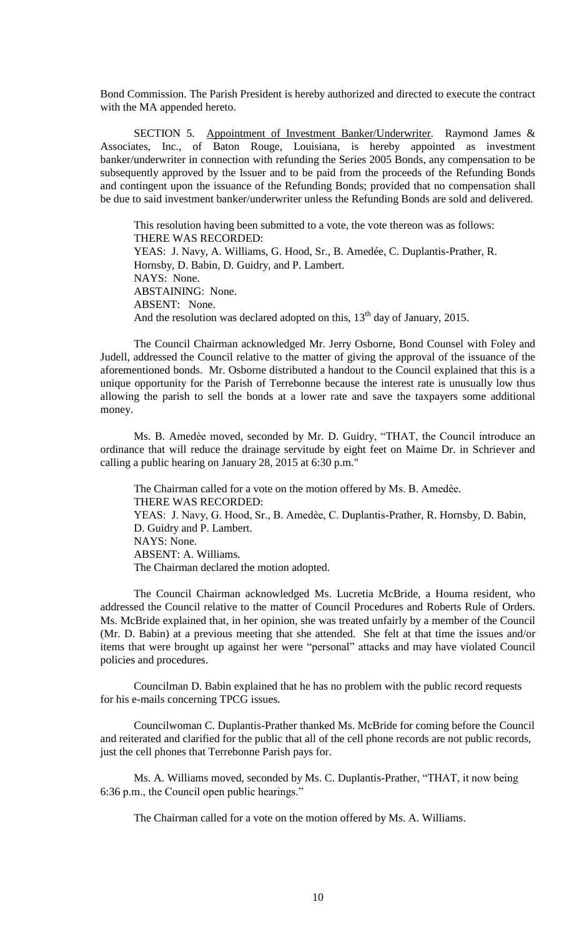Bond Commission. The Parish President is hereby authorized and directed to execute the contract with the MA appended hereto.

SECTION 5. Appointment of Investment Banker/Underwriter. Raymond James & Associates, Inc., of Baton Rouge, Louisiana, is hereby appointed as investment banker/underwriter in connection with refunding the Series 2005 Bonds, any compensation to be subsequently approved by the Issuer and to be paid from the proceeds of the Refunding Bonds and contingent upon the issuance of the Refunding Bonds; provided that no compensation shall be due to said investment banker/underwriter unless the Refunding Bonds are sold and delivered.

This resolution having been submitted to a vote, the vote thereon was as follows: THERE WAS RECORDED: YEAS: J. Navy, A. Williams, G. Hood, Sr., B. Amedée, C. Duplantis-Prather, R. Hornsby, D. Babin, D. Guidry, and P. Lambert. NAYS: None. ABSTAINING: None. ABSENT: None. And the resolution was declared adopted on this,  $13<sup>th</sup>$  day of January, 2015.

The Council Chairman acknowledged Mr. Jerry Osborne, Bond Counsel with Foley and Judell, addressed the Council relative to the matter of giving the approval of the issuance of the aforementioned bonds. Mr. Osborne distributed a handout to the Council explained that this is a unique opportunity for the Parish of Terrebonne because the interest rate is unusually low thus allowing the parish to sell the bonds at a lower rate and save the taxpayers some additional money.

Ms. B. Amedèe moved, seconded by Mr. D. Guidry, "THAT, the Council introduce an ordinance that will reduce the drainage servitude by eight feet on Maime Dr. in Schriever and calling a public hearing on January 28, 2015 at 6:30 p.m."

The Chairman called for a vote on the motion offered by Ms. B. Amedèe. THERE WAS RECORDED: YEAS: J. Navy, G. Hood, Sr., B. Amedèe, C. Duplantis-Prather, R. Hornsby, D. Babin, D. Guidry and P. Lambert. NAYS: None. ABSENT: A. Williams. The Chairman declared the motion adopted.

The Council Chairman acknowledged Ms. Lucretia McBride, a Houma resident, who addressed the Council relative to the matter of Council Procedures and Roberts Rule of Orders. Ms. McBride explained that, in her opinion, she was treated unfairly by a member of the Council (Mr. D. Babin) at a previous meeting that she attended. She felt at that time the issues and/or items that were brought up against her were "personal" attacks and may have violated Council policies and procedures.

Councilman D. Babin explained that he has no problem with the public record requests for his e-mails concerning TPCG issues.

Councilwoman C. Duplantis-Prather thanked Ms. McBride for coming before the Council and reiterated and clarified for the public that all of the cell phone records are not public records, just the cell phones that Terrebonne Parish pays for.

Ms. A. Williams moved, seconded by Ms. C. Duplantis-Prather, "THAT, it now being 6:36 p.m., the Council open public hearings."

The Chairman called for a vote on the motion offered by Ms. A. Williams.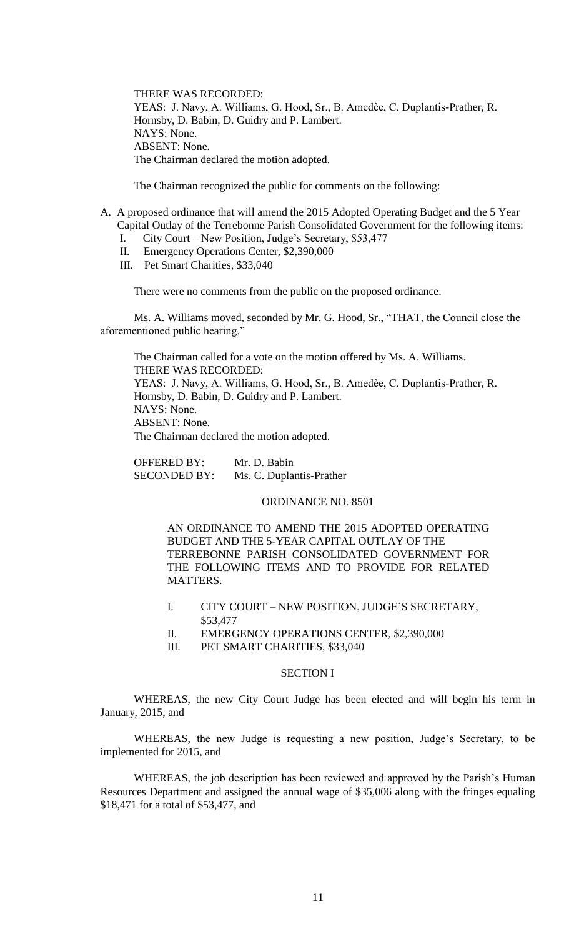THERE WAS RECORDED: YEAS: J. Navy, A. Williams, G. Hood, Sr., B. Amedèe, C. Duplantis-Prather, R. Hornsby, D. Babin, D. Guidry and P. Lambert. NAYS: None. ABSENT: None. The Chairman declared the motion adopted.

The Chairman recognized the public for comments on the following:

- A. A proposed ordinance that will amend the 2015 Adopted Operating Budget and the 5 Year Capital Outlay of the Terrebonne Parish Consolidated Government for the following items:
	- I. City Court New Position, Judge's Secretary, \$53,477
	- II. Emergency Operations Center, \$2,390,000
	- III. Pet Smart Charities, \$33,040

There were no comments from the public on the proposed ordinance.

Ms. A. Williams moved, seconded by Mr. G. Hood, Sr., "THAT, the Council close the aforementioned public hearing."

The Chairman called for a vote on the motion offered by Ms. A. Williams. THERE WAS RECORDED: YEAS: J. Navy, A. Williams, G. Hood, Sr., B. Amedèe, C. Duplantis-Prather, R. Hornsby, D. Babin, D. Guidry and P. Lambert. NAYS: None. ABSENT: None. The Chairman declared the motion adopted.

OFFERED BY: Mr. D. Babin SECONDED BY: Ms. C. Duplantis-Prather

### ORDINANCE NO. 8501

AN ORDINANCE TO AMEND THE 2015 ADOPTED OPERATING BUDGET AND THE 5-YEAR CAPITAL OUTLAY OF THE TERREBONNE PARISH CONSOLIDATED GOVERNMENT FOR THE FOLLOWING ITEMS AND TO PROVIDE FOR RELATED MATTERS.

- I. CITY COURT NEW POSITION, JUDGE'S SECRETARY, \$53,477
- II. EMERGENCY OPERATIONS CENTER, \$2,390,000
- III. PET SMART CHARITIES, \$33,040

# SECTION I

WHEREAS, the new City Court Judge has been elected and will begin his term in January, 2015, and

WHEREAS, the new Judge is requesting a new position, Judge's Secretary, to be implemented for 2015, and

WHEREAS, the job description has been reviewed and approved by the Parish's Human Resources Department and assigned the annual wage of \$35,006 along with the fringes equaling \$18,471 for a total of \$53,477, and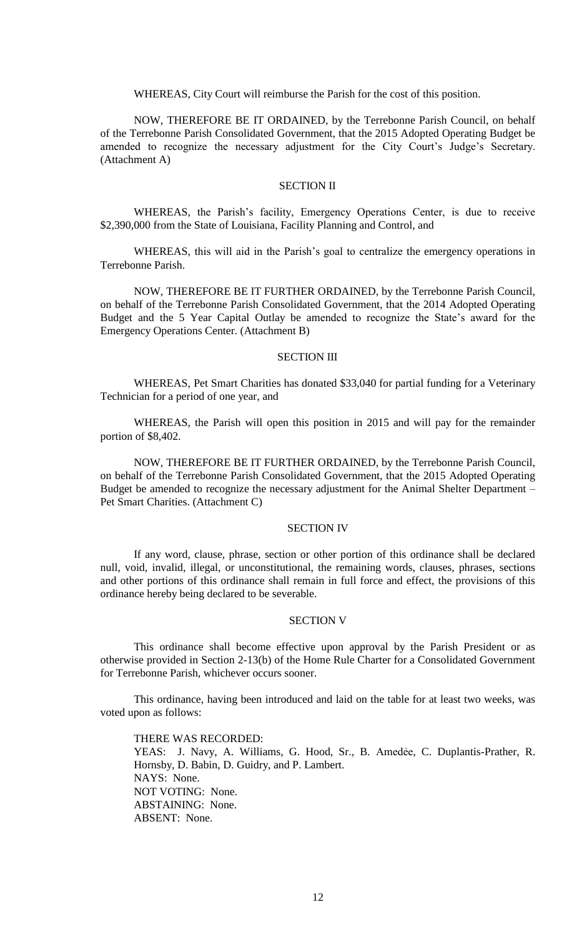WHEREAS, City Court will reimburse the Parish for the cost of this position.

NOW, THEREFORE BE IT ORDAINED, by the Terrebonne Parish Council, on behalf of the Terrebonne Parish Consolidated Government, that the 2015 Adopted Operating Budget be amended to recognize the necessary adjustment for the City Court's Judge's Secretary. (Attachment A)

# SECTION II

WHEREAS, the Parish's facility, Emergency Operations Center, is due to receive \$2,390,000 from the State of Louisiana, Facility Planning and Control, and

WHEREAS, this will aid in the Parish's goal to centralize the emergency operations in Terrebonne Parish.

NOW, THEREFORE BE IT FURTHER ORDAINED, by the Terrebonne Parish Council, on behalf of the Terrebonne Parish Consolidated Government, that the 2014 Adopted Operating Budget and the 5 Year Capital Outlay be amended to recognize the State's award for the Emergency Operations Center. (Attachment B)

#### SECTION III

WHEREAS, Pet Smart Charities has donated \$33,040 for partial funding for a Veterinary Technician for a period of one year, and

WHEREAS, the Parish will open this position in 2015 and will pay for the remainder portion of \$8,402.

NOW, THEREFORE BE IT FURTHER ORDAINED, by the Terrebonne Parish Council, on behalf of the Terrebonne Parish Consolidated Government, that the 2015 Adopted Operating Budget be amended to recognize the necessary adjustment for the Animal Shelter Department – Pet Smart Charities. (Attachment C)

### SECTION IV

If any word, clause, phrase, section or other portion of this ordinance shall be declared null, void, invalid, illegal, or unconstitutional, the remaining words, clauses, phrases, sections and other portions of this ordinance shall remain in full force and effect, the provisions of this ordinance hereby being declared to be severable.

## SECTION V

This ordinance shall become effective upon approval by the Parish President or as otherwise provided in Section 2-13(b) of the Home Rule Charter for a Consolidated Government for Terrebonne Parish, whichever occurs sooner.

This ordinance, having been introduced and laid on the table for at least two weeks, was voted upon as follows:

THERE WAS RECORDED: YEAS: J. Navy, A. Williams, G. Hood, Sr., B. Amedėe, C. Duplantis-Prather, R. Hornsby, D. Babin, D. Guidry, and P. Lambert. NAYS: None. NOT VOTING: None. ABSTAINING: None. ABSENT: None.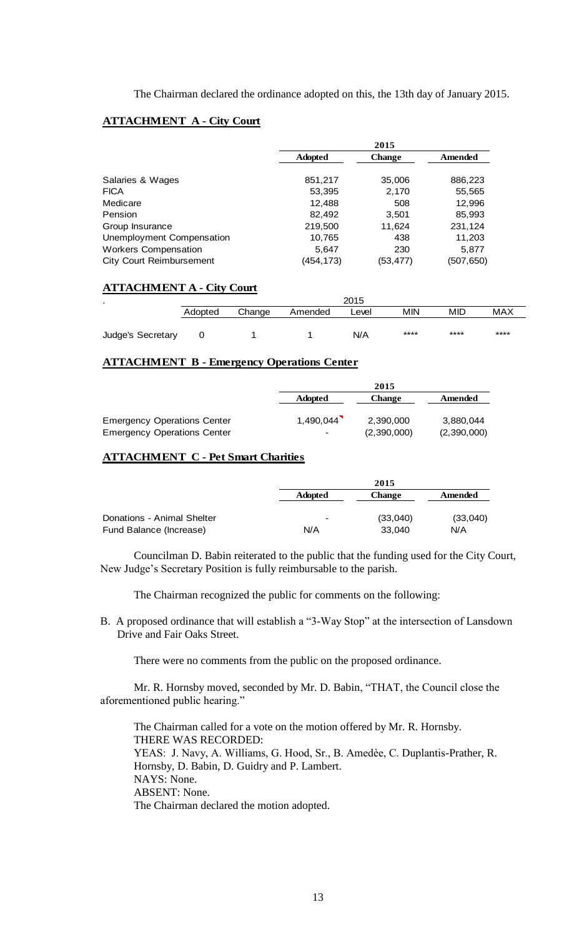The Chairman declared the ordinance adopted on this, the 13th day of January 2015.

## **ATTACHMENT A - City Court**

|                                 | 2015           |               |           |
|---------------------------------|----------------|---------------|-----------|
|                                 | <b>Adopted</b> | <b>Change</b> | Amended   |
| Salaries & Wages                | 851,217        | 35,006        | 886,223   |
| <b>FICA</b>                     | 53,395         | 2,170         | 55,565    |
| Medicare                        | 12,488         | 508           | 12,996    |
| Pension                         | 82,492         | 3,501         | 85,993    |
| Group Insurance                 | 219,500        | 11.624        | 231,124   |
| Unemployment Compensation       | 10,765         | 438           | 11,203    |
| <b>Workers Compensation</b>     | 5,647          | 230           | 5,877     |
| <b>City Court Reimbursement</b> | (454,173)      | (53,477)      | (507,650) |

## **ATTACHMENT A - City Court**

| $\bullet$         | 2015    |        |         |       |      |      |            |
|-------------------|---------|--------|---------|-------|------|------|------------|
|                   | Adopted | Change | Amended | Level | MIN  | MID  | <b>MAX</b> |
| Judge's Secretary |         |        |         | N/A   | **** | **** | ****       |

## **ATTACHMENT B - Emergency Operations Center**

|                                    | 2015                     |             |             |
|------------------------------------|--------------------------|-------------|-------------|
|                                    | <b>Adopted</b>           | Change      | Amended     |
|                                    |                          |             |             |
| <b>Emergency Operations Center</b> | 1,490,044                | 2,390,000   | 3,880,044   |
| <b>Emergency Operations Center</b> | $\overline{\phantom{0}}$ | (2,390,000) | (2,390,000) |

# **ATTACHMENT C - Pet Smart Charities**

|                            |                          | 2015          |          |  |
|----------------------------|--------------------------|---------------|----------|--|
|                            | <b>Adopted</b>           | <b>Change</b> | Amended  |  |
| Donations - Animal Shelter | $\overline{\phantom{0}}$ | (33,040)      | (33,040) |  |
| Fund Balance (Increase)    | N/A                      | 33.040        | N/A      |  |

Councilman D. Babin reiterated to the public that the funding used for the City Court, New Judge's Secretary Position is fully reimbursable to the parish.

The Chairman recognized the public for comments on the following:

B. A proposed ordinance that will establish a "3-Way Stop" at the intersection of Lansdown Drive and Fair Oaks Street.

There were no comments from the public on the proposed ordinance.

Mr. R. Hornsby moved, seconded by Mr. D. Babin, "THAT, the Council close the aforementioned public hearing."

The Chairman called for a vote on the motion offered by Mr. R. Hornsby. THERE WAS RECORDED: YEAS: J. Navy, A. Williams, G. Hood, Sr., B. Amedèe, C. Duplantis-Prather, R. Hornsby, D. Babin, D. Guidry and P. Lambert. NAYS: None. ABSENT: None. The Chairman declared the motion adopted.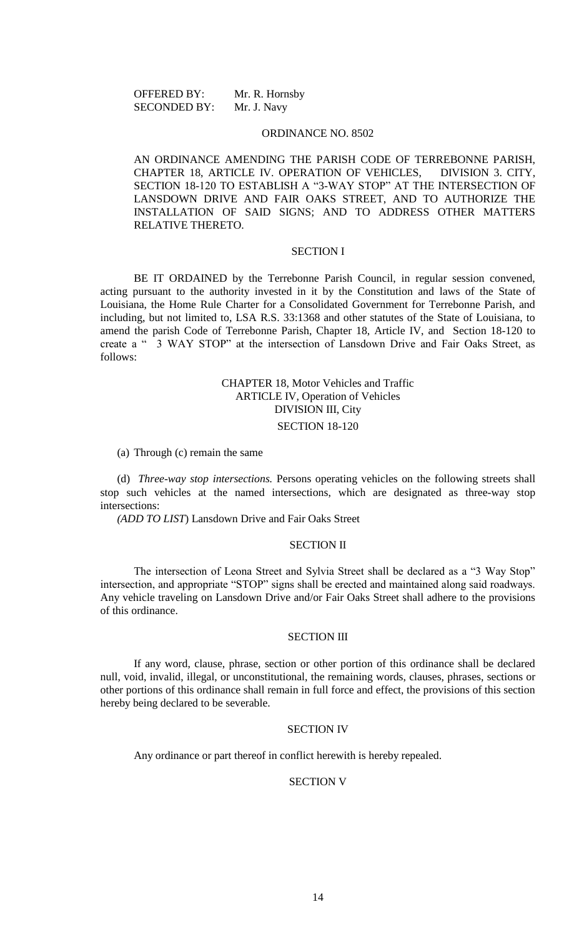OFFERED BY: Mr. R. Hornsby SECONDED BY: Mr. J. Navy

#### ORDINANCE NO. 8502

AN ORDINANCE AMENDING THE PARISH CODE OF TERREBONNE PARISH, CHAPTER 18, ARTICLE IV. OPERATION OF VEHICLES, DIVISION 3. CITY, SECTION 18-120 TO ESTABLISH A "3-WAY STOP" AT THE INTERSECTION OF LANSDOWN DRIVE AND FAIR OAKS STREET, AND TO AUTHORIZE THE INSTALLATION OF SAID SIGNS; AND TO ADDRESS OTHER MATTERS RELATIVE THERETO.

## SECTION I

BE IT ORDAINED by the Terrebonne Parish Council, in regular session convened, acting pursuant to the authority invested in it by the Constitution and laws of the State of Louisiana, the Home Rule Charter for a Consolidated Government for Terrebonne Parish, and including, but not limited to, LSA R.S. 33:1368 and other statutes of the State of Louisiana, to amend the parish Code of Terrebonne Parish, Chapter 18, Article IV, and Section 18-120 to create a " 3 WAY STOP" at the intersection of Lansdown Drive and Fair Oaks Street, as follows:

# CHAPTER 18, Motor Vehicles and Traffic ARTICLE IV, Operation of Vehicles DIVISION III, City SECTION 18-120

(a) Through (c) remain the same

(d) *Three-way stop intersections.* Persons operating vehicles on the following streets shall stop such vehicles at the named intersections, which are designated as three-way stop intersections:

*(ADD TO LIST*) Lansdown Drive and Fair Oaks Street

#### SECTION II

The intersection of Leona Street and Sylvia Street shall be declared as a "3 Way Stop" intersection, and appropriate "STOP" signs shall be erected and maintained along said roadways. Any vehicle traveling on Lansdown Drive and/or Fair Oaks Street shall adhere to the provisions of this ordinance.

#### SECTION III

If any word, clause, phrase, section or other portion of this ordinance shall be declared null, void, invalid, illegal, or unconstitutional, the remaining words, clauses, phrases, sections or other portions of this ordinance shall remain in full force and effect, the provisions of this section hereby being declared to be severable.

### SECTION IV

Any ordinance or part thereof in conflict herewith is hereby repealed.

#### SECTION V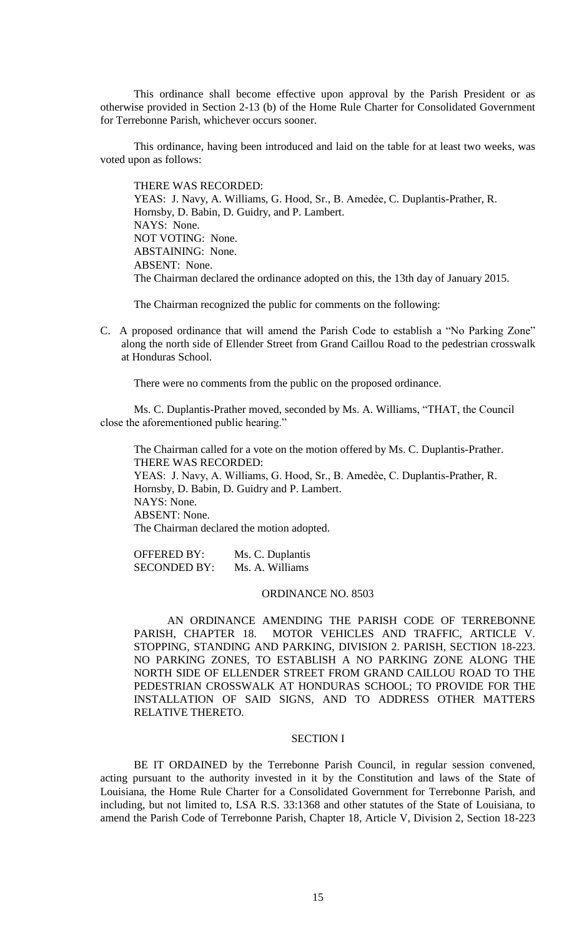This ordinance shall become effective upon approval by the Parish President or as otherwise provided in Section 2-13 (b) of the Home Rule Charter for Consolidated Government for Terrebonne Parish, whichever occurs sooner.

This ordinance, having been introduced and laid on the table for at least two weeks, was voted upon as follows:

THERE WAS RECORDED: YEAS: J. Navy, A. Williams, G. Hood, Sr., B. Amedée, C. Duplantis-Prather, R. Hornsby, D. Babin, D. Guidry, and P. Lambert. NAYS: None. NOT VOTING: None. ABSTAINING: None. ABSENT: None. The Chairman declared the ordinance adopted on this, the 13th day of January 2015.

The Chairman recognized the public for comments on the following:

C. A proposed ordinance that will amend the Parish Code to establish a "No Parking Zone" along the north side of Ellender Street from Grand Caillou Road to the pedestrian crosswalk at Honduras School.

There were no comments from the public on the proposed ordinance.

Ms. C. Duplantis-Prather moved, seconded by Ms. A. Williams, "THAT, the Council close the aforementioned public hearing."

The Chairman called for a vote on the motion offered by Ms. C. Duplantis-Prather. THERE WAS RECORDED: YEAS: J. Navy, A. Williams, G. Hood, Sr., B. Amedèe, C. Duplantis-Prather, R. Hornsby, D. Babin, D. Guidry and P. Lambert. NAYS: None. ABSENT: None. The Chairman declared the motion adopted.

| <b>OFFERED BY:</b>  | Ms. C. Duplantis |
|---------------------|------------------|
| <b>SECONDED BY:</b> | Ms. A. Williams  |

# ORDINANCE NO. 8503

AN ORDINANCE AMENDING THE PARISH CODE OF TERREBONNE PARISH, CHAPTER 18. MOTOR VEHICLES AND TRAFFIC, ARTICLE V. STOPPING, STANDING AND PARKING, DIVISION 2. PARISH, SECTION 18-223. NO PARKING ZONES, TO ESTABLISH A NO PARKING ZONE ALONG THE NORTH SIDE OF ELLENDER STREET FROM GRAND CAILLOU ROAD TO THE PEDESTRIAN CROSSWALK AT HONDURAS SCHOOL; TO PROVIDE FOR THE INSTALLATION OF SAID SIGNS, AND TO ADDRESS OTHER MATTERS RELATIVE THERETO.

# SECTION I

BE IT ORDAINED by the Terrebonne Parish Council, in regular session convened, acting pursuant to the authority invested in it by the Constitution and laws of the State of Louisiana, the Home Rule Charter for a Consolidated Government for Terrebonne Parish, and including, but not limited to, LSA R.S. 33:1368 and other statutes of the State of Louisiana, to amend the Parish Code of Terrebonne Parish, Chapter 18, Article V, Division 2, Section 18-223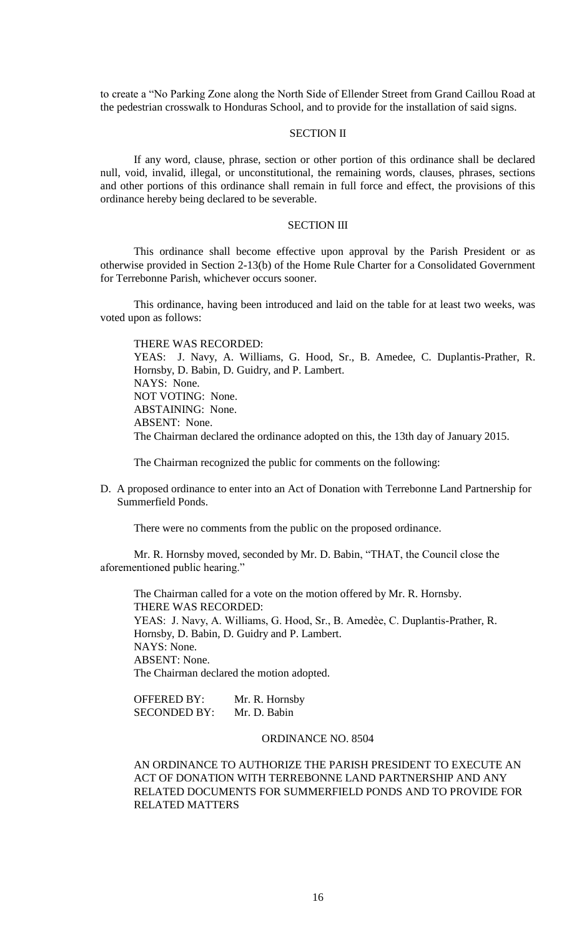to create a "No Parking Zone along the North Side of Ellender Street from Grand Caillou Road at the pedestrian crosswalk to Honduras School, and to provide for the installation of said signs.

# SECTION II

If any word, clause, phrase, section or other portion of this ordinance shall be declared null, void, invalid, illegal, or unconstitutional, the remaining words, clauses, phrases, sections and other portions of this ordinance shall remain in full force and effect, the provisions of this ordinance hereby being declared to be severable.

# SECTION III

This ordinance shall become effective upon approval by the Parish President or as otherwise provided in Section 2-13(b) of the Home Rule Charter for a Consolidated Government for Terrebonne Parish, whichever occurs sooner.

This ordinance, having been introduced and laid on the table for at least two weeks, was voted upon as follows:

THERE WAS RECORDED: YEAS: J. Navy, A. Williams, G. Hood, Sr., B. Amedee, C. Duplantis-Prather, R. Hornsby, D. Babin, D. Guidry, and P. Lambert. NAYS: None. NOT VOTING: None. ABSTAINING: None. ABSENT: None. The Chairman declared the ordinance adopted on this, the 13th day of January 2015.

The Chairman recognized the public for comments on the following:

D. A proposed ordinance to enter into an Act of Donation with Terrebonne Land Partnership for Summerfield Ponds.

There were no comments from the public on the proposed ordinance.

Mr. R. Hornsby moved, seconded by Mr. D. Babin, "THAT, the Council close the aforementioned public hearing."

The Chairman called for a vote on the motion offered by Mr. R. Hornsby. THERE WAS RECORDED: YEAS: J. Navy, A. Williams, G. Hood, Sr., B. Amedèe, C. Duplantis-Prather, R. Hornsby, D. Babin, D. Guidry and P. Lambert. NAYS: None. ABSENT: None. The Chairman declared the motion adopted.

OFFERED BY: Mr. R. Hornsby SECONDED BY: Mr. D. Babin

# ORDINANCE NO. 8504

AN ORDINANCE TO AUTHORIZE THE PARISH PRESIDENT TO EXECUTE AN ACT OF DONATION WITH TERREBONNE LAND PARTNERSHIP AND ANY RELATED DOCUMENTS FOR SUMMERFIELD PONDS AND TO PROVIDE FOR RELATED MATTERS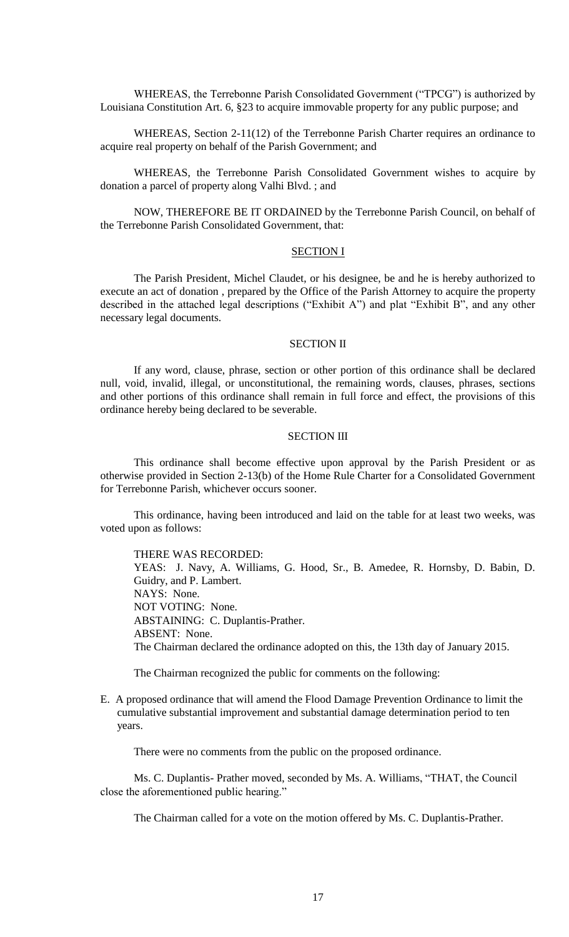WHEREAS, the Terrebonne Parish Consolidated Government ("TPCG") is authorized by Louisiana Constitution Art. 6, §23 to acquire immovable property for any public purpose; and

WHEREAS, Section 2-11(12) of the Terrebonne Parish Charter requires an ordinance to acquire real property on behalf of the Parish Government; and

WHEREAS, the Terrebonne Parish Consolidated Government wishes to acquire by donation a parcel of property along Valhi Blvd. ; and

NOW, THEREFORE BE IT ORDAINED by the Terrebonne Parish Council, on behalf of the Terrebonne Parish Consolidated Government, that:

# SECTION I

The Parish President, Michel Claudet, or his designee, be and he is hereby authorized to execute an act of donation , prepared by the Office of the Parish Attorney to acquire the property described in the attached legal descriptions ("Exhibit A") and plat "Exhibit B", and any other necessary legal documents.

## SECTION II

If any word, clause, phrase, section or other portion of this ordinance shall be declared null, void, invalid, illegal, or unconstitutional, the remaining words, clauses, phrases, sections and other portions of this ordinance shall remain in full force and effect, the provisions of this ordinance hereby being declared to be severable.

## SECTION III

This ordinance shall become effective upon approval by the Parish President or as otherwise provided in Section 2-13(b) of the Home Rule Charter for a Consolidated Government for Terrebonne Parish, whichever occurs sooner.

This ordinance, having been introduced and laid on the table for at least two weeks, was voted upon as follows:

### THERE WAS RECORDED:

YEAS: J. Navy, A. Williams, G. Hood, Sr., B. Amedee, R. Hornsby, D. Babin, D. Guidry, and P. Lambert. NAYS: None. NOT VOTING: None. ABSTAINING: C. Duplantis-Prather. ABSENT: None. The Chairman declared the ordinance adopted on this, the 13th day of January 2015.

The Chairman recognized the public for comments on the following:

E. A proposed ordinance that will amend the Flood Damage Prevention Ordinance to limit the cumulative substantial improvement and substantial damage determination period to ten years.

There were no comments from the public on the proposed ordinance.

Ms. C. Duplantis- Prather moved, seconded by Ms. A. Williams, "THAT, the Council close the aforementioned public hearing."

The Chairman called for a vote on the motion offered by Ms. C. Duplantis-Prather.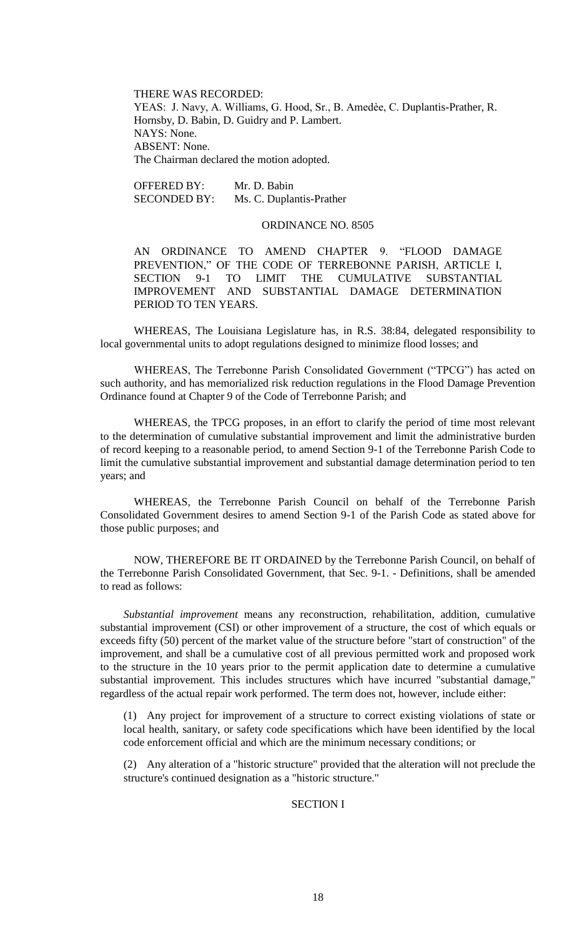THERE WAS RECORDED: YEAS: J. Navy, A. Williams, G. Hood, Sr., B. Amedèe, C. Duplantis-Prather, R. Hornsby, D. Babin, D. Guidry and P. Lambert. NAYS: None. ABSENT: None. The Chairman declared the motion adopted.

OFFERED BY: Mr. D. Babin SECONDED BY: Ms. C. Duplantis-Prather

### ORDINANCE NO. 8505

AN ORDINANCE TO AMEND CHAPTER 9. "FLOOD DAMAGE PREVENTION," OF THE CODE OF TERREBONNE PARISH, ARTICLE I, SECTION 9-1 TO LIMIT THE CUMULATIVE SUBSTANTIAL IMPROVEMENT AND SUBSTANTIAL DAMAGE DETERMINATION PERIOD TO TEN YEARS.

WHEREAS, The Louisiana Legislature has, in R.S. 38:84, delegated responsibility to local governmental units to adopt regulations designed to minimize flood losses; and

WHEREAS, The Terrebonne Parish Consolidated Government ("TPCG") has acted on such authority, and has memorialized risk reduction regulations in the Flood Damage Prevention Ordinance found at Chapter 9 of the Code of Terrebonne Parish; and

WHEREAS, the TPCG proposes, in an effort to clarify the period of time most relevant to the determination of cumulative substantial improvement and limit the administrative burden of record keeping to a reasonable period, to amend Section 9-1 of the Terrebonne Parish Code to limit the cumulative substantial improvement and substantial damage determination period to ten years; and

WHEREAS, the Terrebonne Parish Council on behalf of the Terrebonne Parish Consolidated Government desires to amend Section 9-1 of the Parish Code as stated above for those public purposes; and

NOW, THEREFORE BE IT ORDAINED by the Terrebonne Parish Council, on behalf of the Terrebonne Parish Consolidated Government, that Sec. 9-1. - Definitions, shall be amended to read as follows:

*Substantial improvement* means any reconstruction, rehabilitation, addition, cumulative substantial improvement (CSI) or other improvement of a structure, the cost of which equals or exceeds fifty (50) percent of the market value of the structure before "start of construction" of the improvement, and shall be a cumulative cost of all previous permitted work and proposed work to the structure in the 10 years prior to the permit application date to determine a cumulative substantial improvement. This includes structures which have incurred "substantial damage," regardless of the actual repair work performed. The term does not, however, include either:

(1) Any project for improvement of a structure to correct existing violations of state or local health, sanitary, or safety code specifications which have been identified by the local code enforcement official and which are the minimum necessary conditions; or

(2) Any alteration of a "historic structure" provided that the alteration will not preclude the structure's continued designation as a "historic structure."

# SECTION I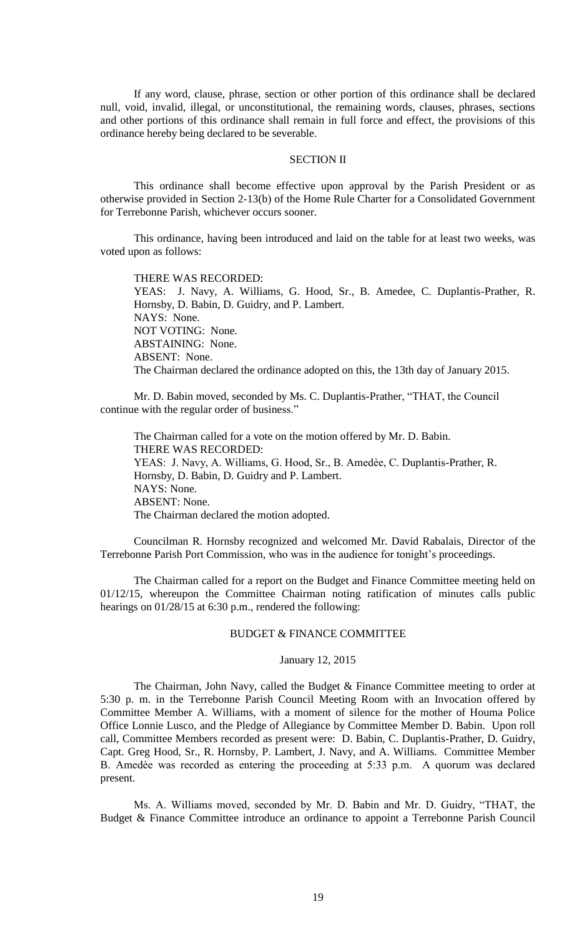If any word, clause, phrase, section or other portion of this ordinance shall be declared null, void, invalid, illegal, or unconstitutional, the remaining words, clauses, phrases, sections and other portions of this ordinance shall remain in full force and effect, the provisions of this ordinance hereby being declared to be severable.

## SECTION II

This ordinance shall become effective upon approval by the Parish President or as otherwise provided in Section 2-13(b) of the Home Rule Charter for a Consolidated Government for Terrebonne Parish, whichever occurs sooner.

This ordinance, having been introduced and laid on the table for at least two weeks, was voted upon as follows:

THERE WAS RECORDED: YEAS: J. Navy, A. Williams, G. Hood, Sr., B. Amedee, C. Duplantis-Prather, R. Hornsby, D. Babin, D. Guidry, and P. Lambert. NAYS: None. NOT VOTING: None. ABSTAINING: None. ABSENT: None. The Chairman declared the ordinance adopted on this, the 13th day of January 2015.

Mr. D. Babin moved, seconded by Ms. C. Duplantis-Prather, "THAT, the Council continue with the regular order of business."

The Chairman called for a vote on the motion offered by Mr. D. Babin. THERE WAS RECORDED: YEAS: J. Navy, A. Williams, G. Hood, Sr., B. Amedèe, C. Duplantis-Prather, R. Hornsby, D. Babin, D. Guidry and P. Lambert. NAYS: None. ABSENT: None. The Chairman declared the motion adopted.

Councilman R. Hornsby recognized and welcomed Mr. David Rabalais, Director of the Terrebonne Parish Port Commission, who was in the audience for tonight's proceedings.

The Chairman called for a report on the Budget and Finance Committee meeting held on 01/12/15, whereupon the Committee Chairman noting ratification of minutes calls public hearings on  $01/28/15$  at 6:30 p.m., rendered the following:

### BUDGET & FINANCE COMMITTEE

## January 12, 2015

The Chairman, John Navy, called the Budget & Finance Committee meeting to order at 5:30 p. m. in the Terrebonne Parish Council Meeting Room with an Invocation offered by Committee Member A. Williams, with a moment of silence for the mother of Houma Police Office Lonnie Lusco, and the Pledge of Allegiance by Committee Member D. Babin. Upon roll call, Committee Members recorded as present were: D. Babin, C. Duplantis-Prather, D. Guidry, Capt. Greg Hood, Sr., R. Hornsby, P. Lambert, J. Navy, and A. Williams. Committee Member B. Amedèe was recorded as entering the proceeding at 5:33 p.m. A quorum was declared present.

Ms. A. Williams moved, seconded by Mr. D. Babin and Mr. D. Guidry, "THAT, the Budget & Finance Committee introduce an ordinance to appoint a Terrebonne Parish Council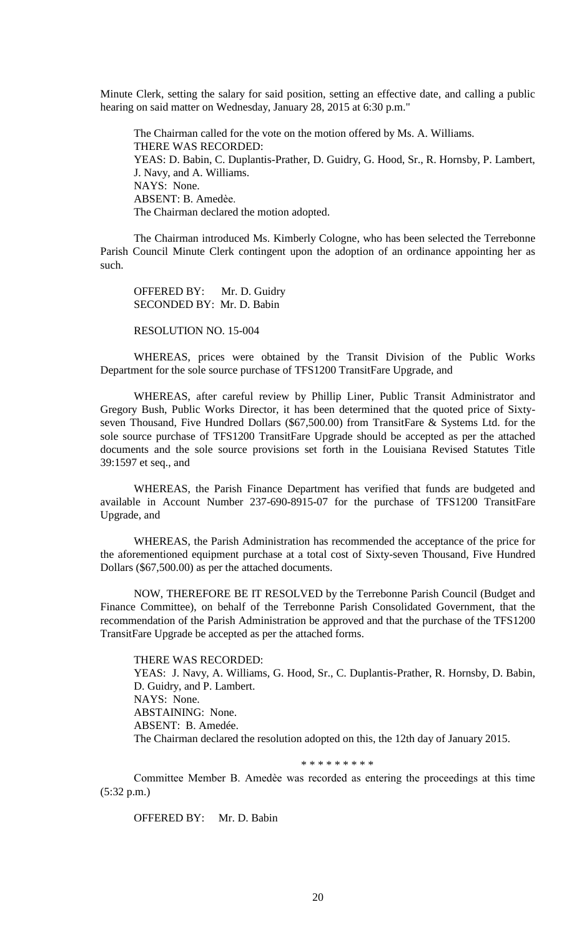Minute Clerk, setting the salary for said position, setting an effective date, and calling a public hearing on said matter on Wednesday, January 28, 2015 at 6:30 p.m."

The Chairman called for the vote on the motion offered by Ms. A. Williams. THERE WAS RECORDED: YEAS: D. Babin, C. Duplantis-Prather, D. Guidry, G. Hood, Sr., R. Hornsby, P. Lambert, J. Navy, and A. Williams. NAYS: None. ABSENT: B. Amedѐe. The Chairman declared the motion adopted.

The Chairman introduced Ms. Kimberly Cologne, who has been selected the Terrebonne Parish Council Minute Clerk contingent upon the adoption of an ordinance appointing her as such.

OFFERED BY: Mr. D. Guidry SECONDED BY: Mr. D. Babin

RESOLUTION NO. 15-004

WHEREAS, prices were obtained by the Transit Division of the Public Works Department for the sole source purchase of TFS1200 TransitFare Upgrade, and

WHEREAS, after careful review by Phillip Liner, Public Transit Administrator and Gregory Bush, Public Works Director, it has been determined that the quoted price of Sixtyseven Thousand, Five Hundred Dollars (\$67,500.00) from TransitFare & Systems Ltd. for the sole source purchase of TFS1200 TransitFare Upgrade should be accepted as per the attached documents and the sole source provisions set forth in the Louisiana Revised Statutes Title 39:1597 et seq., and

WHEREAS, the Parish Finance Department has verified that funds are budgeted and available in Account Number 237-690-8915-07 for the purchase of TFS1200 TransitFare Upgrade, and

WHEREAS, the Parish Administration has recommended the acceptance of the price for the aforementioned equipment purchase at a total cost of Sixty-seven Thousand, Five Hundred Dollars (\$67,500.00) as per the attached documents.

NOW, THEREFORE BE IT RESOLVED by the Terrebonne Parish Council (Budget and Finance Committee), on behalf of the Terrebonne Parish Consolidated Government, that the recommendation of the Parish Administration be approved and that the purchase of the TFS1200 TransitFare Upgrade be accepted as per the attached forms.

THERE WAS RECORDED: YEAS: J. Navy, A. Williams, G. Hood, Sr., C. Duplantis-Prather, R. Hornsby, D. Babin, D. Guidry, and P. Lambert. NAYS: None. ABSTAINING: None. ABSENT: B. Amedée. The Chairman declared the resolution adopted on this, the 12th day of January 2015.

\* \* \* \* \* \* \* \* \*

Committee Member B. Amedѐe was recorded as entering the proceedings at this time (5:32 p.m.)

OFFERED BY: Mr. D. Babin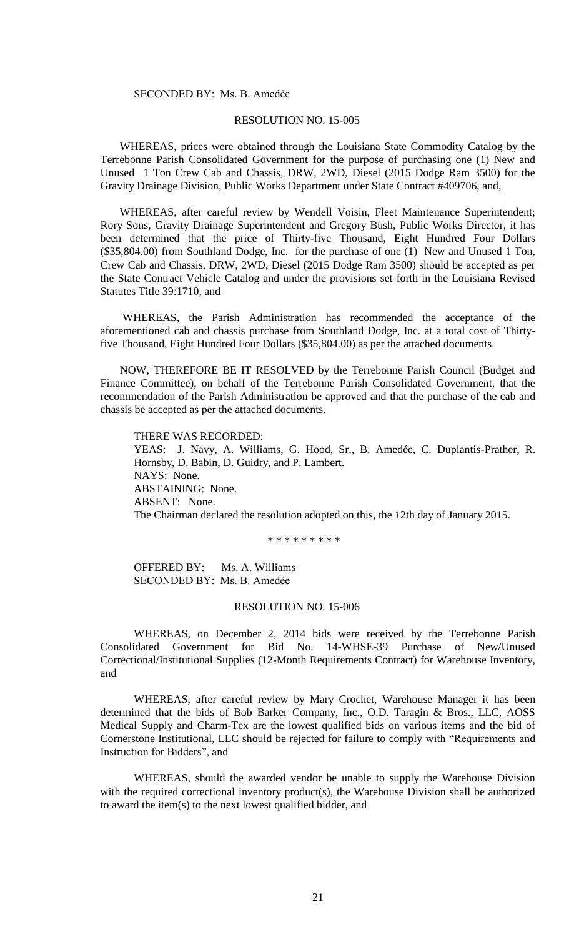### SECONDED BY: Ms. B. Amedẻe

# RESOLUTION NO. 15-005

 WHEREAS, prices were obtained through the Louisiana State Commodity Catalog by the Terrebonne Parish Consolidated Government for the purpose of purchasing one (1) New and Unused 1 Ton Crew Cab and Chassis, DRW, 2WD, Diesel (2015 Dodge Ram 3500) for the Gravity Drainage Division, Public Works Department under State Contract #409706, and,

 WHEREAS, after careful review by Wendell Voisin, Fleet Maintenance Superintendent; Rory Sons, Gravity Drainage Superintendent and Gregory Bush, Public Works Director, it has been determined that the price of Thirty-five Thousand, Eight Hundred Four Dollars (\$35,804.00) from Southland Dodge, Inc. for the purchase of one (1) New and Unused 1 Ton, Crew Cab and Chassis, DRW, 2WD, Diesel (2015 Dodge Ram 3500) should be accepted as per the State Contract Vehicle Catalog and under the provisions set forth in the Louisiana Revised Statutes Title 39:1710, and

 WHEREAS, the Parish Administration has recommended the acceptance of the aforementioned cab and chassis purchase from Southland Dodge, Inc. at a total cost of Thirtyfive Thousand, Eight Hundred Four Dollars (\$35,804.00) as per the attached documents.

 NOW, THEREFORE BE IT RESOLVED by the Terrebonne Parish Council (Budget and Finance Committee), on behalf of the Terrebonne Parish Consolidated Government, that the recommendation of the Parish Administration be approved and that the purchase of the cab and chassis be accepted as per the attached documents.

THERE WAS RECORDED: YEAS: J. Navy, A. Williams, G. Hood, Sr., B. Amedée, C. Duplantis-Prather, R. Hornsby, D. Babin, D. Guidry, and P. Lambert. NAYS: None. ABSTAINING: None. ABSENT: None. The Chairman declared the resolution adopted on this, the 12th day of January 2015.

\* \* \* \* \* \* \* \* \*

OFFERED BY: Ms. A. Williams SECONDED BY: Ms. B. Amedẻe

# RESOLUTION NO. 15-006

WHEREAS, on December 2, 2014 bids were received by the Terrebonne Parish Consolidated Government for Bid No. 14-WHSE-39 Purchase of New/Unused Correctional/Institutional Supplies (12-Month Requirements Contract) for Warehouse Inventory, and

WHEREAS, after careful review by Mary Crochet, Warehouse Manager it has been determined that the bids of Bob Barker Company, Inc., O.D. Taragin & Bros., LLC, AOSS Medical Supply and Charm-Tex are the lowest qualified bids on various items and the bid of Cornerstone Institutional, LLC should be rejected for failure to comply with "Requirements and Instruction for Bidders", and

WHEREAS, should the awarded vendor be unable to supply the Warehouse Division with the required correctional inventory product(s), the Warehouse Division shall be authorized to award the item(s) to the next lowest qualified bidder, and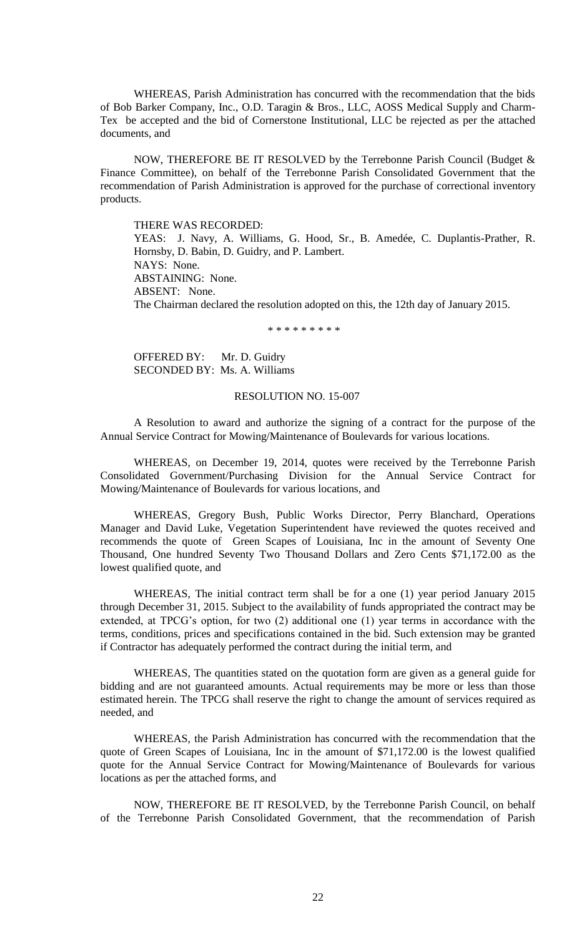WHEREAS, Parish Administration has concurred with the recommendation that the bids of Bob Barker Company, Inc., O.D. Taragin & Bros., LLC, AOSS Medical Supply and Charm-Tex be accepted and the bid of Cornerstone Institutional, LLC be rejected as per the attached documents, and

NOW, THEREFORE BE IT RESOLVED by the Terrebonne Parish Council (Budget & Finance Committee), on behalf of the Terrebonne Parish Consolidated Government that the recommendation of Parish Administration is approved for the purchase of correctional inventory products.

THERE WAS RECORDED:

YEAS: J. Navy, A. Williams, G. Hood, Sr., B. Amedée, C. Duplantis-Prather, R. Hornsby, D. Babin, D. Guidry, and P. Lambert. NAYS: None. ABSTAINING: None. ABSENT: None. The Chairman declared the resolution adopted on this, the 12th day of January 2015.

\* \* \* \* \* \* \* \* \*

OFFERED BY: Mr. D. Guidry SECONDED BY: Ms. A. Williams

## RESOLUTION NO. 15-007

A Resolution to award and authorize the signing of a contract for the purpose of the Annual Service Contract for Mowing/Maintenance of Boulevards for various locations.

WHEREAS, on December 19, 2014, quotes were received by the Terrebonne Parish Consolidated Government/Purchasing Division for the Annual Service Contract for Mowing/Maintenance of Boulevards for various locations, and

WHEREAS, Gregory Bush, Public Works Director, Perry Blanchard, Operations Manager and David Luke, Vegetation Superintendent have reviewed the quotes received and recommends the quote of Green Scapes of Louisiana, Inc in the amount of Seventy One Thousand, One hundred Seventy Two Thousand Dollars and Zero Cents \$71,172.00 as the lowest qualified quote, and

WHEREAS, The initial contract term shall be for a one (1) year period January 2015 through December 31, 2015. Subject to the availability of funds appropriated the contract may be extended, at TPCG's option, for two (2) additional one (1) year terms in accordance with the terms, conditions, prices and specifications contained in the bid. Such extension may be granted if Contractor has adequately performed the contract during the initial term, and

WHEREAS, The quantities stated on the quotation form are given as a general guide for bidding and are not guaranteed amounts. Actual requirements may be more or less than those estimated herein. The TPCG shall reserve the right to change the amount of services required as needed, and

WHEREAS, the Parish Administration has concurred with the recommendation that the quote of Green Scapes of Louisiana, Inc in the amount of \$71,172.00 is the lowest qualified quote for the Annual Service Contract for Mowing/Maintenance of Boulevards for various locations as per the attached forms, and

NOW, THEREFORE BE IT RESOLVED, by the Terrebonne Parish Council, on behalf of the Terrebonne Parish Consolidated Government, that the recommendation of Parish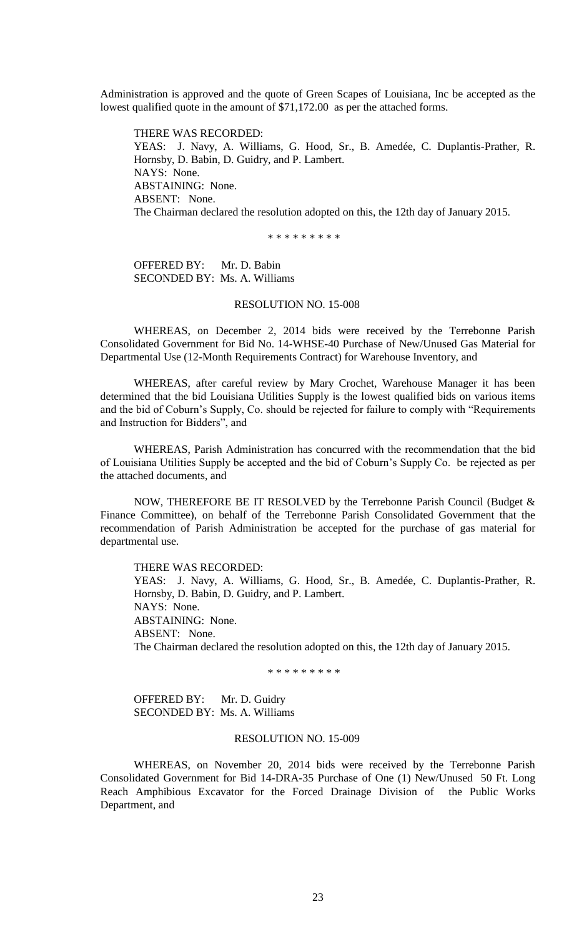Administration is approved and the quote of Green Scapes of Louisiana, Inc be accepted as the lowest qualified quote in the amount of \$71,172.00 as per the attached forms.

THERE WAS RECORDED: YEAS: J. Navy, A. Williams, G. Hood, Sr., B. Amedée, C. Duplantis-Prather, R. Hornsby, D. Babin, D. Guidry, and P. Lambert. NAYS: None. ABSTAINING: None. ABSENT: None. The Chairman declared the resolution adopted on this, the 12th day of January 2015.

\* \* \* \* \* \* \* \* \*

OFFERED BY: Mr. D. Babin SECONDED BY: Ms. A. Williams

# RESOLUTION NO. 15-008

WHEREAS, on December 2, 2014 bids were received by the Terrebonne Parish Consolidated Government for Bid No. 14-WHSE-40 Purchase of New/Unused Gas Material for Departmental Use (12-Month Requirements Contract) for Warehouse Inventory, and

WHEREAS, after careful review by Mary Crochet, Warehouse Manager it has been determined that the bid Louisiana Utilities Supply is the lowest qualified bids on various items and the bid of Coburn's Supply, Co. should be rejected for failure to comply with "Requirements and Instruction for Bidders", and

WHEREAS, Parish Administration has concurred with the recommendation that the bid of Louisiana Utilities Supply be accepted and the bid of Coburn's Supply Co. be rejected as per the attached documents, and

NOW, THEREFORE BE IT RESOLVED by the Terrebonne Parish Council (Budget & Finance Committee), on behalf of the Terrebonne Parish Consolidated Government that the recommendation of Parish Administration be accepted for the purchase of gas material for departmental use.

THERE WAS RECORDED: YEAS: J. Navy, A. Williams, G. Hood, Sr., B. Amedée, C. Duplantis-Prather, R. Hornsby, D. Babin, D. Guidry, and P. Lambert. NAYS: None. ABSTAINING: None. ABSENT: None. The Chairman declared the resolution adopted on this, the 12th day of January 2015.

\* \* \* \* \* \* \* \* \*

OFFERED BY: Mr. D. Guidry SECONDED BY: Ms. A. Williams

## RESOLUTION NO. 15-009

WHEREAS, on November 20, 2014 bids were received by the Terrebonne Parish Consolidated Government for Bid 14-DRA-35 Purchase of One (1) New/Unused 50 Ft. Long Reach Amphibious Excavator for the Forced Drainage Division of the Public Works Department, and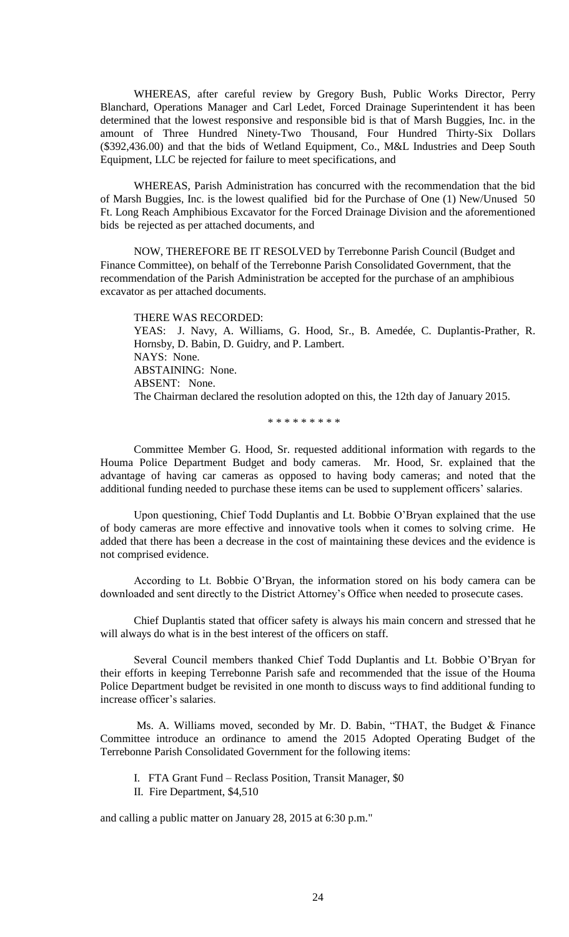WHEREAS, after careful review by Gregory Bush, Public Works Director, Perry Blanchard, Operations Manager and Carl Ledet, Forced Drainage Superintendent it has been determined that the lowest responsive and responsible bid is that of Marsh Buggies, Inc. in the amount of Three Hundred Ninety-Two Thousand, Four Hundred Thirty-Six Dollars (\$392,436.00) and that the bids of Wetland Equipment, Co., M&L Industries and Deep South Equipment, LLC be rejected for failure to meet specifications, and

WHEREAS, Parish Administration has concurred with the recommendation that the bid of Marsh Buggies, Inc. is the lowest qualified bid for the Purchase of One (1) New/Unused 50 Ft. Long Reach Amphibious Excavator for the Forced Drainage Division and the aforementioned bids be rejected as per attached documents, and

NOW, THEREFORE BE IT RESOLVED by Terrebonne Parish Council (Budget and Finance Committee), on behalf of the Terrebonne Parish Consolidated Government, that the recommendation of the Parish Administration be accepted for the purchase of an amphibious excavator as per attached documents.

THERE WAS RECORDED: YEAS: J. Navy, A. Williams, G. Hood, Sr., B. Amedée, C. Duplantis-Prather, R. Hornsby, D. Babin, D. Guidry, and P. Lambert. NAYS: None. ABSTAINING: None. ABSENT: None. The Chairman declared the resolution adopted on this, the 12th day of January 2015.

\* \* \* \* \* \* \* \* \*

Committee Member G. Hood, Sr. requested additional information with regards to the Houma Police Department Budget and body cameras. Mr. Hood, Sr. explained that the advantage of having car cameras as opposed to having body cameras; and noted that the additional funding needed to purchase these items can be used to supplement officers' salaries.

Upon questioning, Chief Todd Duplantis and Lt. Bobbie O'Bryan explained that the use of body cameras are more effective and innovative tools when it comes to solving crime. He added that there has been a decrease in the cost of maintaining these devices and the evidence is not comprised evidence.

According to Lt. Bobbie O'Bryan, the information stored on his body camera can be downloaded and sent directly to the District Attorney's Office when needed to prosecute cases.

Chief Duplantis stated that officer safety is always his main concern and stressed that he will always do what is in the best interest of the officers on staff.

Several Council members thanked Chief Todd Duplantis and Lt. Bobbie O'Bryan for their efforts in keeping Terrebonne Parish safe and recommended that the issue of the Houma Police Department budget be revisited in one month to discuss ways to find additional funding to increase officer's salaries.

Ms. A. Williams moved, seconded by Mr. D. Babin, "THAT, the Budget & Finance Committee introduce an ordinance to amend the 2015 Adopted Operating Budget of the Terrebonne Parish Consolidated Government for the following items:

I. FTA Grant Fund – Reclass Position, Transit Manager, \$0

II. Fire Department, \$4,510

and calling a public matter on January 28, 2015 at 6:30 p.m."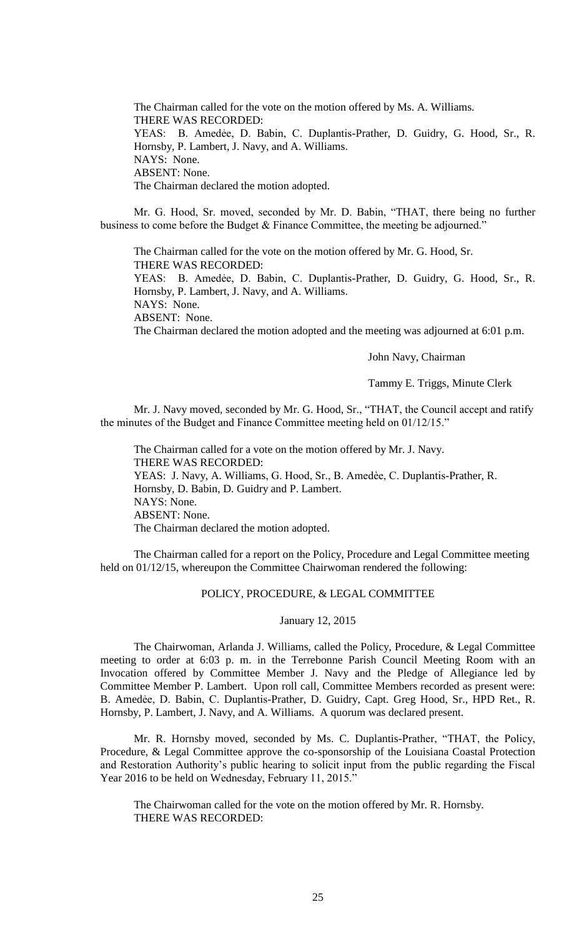The Chairman called for the vote on the motion offered by Ms. A. Williams. THERE WAS RECORDED: YEAS: B. Amedẻe, D. Babin, C. Duplantis-Prather, D. Guidry, G. Hood, Sr., R. Hornsby, P. Lambert, J. Navy, and A. Williams. NAYS: None. ABSENT: None. The Chairman declared the motion adopted.

Mr. G. Hood, Sr. moved, seconded by Mr. D. Babin, "THAT, there being no further business to come before the Budget & Finance Committee, the meeting be adjourned."

The Chairman called for the vote on the motion offered by Mr. G. Hood, Sr. THERE WAS RECORDED: YEAS: B. Amedẻe, D. Babin, C. Duplantis-Prather, D. Guidry, G. Hood, Sr., R. Hornsby, P. Lambert, J. Navy, and A. Williams. NAYS: None. ABSENT: None. The Chairman declared the motion adopted and the meeting was adjourned at 6:01 p.m.

John Navy, Chairman

Tammy E. Triggs, Minute Clerk

Mr. J. Navy moved, seconded by Mr. G. Hood, Sr., "THAT, the Council accept and ratify the minutes of the Budget and Finance Committee meeting held on 01/12/15."

The Chairman called for a vote on the motion offered by Mr. J. Navy. THERE WAS RECORDED: YEAS: J. Navy, A. Williams, G. Hood, Sr., B. Amedèe, C. Duplantis-Prather, R. Hornsby, D. Babin, D. Guidry and P. Lambert. NAYS: None. ABSENT: None. The Chairman declared the motion adopted.

The Chairman called for a report on the Policy, Procedure and Legal Committee meeting held on 01/12/15, whereupon the Committee Chairwoman rendered the following:

# POLICY, PROCEDURE, & LEGAL COMMITTEE

January 12, 2015

The Chairwoman, Arlanda J. Williams, called the Policy, Procedure, & Legal Committee meeting to order at 6:03 p. m. in the Terrebonne Parish Council Meeting Room with an Invocation offered by Committee Member J. Navy and the Pledge of Allegiance led by Committee Member P. Lambert. Upon roll call, Committee Members recorded as present were: B. Amedẻe, D. Babin, C. Duplantis-Prather, D. Guidry, Capt. Greg Hood, Sr., HPD Ret., R. Hornsby, P. Lambert, J. Navy, and A. Williams. A quorum was declared present.

Mr. R. Hornsby moved, seconded by Ms. C. Duplantis-Prather, "THAT, the Policy, Procedure, & Legal Committee approve the co-sponsorship of the Louisiana Coastal Protection and Restoration Authority's public hearing to solicit input from the public regarding the Fiscal Year 2016 to be held on Wednesday, February 11, 2015."

The Chairwoman called for the vote on the motion offered by Mr. R. Hornsby. THERE WAS RECORDED: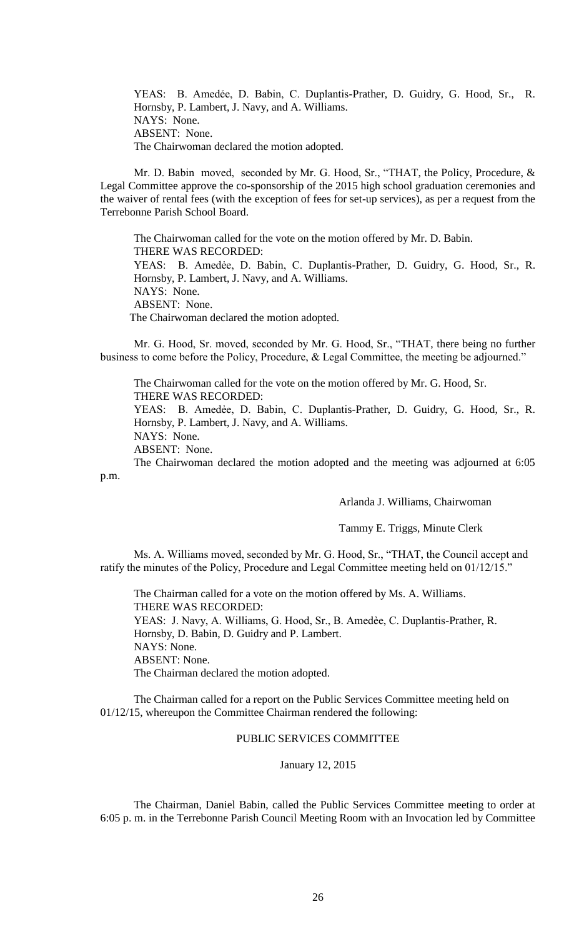YEAS: B. Amedẻe, D. Babin, C. Duplantis-Prather, D. Guidry, G. Hood, Sr., R. Hornsby, P. Lambert, J. Navy, and A. Williams. NAYS: None. ABSENT: None. The Chairwoman declared the motion adopted.

Mr. D. Babin moved, seconded by Mr. G. Hood, Sr., "THAT, the Policy, Procedure, & Legal Committee approve the co-sponsorship of the 2015 high school graduation ceremonies and the waiver of rental fees (with the exception of fees for set-up services), as per a request from the Terrebonne Parish School Board.

The Chairwoman called for the vote on the motion offered by Mr. D. Babin. THERE WAS RECORDED: YEAS: B. Amedẻe, D. Babin, C. Duplantis-Prather, D. Guidry, G. Hood, Sr., R. Hornsby, P. Lambert, J. Navy, and A. Williams. NAYS: None. ABSENT: None. The Chairwoman declared the motion adopted.

Mr. G. Hood, Sr. moved, seconded by Mr. G. Hood, Sr., "THAT, there being no further business to come before the Policy, Procedure, & Legal Committee, the meeting be adjourned."

The Chairwoman called for the vote on the motion offered by Mr. G. Hood, Sr. THERE WAS RECORDED:

YEAS: B. Amedẻe, D. Babin, C. Duplantis-Prather, D. Guidry, G. Hood, Sr., R. Hornsby, P. Lambert, J. Navy, and A. Williams.

NAYS: None.

ABSENT: None.

The Chairwoman declared the motion adopted and the meeting was adjourned at 6:05 p.m.

Arlanda J. Williams, Chairwoman

Tammy E. Triggs, Minute Clerk

Ms. A. Williams moved, seconded by Mr. G. Hood, Sr., "THAT, the Council accept and ratify the minutes of the Policy, Procedure and Legal Committee meeting held on 01/12/15."

The Chairman called for a vote on the motion offered by Ms. A. Williams. THERE WAS RECORDED: YEAS: J. Navy, A. Williams, G. Hood, Sr., B. Amedèe, C. Duplantis-Prather, R. Hornsby, D. Babin, D. Guidry and P. Lambert. NAYS: None. ABSENT: None. The Chairman declared the motion adopted.

The Chairman called for a report on the Public Services Committee meeting held on 01/12/15, whereupon the Committee Chairman rendered the following:

## PUBLIC SERVICES COMMITTEE

## January 12, 2015

The Chairman, Daniel Babin, called the Public Services Committee meeting to order at 6:05 p. m. in the Terrebonne Parish Council Meeting Room with an Invocation led by Committee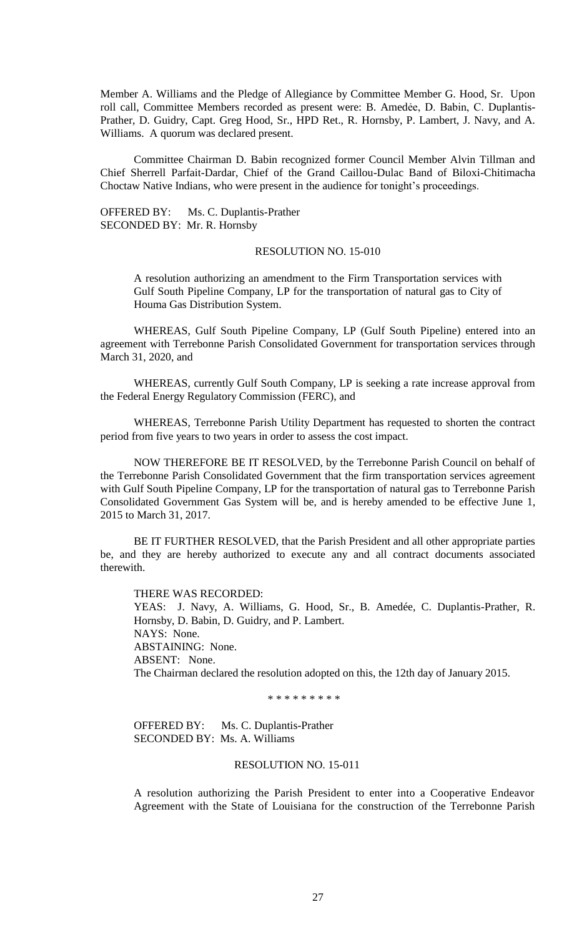Member A. Williams and the Pledge of Allegiance by Committee Member G. Hood, Sr. Upon roll call, Committee Members recorded as present were: B. Amedẻe, D. Babin, C. Duplantis-Prather, D. Guidry, Capt. Greg Hood, Sr., HPD Ret., R. Hornsby, P. Lambert, J. Navy, and A. Williams. A quorum was declared present.

Committee Chairman D. Babin recognized former Council Member Alvin Tillman and Chief Sherrell Parfait-Dardar, Chief of the Grand Caillou-Dulac Band of Biloxi-Chitimacha Choctaw Native Indians, who were present in the audience for tonight's proceedings.

OFFERED BY: Ms. C. Duplantis-Prather SECONDED BY: Mr. R. Hornsby

# RESOLUTION NO. 15-010

A resolution authorizing an amendment to the Firm Transportation services with Gulf South Pipeline Company, LP for the transportation of natural gas to City of Houma Gas Distribution System.

WHEREAS, Gulf South Pipeline Company, LP (Gulf South Pipeline) entered into an agreement with Terrebonne Parish Consolidated Government for transportation services through March 31, 2020, and

WHEREAS, currently Gulf South Company, LP is seeking a rate increase approval from the Federal Energy Regulatory Commission (FERC), and

WHEREAS, Terrebonne Parish Utility Department has requested to shorten the contract period from five years to two years in order to assess the cost impact.

NOW THEREFORE BE IT RESOLVED, by the Terrebonne Parish Council on behalf of the Terrebonne Parish Consolidated Government that the firm transportation services agreement with Gulf South Pipeline Company, LP for the transportation of natural gas to Terrebonne Parish Consolidated Government Gas System will be, and is hereby amended to be effective June 1, 2015 to March 31, 2017.

BE IT FURTHER RESOLVED, that the Parish President and all other appropriate parties be, and they are hereby authorized to execute any and all contract documents associated therewith.

#### THERE WAS RECORDED:

YEAS: J. Navy, A. Williams, G. Hood, Sr., B. Amedée, C. Duplantis-Prather, R. Hornsby, D. Babin, D. Guidry, and P. Lambert. NAYS: None. ABSTAINING: None. ABSENT: None. The Chairman declared the resolution adopted on this, the 12th day of January 2015.

\* \* \* \* \* \* \* \* \*

OFFERED BY: Ms. C. Duplantis-Prather SECONDED BY: Ms. A. Williams

## RESOLUTION NO. 15-011

A resolution authorizing the Parish President to enter into a Cooperative Endeavor Agreement with the State of Louisiana for the construction of the Terrebonne Parish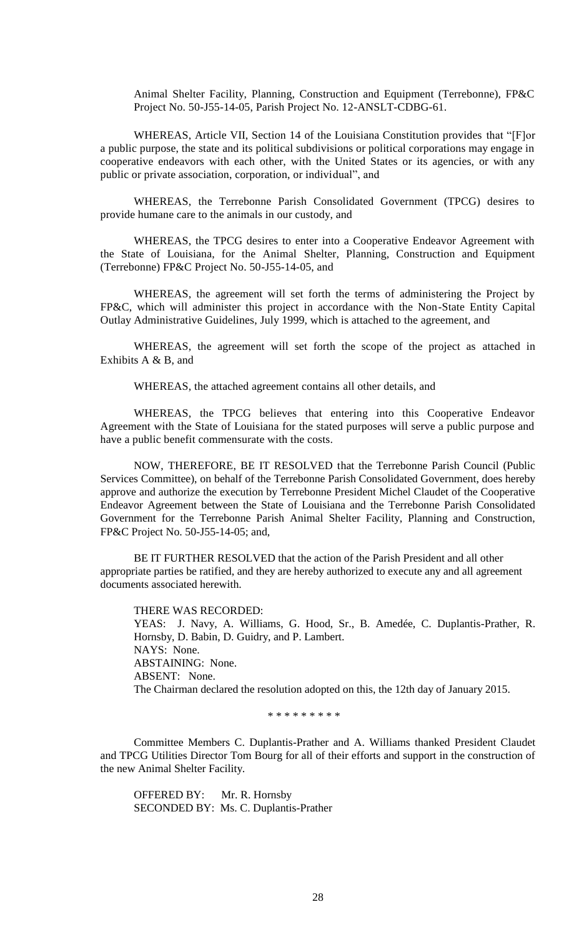Animal Shelter Facility, Planning, Construction and Equipment (Terrebonne), FP&C Project No. 50-J55-14-05, Parish Project No. 12-ANSLT-CDBG-61.

WHEREAS, Article VII, Section 14 of the Louisiana Constitution provides that "[F]or a public purpose, the state and its political subdivisions or political corporations may engage in cooperative endeavors with each other, with the United States or its agencies, or with any public or private association, corporation, or individual", and

WHEREAS, the Terrebonne Parish Consolidated Government (TPCG) desires to provide humane care to the animals in our custody, and

WHEREAS, the TPCG desires to enter into a Cooperative Endeavor Agreement with the State of Louisiana, for the Animal Shelter, Planning, Construction and Equipment (Terrebonne) FP&C Project No. 50-J55-14-05, and

WHEREAS, the agreement will set forth the terms of administering the Project by FP&C, which will administer this project in accordance with the Non-State Entity Capital Outlay Administrative Guidelines, July 1999, which is attached to the agreement, and

WHEREAS, the agreement will set forth the scope of the project as attached in Exhibits A & B, and

WHEREAS, the attached agreement contains all other details, and

WHEREAS, the TPCG believes that entering into this Cooperative Endeavor Agreement with the State of Louisiana for the stated purposes will serve a public purpose and have a public benefit commensurate with the costs.

NOW, THEREFORE, BE IT RESOLVED that the Terrebonne Parish Council (Public Services Committee), on behalf of the Terrebonne Parish Consolidated Government, does hereby approve and authorize the execution by Terrebonne President Michel Claudet of the Cooperative Endeavor Agreement between the State of Louisiana and the Terrebonne Parish Consolidated Government for the Terrebonne Parish Animal Shelter Facility, Planning and Construction, FP&C Project No. 50-J55-14-05; and,

BE IT FURTHER RESOLVED that the action of the Parish President and all other appropriate parties be ratified, and they are hereby authorized to execute any and all agreement documents associated herewith.

THERE WAS RECORDED: YEAS: J. Navy, A. Williams, G. Hood, Sr., B. Amedée, C. Duplantis-Prather, R. Hornsby, D. Babin, D. Guidry, and P. Lambert. NAYS: None. ABSTAINING: None. ABSENT: None. The Chairman declared the resolution adopted on this, the 12th day of January 2015.

\* \* \* \* \* \* \* \* \*

Committee Members C. Duplantis-Prather and A. Williams thanked President Claudet and TPCG Utilities Director Tom Bourg for all of their efforts and support in the construction of the new Animal Shelter Facility.

OFFERED BY: Mr. R. Hornsby SECONDED BY: Ms. C. Duplantis-Prather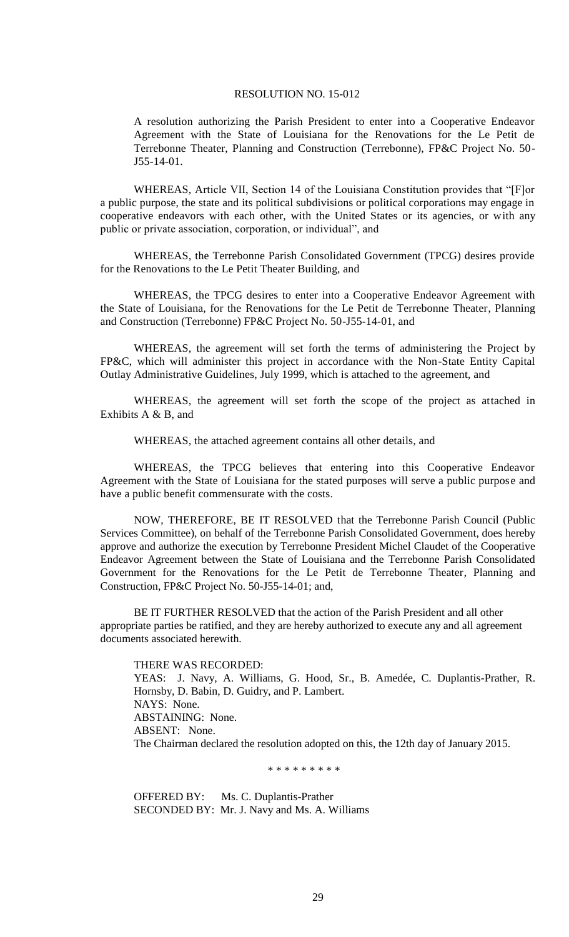A resolution authorizing the Parish President to enter into a Cooperative Endeavor Agreement with the State of Louisiana for the Renovations for the Le Petit de Terrebonne Theater, Planning and Construction (Terrebonne), FP&C Project No. 50- J55-14-01.

WHEREAS, Article VII, Section 14 of the Louisiana Constitution provides that "[F]or a public purpose, the state and its political subdivisions or political corporations may engage in cooperative endeavors with each other, with the United States or its agencies, or with any public or private association, corporation, or individual", and

WHEREAS, the Terrebonne Parish Consolidated Government (TPCG) desires provide for the Renovations to the Le Petit Theater Building, and

WHEREAS, the TPCG desires to enter into a Cooperative Endeavor Agreement with the State of Louisiana, for the Renovations for the Le Petit de Terrebonne Theater, Planning and Construction (Terrebonne) FP&C Project No. 50-J55-14-01, and

WHEREAS, the agreement will set forth the terms of administering the Project by FP&C, which will administer this project in accordance with the Non-State Entity Capital Outlay Administrative Guidelines, July 1999, which is attached to the agreement, and

WHEREAS, the agreement will set forth the scope of the project as attached in Exhibits A & B, and

WHEREAS, the attached agreement contains all other details, and

WHEREAS, the TPCG believes that entering into this Cooperative Endeavor Agreement with the State of Louisiana for the stated purposes will serve a public purpose and have a public benefit commensurate with the costs.

NOW, THEREFORE, BE IT RESOLVED that the Terrebonne Parish Council (Public Services Committee), on behalf of the Terrebonne Parish Consolidated Government, does hereby approve and authorize the execution by Terrebonne President Michel Claudet of the Cooperative Endeavor Agreement between the State of Louisiana and the Terrebonne Parish Consolidated Government for the Renovations for the Le Petit de Terrebonne Theater, Planning and Construction, FP&C Project No. 50-J55-14-01; and,

BE IT FURTHER RESOLVED that the action of the Parish President and all other appropriate parties be ratified, and they are hereby authorized to execute any and all agreement documents associated herewith.

THERE WAS RECORDED: YEAS: J. Navy, A. Williams, G. Hood, Sr., B. Amedée, C. Duplantis-Prather, R. Hornsby, D. Babin, D. Guidry, and P. Lambert. NAYS: None. ABSTAINING: None. ABSENT: None. The Chairman declared the resolution adopted on this, the 12th day of January 2015.

\* \* \* \* \* \* \* \* \*

OFFERED BY: Ms. C. Duplantis-Prather SECONDED BY: Mr. J. Navy and Ms. A. Williams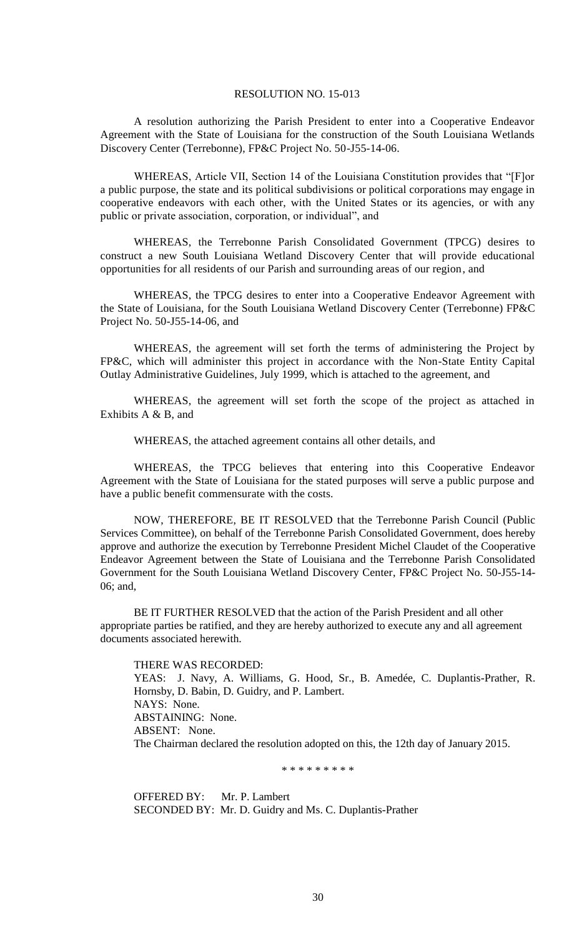A resolution authorizing the Parish President to enter into a Cooperative Endeavor Agreement with the State of Louisiana for the construction of the South Louisiana Wetlands Discovery Center (Terrebonne), FP&C Project No. 50-J55-14-06.

WHEREAS, Article VII, Section 14 of the Louisiana Constitution provides that "[F]or a public purpose, the state and its political subdivisions or political corporations may engage in cooperative endeavors with each other, with the United States or its agencies, or with any public or private association, corporation, or individual", and

WHEREAS, the Terrebonne Parish Consolidated Government (TPCG) desires to construct a new South Louisiana Wetland Discovery Center that will provide educational opportunities for all residents of our Parish and surrounding areas of our region, and

WHEREAS, the TPCG desires to enter into a Cooperative Endeavor Agreement with the State of Louisiana, for the South Louisiana Wetland Discovery Center (Terrebonne) FP&C Project No. 50-J55-14-06, and

WHEREAS, the agreement will set forth the terms of administering the Project by FP&C, which will administer this project in accordance with the Non-State Entity Capital Outlay Administrative Guidelines, July 1999, which is attached to the agreement, and

WHEREAS, the agreement will set forth the scope of the project as attached in Exhibits A & B, and

WHEREAS, the attached agreement contains all other details, and

WHEREAS, the TPCG believes that entering into this Cooperative Endeavor Agreement with the State of Louisiana for the stated purposes will serve a public purpose and have a public benefit commensurate with the costs.

NOW, THEREFORE, BE IT RESOLVED that the Terrebonne Parish Council (Public Services Committee), on behalf of the Terrebonne Parish Consolidated Government, does hereby approve and authorize the execution by Terrebonne President Michel Claudet of the Cooperative Endeavor Agreement between the State of Louisiana and the Terrebonne Parish Consolidated Government for the South Louisiana Wetland Discovery Center, FP&C Project No. 50-J55-14- 06; and,

BE IT FURTHER RESOLVED that the action of the Parish President and all other appropriate parties be ratified, and they are hereby authorized to execute any and all agreement documents associated herewith.

THERE WAS RECORDED: YEAS: J. Navy, A. Williams, G. Hood, Sr., B. Amedée, C. Duplantis-Prather, R. Hornsby, D. Babin, D. Guidry, and P. Lambert. NAYS: None. ABSTAINING: None. ABSENT: None. The Chairman declared the resolution adopted on this, the 12th day of January 2015.

\* \* \* \* \* \* \* \* \*

OFFERED BY: Mr. P. Lambert SECONDED BY: Mr. D. Guidry and Ms. C. Duplantis-Prather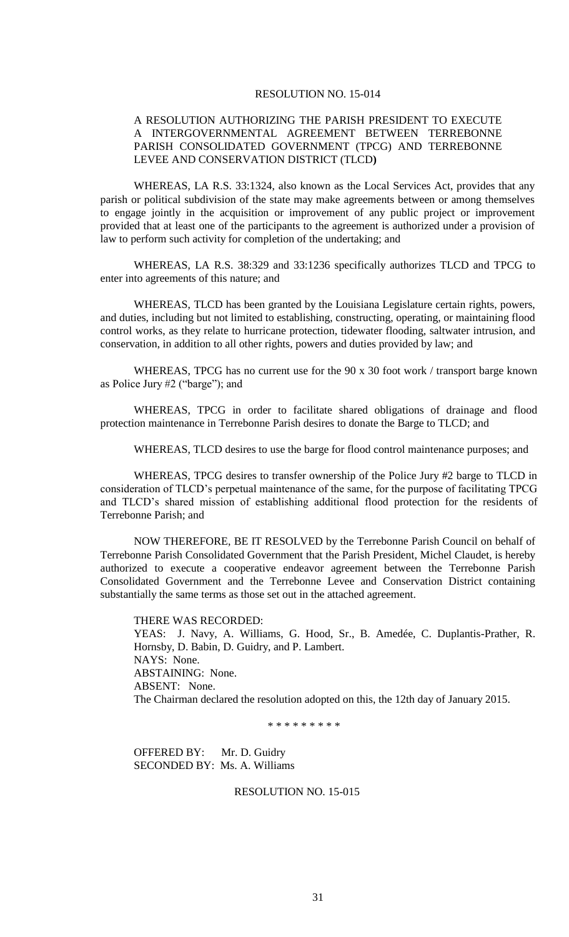# A RESOLUTION AUTHORIZING THE PARISH PRESIDENT TO EXECUTE A INTERGOVERNMENTAL AGREEMENT BETWEEN TERREBONNE PARISH CONSOLIDATED GOVERNMENT (TPCG) AND TERREBONNE LEVEE AND CONSERVATION DISTRICT (TLCD**)**

WHEREAS, LA R.S. 33:1324, also known as the Local Services Act, provides that any parish or political subdivision of the state may make agreements between or among themselves to engage jointly in the acquisition or improvement of any public project or improvement provided that at least one of the participants to the agreement is authorized under a provision of law to perform such activity for completion of the undertaking; and

WHEREAS, LA R.S. 38:329 and 33:1236 specifically authorizes TLCD and TPCG to enter into agreements of this nature; and

WHEREAS, TLCD has been granted by the Louisiana Legislature certain rights, powers, and duties, including but not limited to establishing, constructing, operating, or maintaining flood control works, as they relate to hurricane protection, tidewater flooding, saltwater intrusion, and conservation, in addition to all other rights, powers and duties provided by law; and

WHEREAS, TPCG has no current use for the 90 x 30 foot work / transport barge known as Police Jury #2 ("barge"); and

WHEREAS, TPCG in order to facilitate shared obligations of drainage and flood protection maintenance in Terrebonne Parish desires to donate the Barge to TLCD; and

WHEREAS, TLCD desires to use the barge for flood control maintenance purposes; and

WHEREAS, TPCG desires to transfer ownership of the Police Jury #2 barge to TLCD in consideration of TLCD's perpetual maintenance of the same, for the purpose of facilitating TPCG and TLCD's shared mission of establishing additional flood protection for the residents of Terrebonne Parish; and

NOW THEREFORE, BE IT RESOLVED by the Terrebonne Parish Council on behalf of Terrebonne Parish Consolidated Government that the Parish President, Michel Claudet, is hereby authorized to execute a cooperative endeavor agreement between the Terrebonne Parish Consolidated Government and the Terrebonne Levee and Conservation District containing substantially the same terms as those set out in the attached agreement.

THERE WAS RECORDED: YEAS: J. Navy, A. Williams, G. Hood, Sr., B. Amedée, C. Duplantis-Prather, R. Hornsby, D. Babin, D. Guidry, and P. Lambert. NAYS: None. ABSTAINING: None. ABSENT: None. The Chairman declared the resolution adopted on this, the 12th day of January 2015.

\* \* \* \* \* \* \* \* \*

OFFERED BY: Mr. D. Guidry SECONDED BY: Ms. A. Williams

## RESOLUTION NO. 15-015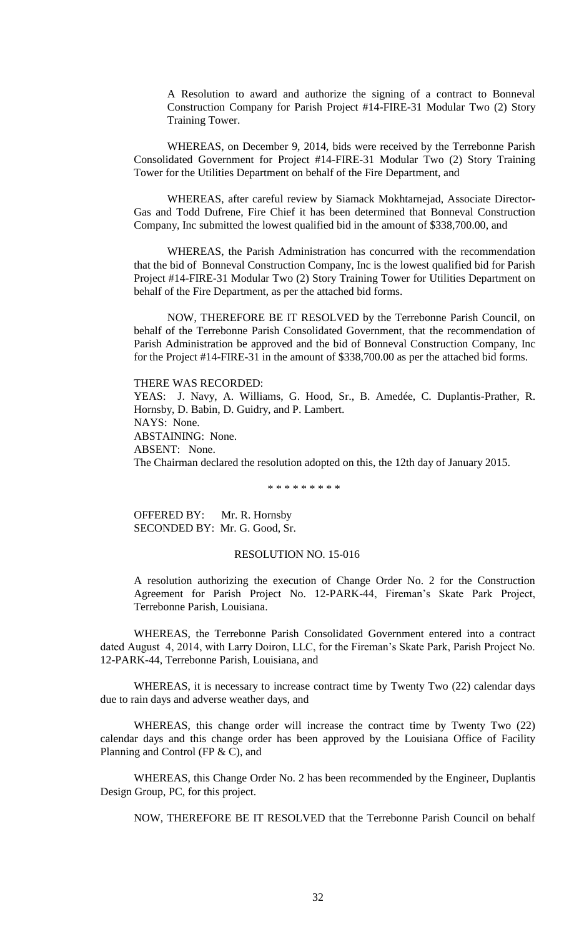A Resolution to award and authorize the signing of a contract to Bonneval Construction Company for Parish Project #14-FIRE-31 Modular Two (2) Story Training Tower.

WHEREAS, on December 9, 2014, bids were received by the Terrebonne Parish Consolidated Government for Project #14-FIRE-31 Modular Two (2) Story Training Tower for the Utilities Department on behalf of the Fire Department, and

WHEREAS, after careful review by Siamack Mokhtarnejad, Associate Director-Gas and Todd Dufrene, Fire Chief it has been determined that Bonneval Construction Company, Inc submitted the lowest qualified bid in the amount of \$338,700.00, and

WHEREAS, the Parish Administration has concurred with the recommendation that the bid of Bonneval Construction Company, Inc is the lowest qualified bid for Parish Project #14-FIRE-31 Modular Two (2) Story Training Tower for Utilities Department on behalf of the Fire Department, as per the attached bid forms.

NOW, THEREFORE BE IT RESOLVED by the Terrebonne Parish Council, on behalf of the Terrebonne Parish Consolidated Government, that the recommendation of Parish Administration be approved and the bid of Bonneval Construction Company, Inc for the Project #14-FIRE-31 in the amount of \$338,700.00 as per the attached bid forms.

THERE WAS RECORDED: YEAS: J. Navy, A. Williams, G. Hood, Sr., B. Amedée, C. Duplantis-Prather, R. Hornsby, D. Babin, D. Guidry, and P. Lambert. NAYS: None. ABSTAINING: None. ABSENT: None. The Chairman declared the resolution adopted on this, the 12th day of January 2015.

\* \* \* \* \* \* \* \* \*

OFFERED BY: Mr. R. Hornsby SECONDED BY: Mr. G. Good, Sr.

# RESOLUTION NO. 15-016

A resolution authorizing the execution of Change Order No. 2 for the Construction Agreement for Parish Project No. 12-PARK-44, Fireman's Skate Park Project, Terrebonne Parish, Louisiana.

WHEREAS, the Terrebonne Parish Consolidated Government entered into a contract dated August 4, 2014, with Larry Doiron, LLC, for the Fireman's Skate Park, Parish Project No. 12-PARK-44, Terrebonne Parish, Louisiana, and

WHEREAS, it is necessary to increase contract time by Twenty Two (22) calendar days due to rain days and adverse weather days, and

WHEREAS, this change order will increase the contract time by Twenty Two (22) calendar days and this change order has been approved by the Louisiana Office of Facility Planning and Control (FP & C), and

WHEREAS, this Change Order No. 2 has been recommended by the Engineer, Duplantis Design Group, PC, for this project.

NOW, THEREFORE BE IT RESOLVED that the Terrebonne Parish Council on behalf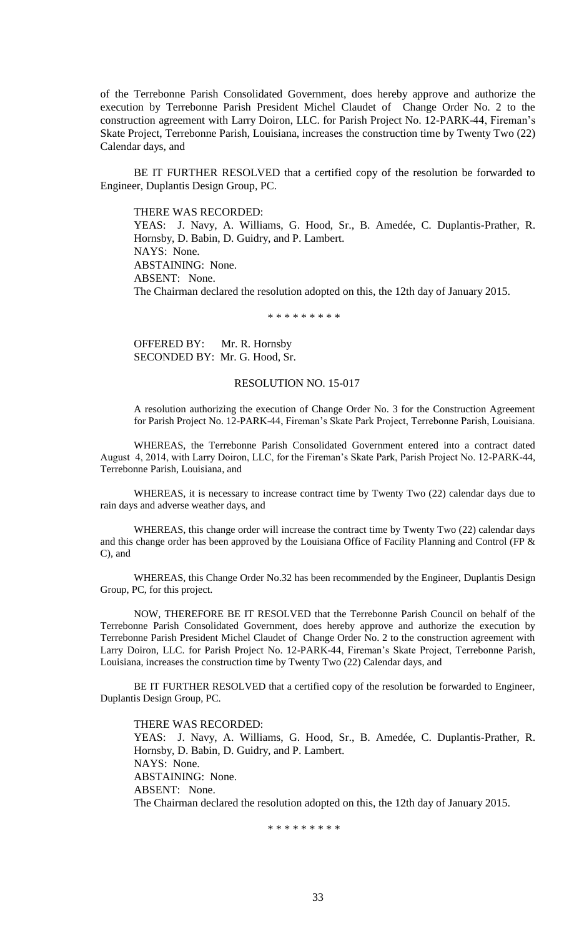of the Terrebonne Parish Consolidated Government, does hereby approve and authorize the execution by Terrebonne Parish President Michel Claudet of Change Order No. 2 to the construction agreement with Larry Doiron, LLC. for Parish Project No. 12-PARK-44, Fireman's Skate Project, Terrebonne Parish, Louisiana, increases the construction time by Twenty Two (22) Calendar days, and

BE IT FURTHER RESOLVED that a certified copy of the resolution be forwarded to Engineer, Duplantis Design Group, PC.

THERE WAS RECORDED:

YEAS: J. Navy, A. Williams, G. Hood, Sr., B. Amedée, C. Duplantis-Prather, R. Hornsby, D. Babin, D. Guidry, and P. Lambert. NAYS: None. ABSTAINING: None. ABSENT: None. The Chairman declared the resolution adopted on this, the 12th day of January 2015.

\* \* \* \* \* \* \* \* \*

OFFERED BY: Mr. R. Hornsby SECONDED BY: Mr. G. Hood, Sr.

#### RESOLUTION NO. 15-017

A resolution authorizing the execution of Change Order No. 3 for the Construction Agreement for Parish Project No. 12-PARK-44, Fireman's Skate Park Project, Terrebonne Parish, Louisiana.

WHEREAS, the Terrebonne Parish Consolidated Government entered into a contract dated August 4, 2014, with Larry Doiron, LLC, for the Fireman's Skate Park, Parish Project No. 12-PARK-44, Terrebonne Parish, Louisiana, and

WHEREAS, it is necessary to increase contract time by Twenty Two (22) calendar days due to rain days and adverse weather days, and

WHEREAS, this change order will increase the contract time by Twenty Two (22) calendar days and this change order has been approved by the Louisiana Office of Facility Planning and Control (FP & C), and

WHEREAS, this Change Order No.32 has been recommended by the Engineer, Duplantis Design Group, PC, for this project.

NOW, THEREFORE BE IT RESOLVED that the Terrebonne Parish Council on behalf of the Terrebonne Parish Consolidated Government, does hereby approve and authorize the execution by Terrebonne Parish President Michel Claudet of Change Order No. 2 to the construction agreement with Larry Doiron, LLC. for Parish Project No. 12-PARK-44, Fireman's Skate Project, Terrebonne Parish, Louisiana, increases the construction time by Twenty Two (22) Calendar days, and

BE IT FURTHER RESOLVED that a certified copy of the resolution be forwarded to Engineer, Duplantis Design Group, PC.

THERE WAS RECORDED: YEAS: J. Navy, A. Williams, G. Hood, Sr., B. Amedée, C. Duplantis-Prather, R. Hornsby, D. Babin, D. Guidry, and P. Lambert. NAYS: None. ABSTAINING: None. ABSENT: None. The Chairman declared the resolution adopted on this, the 12th day of January 2015.

\* \* \* \* \* \* \* \* \*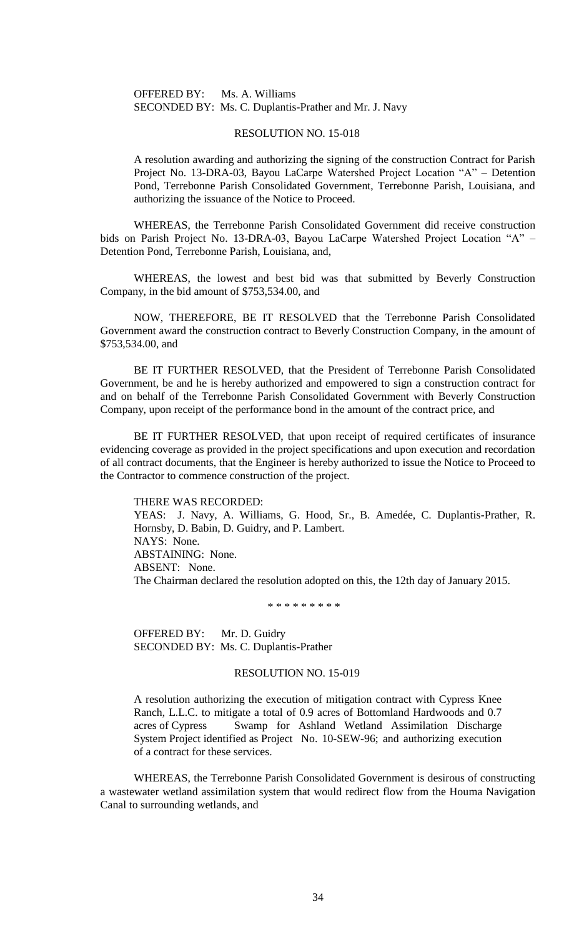## OFFERED BY: Ms. A. Williams SECONDED BY: Ms. C. Duplantis-Prather and Mr. J. Navy

## RESOLUTION NO. 15-018

A resolution awarding and authorizing the signing of the construction Contract for Parish Project No. 13-DRA-03, Bayou LaCarpe Watershed Project Location "A" – Detention Pond, Terrebonne Parish Consolidated Government, Terrebonne Parish, Louisiana, and authorizing the issuance of the Notice to Proceed.

WHEREAS, the Terrebonne Parish Consolidated Government did receive construction bids on Parish Project No. 13-DRA-03, Bayou LaCarpe Watershed Project Location "A" – Detention Pond, Terrebonne Parish, Louisiana, and,

WHEREAS, the lowest and best bid was that submitted by Beverly Construction Company, in the bid amount of \$753,534.00, and

NOW, THEREFORE, BE IT RESOLVED that the Terrebonne Parish Consolidated Government award the construction contract to Beverly Construction Company, in the amount of \$753,534.00, and

BE IT FURTHER RESOLVED, that the President of Terrebonne Parish Consolidated Government, be and he is hereby authorized and empowered to sign a construction contract for and on behalf of the Terrebonne Parish Consolidated Government with Beverly Construction Company, upon receipt of the performance bond in the amount of the contract price, and

BE IT FURTHER RESOLVED, that upon receipt of required certificates of insurance evidencing coverage as provided in the project specifications and upon execution and recordation of all contract documents, that the Engineer is hereby authorized to issue the Notice to Proceed to the Contractor to commence construction of the project.

#### THERE WAS RECORDED:

YEAS: J. Navy, A. Williams, G. Hood, Sr., B. Amedée, C. Duplantis-Prather, R. Hornsby, D. Babin, D. Guidry, and P. Lambert. NAYS: None. ABSTAINING: None. ABSENT: None. The Chairman declared the resolution adopted on this, the 12th day of January 2015.

\* \* \* \* \* \* \* \* \*

OFFERED BY: Mr. D. Guidry SECONDED BY: Ms. C. Duplantis-Prather

## RESOLUTION NO. 15-019

A resolution authorizing the execution of mitigation contract with Cypress Knee Ranch, L.L.C. to mitigate a total of 0.9 acres of Bottomland Hardwoods and 0.7 acres of Cypress Swamp for Ashland Wetland Assimilation Discharge System Project identified as Project No. 10-SEW-96; and authorizing execution of a contract for these services.

WHEREAS, the Terrebonne Parish Consolidated Government is desirous of constructing a wastewater wetland assimilation system that would redirect flow from the Houma Navigation Canal to surrounding wetlands, and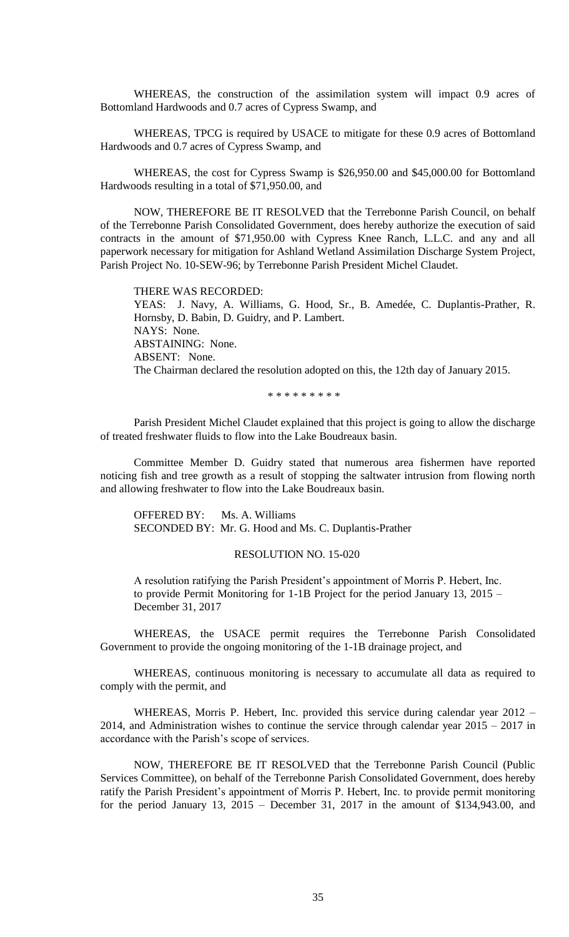WHEREAS, the construction of the assimilation system will impact 0.9 acres of Bottomland Hardwoods and 0.7 acres of Cypress Swamp, and

WHEREAS, TPCG is required by USACE to mitigate for these 0.9 acres of Bottomland Hardwoods and 0.7 acres of Cypress Swamp, and

WHEREAS, the cost for Cypress Swamp is \$26,950.00 and \$45,000.00 for Bottomland Hardwoods resulting in a total of \$71,950.00, and

NOW, THEREFORE BE IT RESOLVED that the Terrebonne Parish Council, on behalf of the Terrebonne Parish Consolidated Government, does hereby authorize the execution of said contracts in the amount of \$71,950.00 with Cypress Knee Ranch, L.L.C. and any and all paperwork necessary for mitigation for Ashland Wetland Assimilation Discharge System Project, Parish Project No. 10-SEW-96; by Terrebonne Parish President Michel Claudet.

THERE WAS RECORDED: YEAS: J. Navy, A. Williams, G. Hood, Sr., B. Amedée, C. Duplantis-Prather, R. Hornsby, D. Babin, D. Guidry, and P. Lambert. NAYS: None. ABSTAINING: None. ABSENT: None. The Chairman declared the resolution adopted on this, the 12th day of January 2015.

\* \* \* \* \* \* \* \* \*

Parish President Michel Claudet explained that this project is going to allow the discharge of treated freshwater fluids to flow into the Lake Boudreaux basin.

Committee Member D. Guidry stated that numerous area fishermen have reported noticing fish and tree growth as a result of stopping the saltwater intrusion from flowing north and allowing freshwater to flow into the Lake Boudreaux basin.

OFFERED BY: Ms. A. Williams SECONDED BY: Mr. G. Hood and Ms. C. Duplantis-Prather

## RESOLUTION NO. 15-020

A resolution ratifying the Parish President's appointment of Morris P. Hebert, Inc. to provide Permit Monitoring for 1-1B Project for the period January 13, 2015 – December 31, 2017

WHEREAS, the USACE permit requires the Terrebonne Parish Consolidated Government to provide the ongoing monitoring of the 1-1B drainage project, and

WHEREAS, continuous monitoring is necessary to accumulate all data as required to comply with the permit, and

WHEREAS, Morris P. Hebert, Inc. provided this service during calendar year 2012 – 2014, and Administration wishes to continue the service through calendar year 2015 – 2017 in accordance with the Parish's scope of services.

NOW, THEREFORE BE IT RESOLVED that the Terrebonne Parish Council (Public Services Committee), on behalf of the Terrebonne Parish Consolidated Government, does hereby ratify the Parish President's appointment of Morris P. Hebert, Inc. to provide permit monitoring for the period January 13,  $2015$  – December 31,  $2017$  in the amount of \$134,943.00, and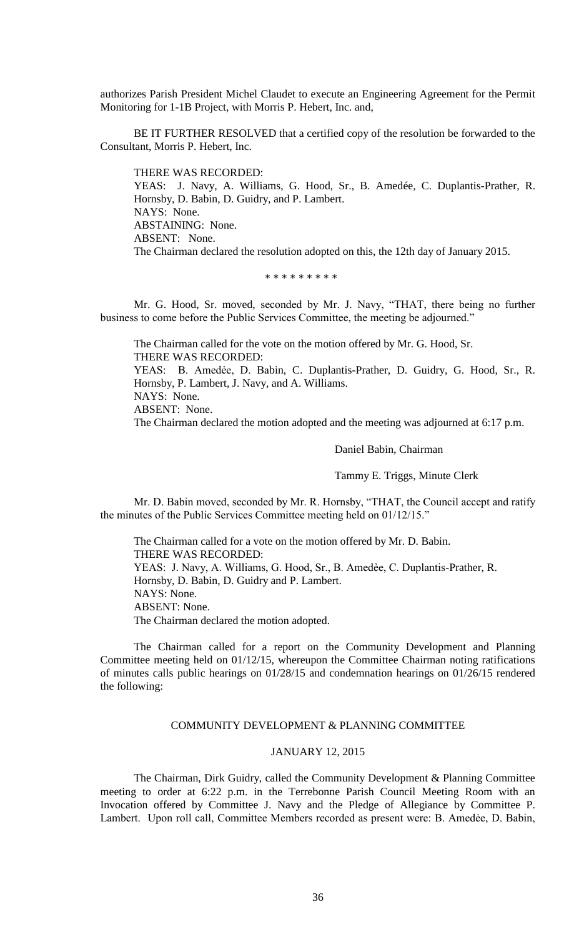authorizes Parish President Michel Claudet to execute an Engineering Agreement for the Permit Monitoring for 1-1B Project, with Morris P. Hebert, Inc. and,

BE IT FURTHER RESOLVED that a certified copy of the resolution be forwarded to the Consultant, Morris P. Hebert, Inc.

THERE WAS RECORDED: YEAS: J. Navy, A. Williams, G. Hood, Sr., B. Amedée, C. Duplantis-Prather, R. Hornsby, D. Babin, D. Guidry, and P. Lambert. NAYS: None. ABSTAINING: None. ABSENT: None. The Chairman declared the resolution adopted on this, the 12th day of January 2015.

\* \* \* \* \* \* \* \* \*

Mr. G. Hood, Sr. moved, seconded by Mr. J. Navy, "THAT, there being no further business to come before the Public Services Committee, the meeting be adjourned."

The Chairman called for the vote on the motion offered by Mr. G. Hood, Sr. THERE WAS RECORDED: YEAS: B. Amedẻe, D. Babin, C. Duplantis-Prather, D. Guidry, G. Hood, Sr., R. Hornsby, P. Lambert, J. Navy, and A. Williams. NAYS: None. ABSENT: None. The Chairman declared the motion adopted and the meeting was adjourned at 6:17 p.m.

Daniel Babin, Chairman

Tammy E. Triggs, Minute Clerk

Mr. D. Babin moved, seconded by Mr. R. Hornsby, "THAT, the Council accept and ratify the minutes of the Public Services Committee meeting held on 01/12/15."

The Chairman called for a vote on the motion offered by Mr. D. Babin. THERE WAS RECORDED: YEAS: J. Navy, A. Williams, G. Hood, Sr., B. Amedèe, C. Duplantis-Prather, R. Hornsby, D. Babin, D. Guidry and P. Lambert. NAYS: None. ABSENT: None. The Chairman declared the motion adopted.

The Chairman called for a report on the Community Development and Planning Committee meeting held on 01/12/15, whereupon the Committee Chairman noting ratifications of minutes calls public hearings on 01/28/15 and condemnation hearings on 01/26/15 rendered the following:

# COMMUNITY DEVELOPMENT & PLANNING COMMITTEE

# JANUARY 12, 2015

The Chairman, Dirk Guidry, called the Community Development & Planning Committee meeting to order at 6:22 p.m. in the Terrebonne Parish Council Meeting Room with an Invocation offered by Committee J. Navy and the Pledge of Allegiance by Committee P. Lambert. Upon roll call, Committee Members recorded as present were: B. Amedẻe, D. Babin,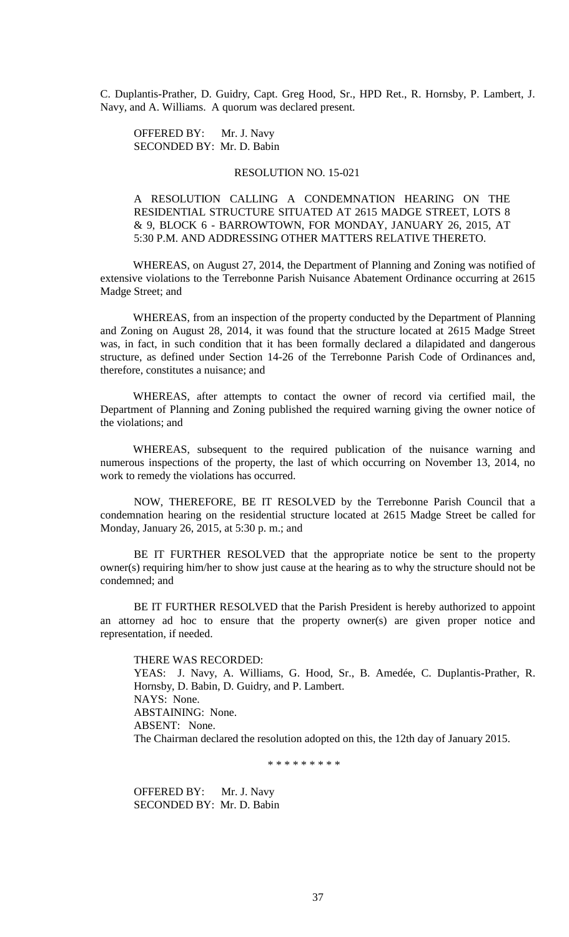C. Duplantis-Prather, D. Guidry, Capt. Greg Hood, Sr., HPD Ret., R. Hornsby, P. Lambert, J. Navy, and A. Williams. A quorum was declared present.

OFFERED BY: Mr. J. Navy SECONDED BY: Mr. D. Babin

## RESOLUTION NO. 15-021

A RESOLUTION CALLING A CONDEMNATION HEARING ON THE RESIDENTIAL STRUCTURE SITUATED AT 2615 MADGE STREET, LOTS 8 & 9, BLOCK 6 - BARROWTOWN, FOR MONDAY, JANUARY 26, 2015, AT 5:30 P.M. AND ADDRESSING OTHER MATTERS RELATIVE THERETO.

WHEREAS, on August 27, 2014, the Department of Planning and Zoning was notified of extensive violations to the Terrebonne Parish Nuisance Abatement Ordinance occurring at 2615 Madge Street; and

WHEREAS, from an inspection of the property conducted by the Department of Planning and Zoning on August 28, 2014, it was found that the structure located at 2615 Madge Street was, in fact, in such condition that it has been formally declared a dilapidated and dangerous structure, as defined under Section 14-26 of the Terrebonne Parish Code of Ordinances and, therefore, constitutes a nuisance; and

WHEREAS, after attempts to contact the owner of record via certified mail, the Department of Planning and Zoning published the required warning giving the owner notice of the violations; and

WHEREAS, subsequent to the required publication of the nuisance warning and numerous inspections of the property, the last of which occurring on November 13, 2014, no work to remedy the violations has occurred.

NOW, THEREFORE, BE IT RESOLVED by the Terrebonne Parish Council that a condemnation hearing on the residential structure located at 2615 Madge Street be called for Monday, January 26, 2015, at 5:30 p. m.; and

BE IT FURTHER RESOLVED that the appropriate notice be sent to the property owner(s) requiring him/her to show just cause at the hearing as to why the structure should not be condemned; and

BE IT FURTHER RESOLVED that the Parish President is hereby authorized to appoint an attorney ad hoc to ensure that the property owner(s) are given proper notice and representation, if needed.

THERE WAS RECORDED: YEAS: J. Navy, A. Williams, G. Hood, Sr., B. Amedée, C. Duplantis-Prather, R. Hornsby, D. Babin, D. Guidry, and P. Lambert. NAYS: None. ABSTAINING: None. ABSENT: None. The Chairman declared the resolution adopted on this, the 12th day of January 2015.

\* \* \* \* \* \* \* \* \*

OFFERED BY: Mr. J. Navy SECONDED BY: Mr. D. Babin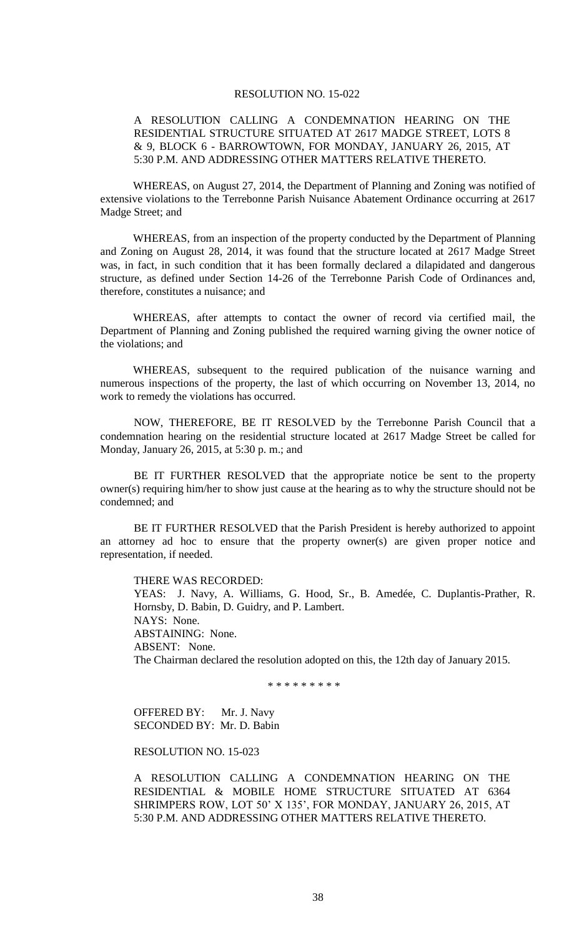# A RESOLUTION CALLING A CONDEMNATION HEARING ON THE RESIDENTIAL STRUCTURE SITUATED AT 2617 MADGE STREET, LOTS 8 & 9, BLOCK 6 - BARROWTOWN, FOR MONDAY, JANUARY 26, 2015, AT 5:30 P.M. AND ADDRESSING OTHER MATTERS RELATIVE THERETO.

WHEREAS, on August 27, 2014, the Department of Planning and Zoning was notified of extensive violations to the Terrebonne Parish Nuisance Abatement Ordinance occurring at 2617 Madge Street; and

WHEREAS, from an inspection of the property conducted by the Department of Planning and Zoning on August 28, 2014, it was found that the structure located at 2617 Madge Street was, in fact, in such condition that it has been formally declared a dilapidated and dangerous structure, as defined under Section 14-26 of the Terrebonne Parish Code of Ordinances and, therefore, constitutes a nuisance; and

WHEREAS, after attempts to contact the owner of record via certified mail, the Department of Planning and Zoning published the required warning giving the owner notice of the violations; and

WHEREAS, subsequent to the required publication of the nuisance warning and numerous inspections of the property, the last of which occurring on November 13, 2014, no work to remedy the violations has occurred.

NOW, THEREFORE, BE IT RESOLVED by the Terrebonne Parish Council that a condemnation hearing on the residential structure located at 2617 Madge Street be called for Monday, January 26, 2015, at 5:30 p. m.; and

BE IT FURTHER RESOLVED that the appropriate notice be sent to the property owner(s) requiring him/her to show just cause at the hearing as to why the structure should not be condemned; and

BE IT FURTHER RESOLVED that the Parish President is hereby authorized to appoint an attorney ad hoc to ensure that the property owner(s) are given proper notice and representation, if needed.

THERE WAS RECORDED: YEAS: J. Navy, A. Williams, G. Hood, Sr., B. Amedée, C. Duplantis-Prather, R. Hornsby, D. Babin, D. Guidry, and P. Lambert. NAYS: None. ABSTAINING: None. ABSENT: None. The Chairman declared the resolution adopted on this, the 12th day of January 2015.

\* \* \* \* \* \* \* \* \*

OFFERED BY: Mr. J. Navy SECONDED BY: Mr. D. Babin

RESOLUTION NO. 15-023

A RESOLUTION CALLING A CONDEMNATION HEARING ON THE RESIDENTIAL & MOBILE HOME STRUCTURE SITUATED AT 6364 SHRIMPERS ROW, LOT 50' X 135', FOR MONDAY, JANUARY 26, 2015, AT 5:30 P.M. AND ADDRESSING OTHER MATTERS RELATIVE THERETO.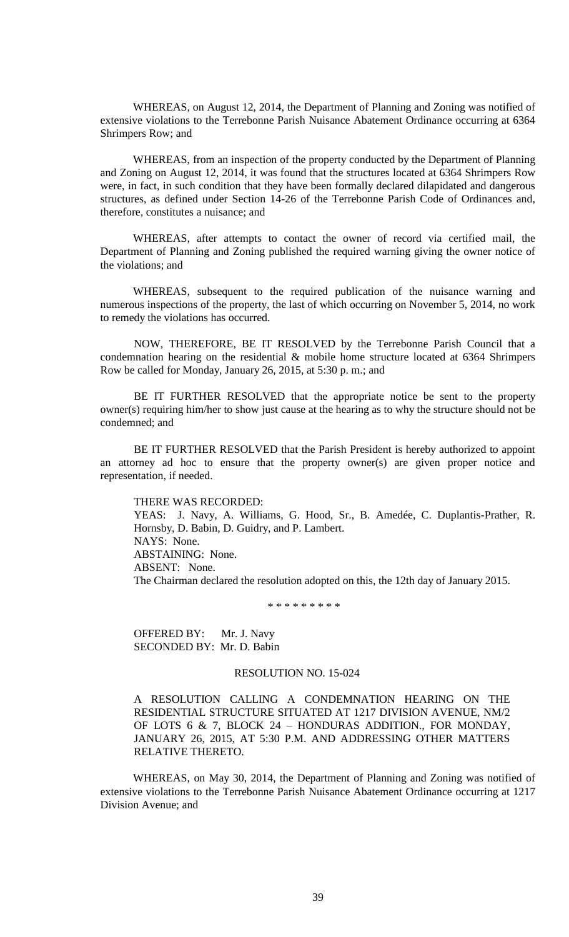WHEREAS, on August 12, 2014, the Department of Planning and Zoning was notified of extensive violations to the Terrebonne Parish Nuisance Abatement Ordinance occurring at 6364 Shrimpers Row; and

WHEREAS, from an inspection of the property conducted by the Department of Planning and Zoning on August 12, 2014, it was found that the structures located at 6364 Shrimpers Row were, in fact, in such condition that they have been formally declared dilapidated and dangerous structures, as defined under Section 14-26 of the Terrebonne Parish Code of Ordinances and, therefore, constitutes a nuisance; and

WHEREAS, after attempts to contact the owner of record via certified mail, the Department of Planning and Zoning published the required warning giving the owner notice of the violations; and

WHEREAS, subsequent to the required publication of the nuisance warning and numerous inspections of the property, the last of which occurring on November 5, 2014, no work to remedy the violations has occurred.

NOW, THEREFORE, BE IT RESOLVED by the Terrebonne Parish Council that a condemnation hearing on the residential & mobile home structure located at 6364 Shrimpers Row be called for Monday, January 26, 2015, at 5:30 p. m.; and

BE IT FURTHER RESOLVED that the appropriate notice be sent to the property owner(s) requiring him/her to show just cause at the hearing as to why the structure should not be condemned; and

BE IT FURTHER RESOLVED that the Parish President is hereby authorized to appoint an attorney ad hoc to ensure that the property owner(s) are given proper notice and representation, if needed.

## THERE WAS RECORDED:

YEAS: J. Navy, A. Williams, G. Hood, Sr., B. Amedée, C. Duplantis-Prather, R. Hornsby, D. Babin, D. Guidry, and P. Lambert. NAYS: None. ABSTAINING: None. ABSENT: None. The Chairman declared the resolution adopted on this, the 12th day of January 2015.

\* \* \* \* \* \* \* \* \*

OFFERED BY: Mr. J. Navy SECONDED BY: Mr. D. Babin

# RESOLUTION NO. 15-024

A RESOLUTION CALLING A CONDEMNATION HEARING ON THE RESIDENTIAL STRUCTURE SITUATED AT 1217 DIVISION AVENUE, NM/2 OF LOTS 6 & 7, BLOCK 24 – HONDURAS ADDITION., FOR MONDAY, JANUARY 26, 2015, AT 5:30 P.M. AND ADDRESSING OTHER MATTERS RELATIVE THERETO.

WHEREAS, on May 30, 2014, the Department of Planning and Zoning was notified of extensive violations to the Terrebonne Parish Nuisance Abatement Ordinance occurring at 1217 Division Avenue; and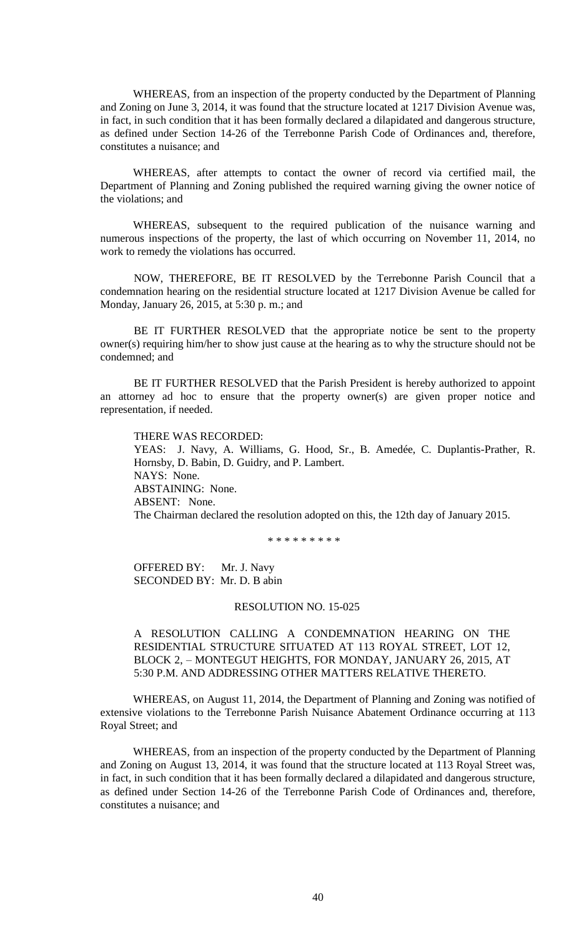WHEREAS, from an inspection of the property conducted by the Department of Planning and Zoning on June 3, 2014, it was found that the structure located at 1217 Division Avenue was, in fact, in such condition that it has been formally declared a dilapidated and dangerous structure, as defined under Section 14-26 of the Terrebonne Parish Code of Ordinances and, therefore, constitutes a nuisance; and

WHEREAS, after attempts to contact the owner of record via certified mail, the Department of Planning and Zoning published the required warning giving the owner notice of the violations; and

WHEREAS, subsequent to the required publication of the nuisance warning and numerous inspections of the property, the last of which occurring on November 11, 2014, no work to remedy the violations has occurred.

NOW, THEREFORE, BE IT RESOLVED by the Terrebonne Parish Council that a condemnation hearing on the residential structure located at 1217 Division Avenue be called for Monday, January 26, 2015, at 5:30 p. m.; and

BE IT FURTHER RESOLVED that the appropriate notice be sent to the property owner(s) requiring him/her to show just cause at the hearing as to why the structure should not be condemned; and

BE IT FURTHER RESOLVED that the Parish President is hereby authorized to appoint an attorney ad hoc to ensure that the property owner(s) are given proper notice and representation, if needed.

THERE WAS RECORDED: YEAS: J. Navy, A. Williams, G. Hood, Sr., B. Amedée, C. Duplantis-Prather, R. Hornsby, D. Babin, D. Guidry, and P. Lambert. NAYS: None. ABSTAINING: None. ABSENT: None. The Chairman declared the resolution adopted on this, the 12th day of January 2015.

\* \* \* \* \* \* \* \* \*

OFFERED BY: Mr. J. Navy SECONDED BY: Mr. D. B abin

# RESOLUTION NO. 15-025

A RESOLUTION CALLING A CONDEMNATION HEARING ON THE RESIDENTIAL STRUCTURE SITUATED AT 113 ROYAL STREET, LOT 12, BLOCK 2, – MONTEGUT HEIGHTS, FOR MONDAY, JANUARY 26, 2015, AT 5:30 P.M. AND ADDRESSING OTHER MATTERS RELATIVE THERETO.

WHEREAS, on August 11, 2014, the Department of Planning and Zoning was notified of extensive violations to the Terrebonne Parish Nuisance Abatement Ordinance occurring at 113 Royal Street; and

WHEREAS, from an inspection of the property conducted by the Department of Planning and Zoning on August 13, 2014, it was found that the structure located at 113 Royal Street was, in fact, in such condition that it has been formally declared a dilapidated and dangerous structure, as defined under Section 14-26 of the Terrebonne Parish Code of Ordinances and, therefore, constitutes a nuisance; and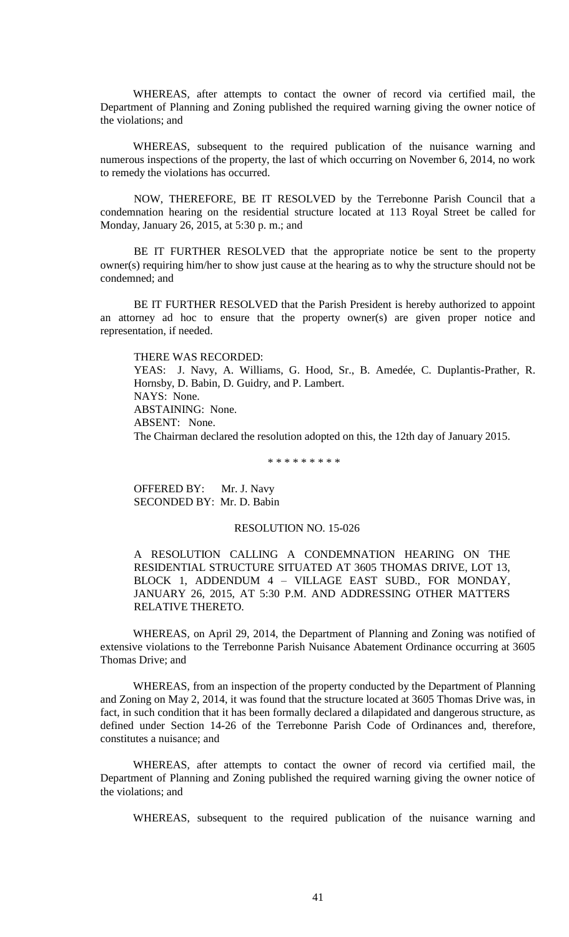WHEREAS, after attempts to contact the owner of record via certified mail, the Department of Planning and Zoning published the required warning giving the owner notice of the violations; and

WHEREAS, subsequent to the required publication of the nuisance warning and numerous inspections of the property, the last of which occurring on November 6, 2014, no work to remedy the violations has occurred.

NOW, THEREFORE, BE IT RESOLVED by the Terrebonne Parish Council that a condemnation hearing on the residential structure located at 113 Royal Street be called for Monday, January 26, 2015, at 5:30 p. m.; and

BE IT FURTHER RESOLVED that the appropriate notice be sent to the property owner(s) requiring him/her to show just cause at the hearing as to why the structure should not be condemned; and

BE IT FURTHER RESOLVED that the Parish President is hereby authorized to appoint an attorney ad hoc to ensure that the property owner(s) are given proper notice and representation, if needed.

THERE WAS RECORDED: YEAS: J. Navy, A. Williams, G. Hood, Sr., B. Amedée, C. Duplantis-Prather, R. Hornsby, D. Babin, D. Guidry, and P. Lambert. NAYS: None. ABSTAINING: None. ABSENT: None. The Chairman declared the resolution adopted on this, the 12th day of January 2015.

\* \* \* \* \* \* \* \* \*

OFFERED BY: Mr. J. Navy SECONDED BY: Mr. D. Babin

# RESOLUTION NO. 15-026

A RESOLUTION CALLING A CONDEMNATION HEARING ON THE RESIDENTIAL STRUCTURE SITUATED AT 3605 THOMAS DRIVE, LOT 13, BLOCK 1, ADDENDUM 4 – VILLAGE EAST SUBD., FOR MONDAY, JANUARY 26, 2015, AT 5:30 P.M. AND ADDRESSING OTHER MATTERS RELATIVE THERETO.

WHEREAS, on April 29, 2014, the Department of Planning and Zoning was notified of extensive violations to the Terrebonne Parish Nuisance Abatement Ordinance occurring at 3605 Thomas Drive; and

WHEREAS, from an inspection of the property conducted by the Department of Planning and Zoning on May 2, 2014, it was found that the structure located at 3605 Thomas Drive was, in fact, in such condition that it has been formally declared a dilapidated and dangerous structure, as defined under Section 14-26 of the Terrebonne Parish Code of Ordinances and, therefore, constitutes a nuisance; and

WHEREAS, after attempts to contact the owner of record via certified mail, the Department of Planning and Zoning published the required warning giving the owner notice of the violations; and

WHEREAS, subsequent to the required publication of the nuisance warning and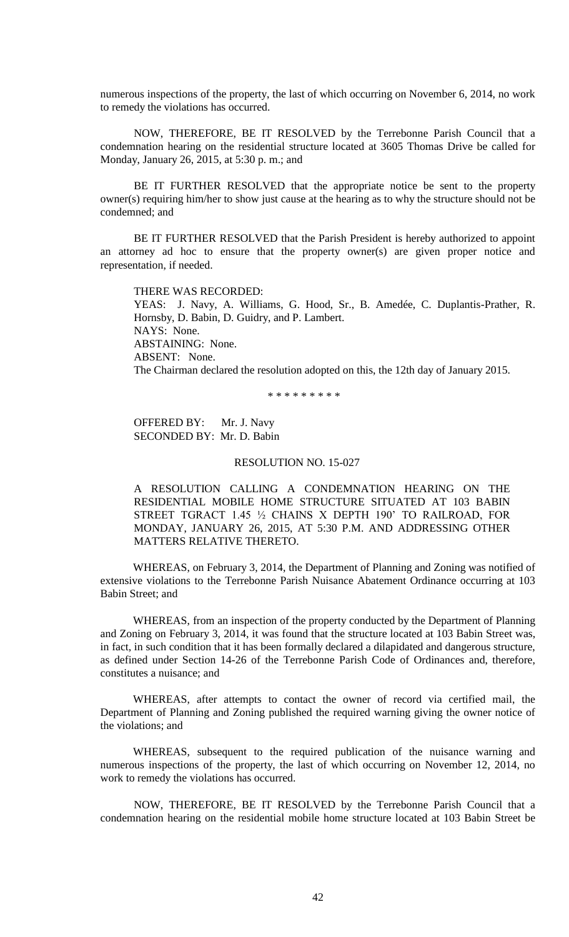numerous inspections of the property, the last of which occurring on November 6, 2014, no work to remedy the violations has occurred.

NOW, THEREFORE, BE IT RESOLVED by the Terrebonne Parish Council that a condemnation hearing on the residential structure located at 3605 Thomas Drive be called for Monday, January 26, 2015, at 5:30 p. m.; and

BE IT FURTHER RESOLVED that the appropriate notice be sent to the property owner(s) requiring him/her to show just cause at the hearing as to why the structure should not be condemned; and

BE IT FURTHER RESOLVED that the Parish President is hereby authorized to appoint an attorney ad hoc to ensure that the property owner(s) are given proper notice and representation, if needed.

THERE WAS RECORDED: YEAS: J. Navy, A. Williams, G. Hood, Sr., B. Amedée, C. Duplantis-Prather, R. Hornsby, D. Babin, D. Guidry, and P. Lambert. NAYS: None. ABSTAINING: None. ABSENT: None. The Chairman declared the resolution adopted on this, the 12th day of January 2015.

\* \* \* \* \* \* \* \* \*

OFFERED BY: Mr. J. Navy SECONDED BY: Mr. D. Babin

#### RESOLUTION NO. 15-027

A RESOLUTION CALLING A CONDEMNATION HEARING ON THE RESIDENTIAL MOBILE HOME STRUCTURE SITUATED AT 103 BABIN STREET TGRACT 1.45 ½ CHAINS X DEPTH 190' TO RAILROAD, FOR MONDAY, JANUARY 26, 2015, AT 5:30 P.M. AND ADDRESSING OTHER MATTERS RELATIVE THERETO.

WHEREAS, on February 3, 2014, the Department of Planning and Zoning was notified of extensive violations to the Terrebonne Parish Nuisance Abatement Ordinance occurring at 103 Babin Street; and

WHEREAS, from an inspection of the property conducted by the Department of Planning and Zoning on February 3, 2014, it was found that the structure located at 103 Babin Street was, in fact, in such condition that it has been formally declared a dilapidated and dangerous structure, as defined under Section 14-26 of the Terrebonne Parish Code of Ordinances and, therefore, constitutes a nuisance; and

WHEREAS, after attempts to contact the owner of record via certified mail, the Department of Planning and Zoning published the required warning giving the owner notice of the violations; and

WHEREAS, subsequent to the required publication of the nuisance warning and numerous inspections of the property, the last of which occurring on November 12, 2014, no work to remedy the violations has occurred.

NOW, THEREFORE, BE IT RESOLVED by the Terrebonne Parish Council that a condemnation hearing on the residential mobile home structure located at 103 Babin Street be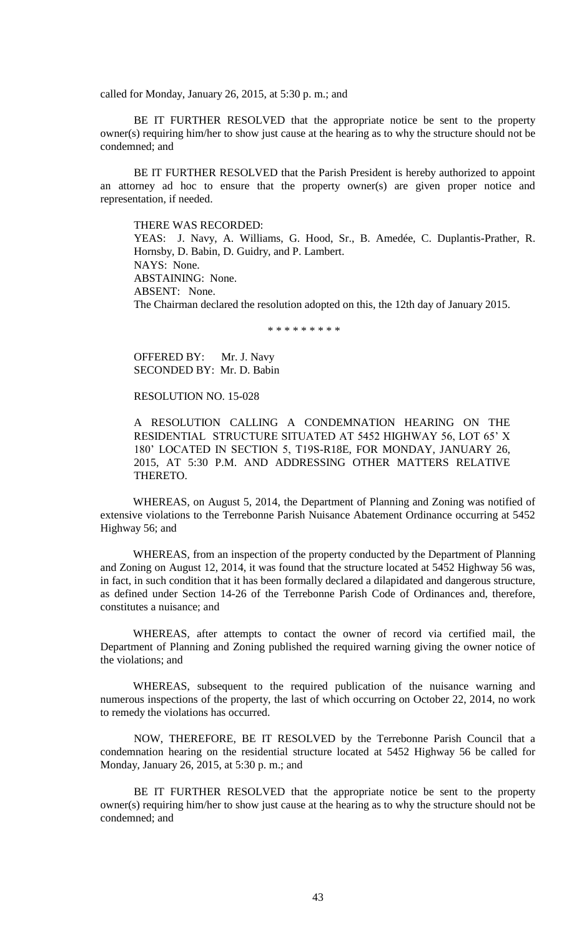called for Monday, January 26, 2015, at 5:30 p. m.; and

BE IT FURTHER RESOLVED that the appropriate notice be sent to the property owner(s) requiring him/her to show just cause at the hearing as to why the structure should not be condemned; and

BE IT FURTHER RESOLVED that the Parish President is hereby authorized to appoint an attorney ad hoc to ensure that the property owner(s) are given proper notice and representation, if needed.

THERE WAS RECORDED:

YEAS: J. Navy, A. Williams, G. Hood, Sr., B. Amedée, C. Duplantis-Prather, R. Hornsby, D. Babin, D. Guidry, and P. Lambert. NAYS: None. ABSTAINING: None. ABSENT: None. The Chairman declared the resolution adopted on this, the 12th day of January 2015.

\* \* \* \* \* \* \* \* \*

OFFERED BY: Mr. J. Navy SECONDED BY: Mr. D. Babin

RESOLUTION NO. 15-028

A RESOLUTION CALLING A CONDEMNATION HEARING ON THE RESIDENTIAL STRUCTURE SITUATED AT 5452 HIGHWAY 56, LOT 65' X 180' LOCATED IN SECTION 5, T19S-R18E, FOR MONDAY, JANUARY 26, 2015, AT 5:30 P.M. AND ADDRESSING OTHER MATTERS RELATIVE THERETO.

WHEREAS, on August 5, 2014, the Department of Planning and Zoning was notified of extensive violations to the Terrebonne Parish Nuisance Abatement Ordinance occurring at 5452 Highway 56; and

WHEREAS, from an inspection of the property conducted by the Department of Planning and Zoning on August 12, 2014, it was found that the structure located at 5452 Highway 56 was, in fact, in such condition that it has been formally declared a dilapidated and dangerous structure, as defined under Section 14-26 of the Terrebonne Parish Code of Ordinances and, therefore, constitutes a nuisance; and

WHEREAS, after attempts to contact the owner of record via certified mail, the Department of Planning and Zoning published the required warning giving the owner notice of the violations; and

WHEREAS, subsequent to the required publication of the nuisance warning and numerous inspections of the property, the last of which occurring on October 22, 2014, no work to remedy the violations has occurred.

NOW, THEREFORE, BE IT RESOLVED by the Terrebonne Parish Council that a condemnation hearing on the residential structure located at 5452 Highway 56 be called for Monday, January 26, 2015, at 5:30 p. m.; and

BE IT FURTHER RESOLVED that the appropriate notice be sent to the property owner(s) requiring him/her to show just cause at the hearing as to why the structure should not be condemned; and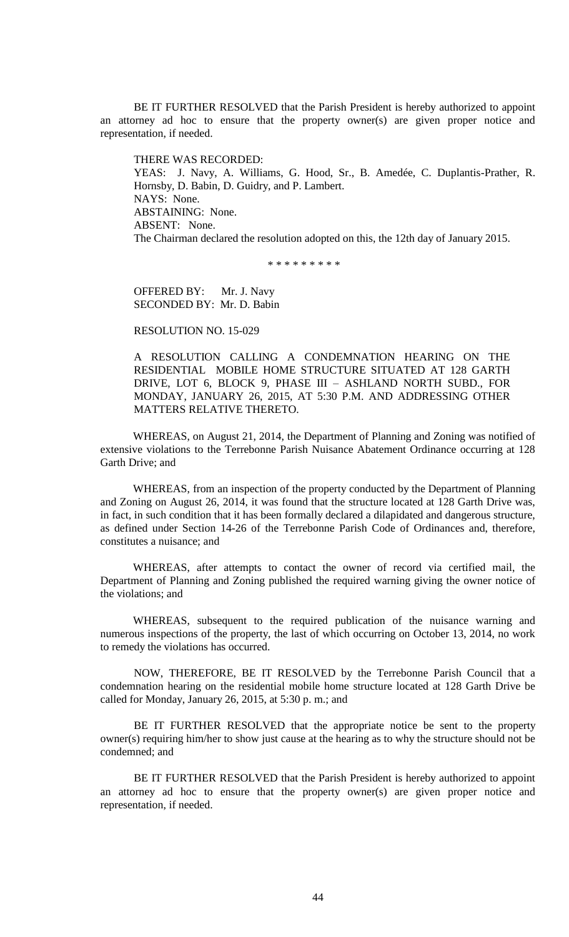BE IT FURTHER RESOLVED that the Parish President is hereby authorized to appoint an attorney ad hoc to ensure that the property owner(s) are given proper notice and representation, if needed.

THERE WAS RECORDED: YEAS: J. Navy, A. Williams, G. Hood, Sr., B. Amedée, C. Duplantis-Prather, R. Hornsby, D. Babin, D. Guidry, and P. Lambert. NAYS: None. ABSTAINING: None. ABSENT: None. The Chairman declared the resolution adopted on this, the 12th day of January 2015.

\* \* \* \* \* \* \* \* \*

OFFERED BY: Mr. J. Navy SECONDED BY: Mr. D. Babin

RESOLUTION NO. 15-029

A RESOLUTION CALLING A CONDEMNATION HEARING ON THE RESIDENTIAL MOBILE HOME STRUCTURE SITUATED AT 128 GARTH DRIVE, LOT 6, BLOCK 9, PHASE III – ASHLAND NORTH SUBD., FOR MONDAY, JANUARY 26, 2015, AT 5:30 P.M. AND ADDRESSING OTHER MATTERS RELATIVE THERETO.

WHEREAS, on August 21, 2014, the Department of Planning and Zoning was notified of extensive violations to the Terrebonne Parish Nuisance Abatement Ordinance occurring at 128 Garth Drive; and

WHEREAS, from an inspection of the property conducted by the Department of Planning and Zoning on August 26, 2014, it was found that the structure located at 128 Garth Drive was, in fact, in such condition that it has been formally declared a dilapidated and dangerous structure, as defined under Section 14-26 of the Terrebonne Parish Code of Ordinances and, therefore, constitutes a nuisance; and

WHEREAS, after attempts to contact the owner of record via certified mail, the Department of Planning and Zoning published the required warning giving the owner notice of the violations; and

WHEREAS, subsequent to the required publication of the nuisance warning and numerous inspections of the property, the last of which occurring on October 13, 2014, no work to remedy the violations has occurred.

NOW, THEREFORE, BE IT RESOLVED by the Terrebonne Parish Council that a condemnation hearing on the residential mobile home structure located at 128 Garth Drive be called for Monday, January 26, 2015, at 5:30 p. m.; and

BE IT FURTHER RESOLVED that the appropriate notice be sent to the property owner(s) requiring him/her to show just cause at the hearing as to why the structure should not be condemned; and

BE IT FURTHER RESOLVED that the Parish President is hereby authorized to appoint an attorney ad hoc to ensure that the property owner(s) are given proper notice and representation, if needed.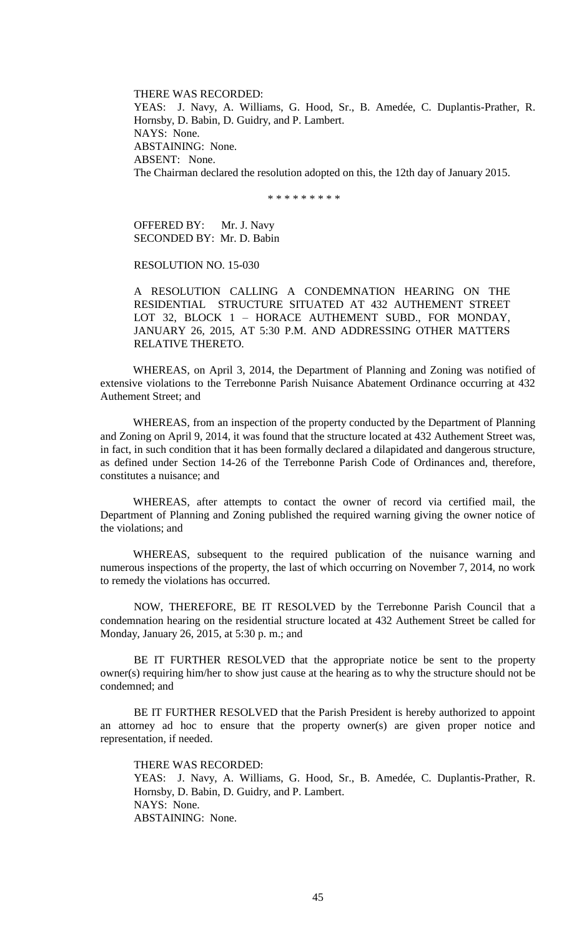THERE WAS RECORDED: YEAS: J. Navy, A. Williams, G. Hood, Sr., B. Amedée, C. Duplantis-Prather, R. Hornsby, D. Babin, D. Guidry, and P. Lambert. NAYS: None. ABSTAINING: None. ABSENT: None. The Chairman declared the resolution adopted on this, the 12th day of January 2015.

\* \* \* \* \* \* \* \* \*

OFFERED BY: Mr. J. Navy SECONDED BY: Mr. D. Babin

RESOLUTION NO. 15-030

A RESOLUTION CALLING A CONDEMNATION HEARING ON THE RESIDENTIAL STRUCTURE SITUATED AT 432 AUTHEMENT STREET LOT 32, BLOCK 1 – HORACE AUTHEMENT SUBD., FOR MONDAY, JANUARY 26, 2015, AT 5:30 P.M. AND ADDRESSING OTHER MATTERS RELATIVE THERETO.

WHEREAS, on April 3, 2014, the Department of Planning and Zoning was notified of extensive violations to the Terrebonne Parish Nuisance Abatement Ordinance occurring at 432 Authement Street; and

WHEREAS, from an inspection of the property conducted by the Department of Planning and Zoning on April 9, 2014, it was found that the structure located at 432 Authement Street was, in fact, in such condition that it has been formally declared a dilapidated and dangerous structure, as defined under Section 14-26 of the Terrebonne Parish Code of Ordinances and, therefore, constitutes a nuisance; and

WHEREAS, after attempts to contact the owner of record via certified mail, the Department of Planning and Zoning published the required warning giving the owner notice of the violations; and

WHEREAS, subsequent to the required publication of the nuisance warning and numerous inspections of the property, the last of which occurring on November 7, 2014, no work to remedy the violations has occurred.

NOW, THEREFORE, BE IT RESOLVED by the Terrebonne Parish Council that a condemnation hearing on the residential structure located at 432 Authement Street be called for Monday, January 26, 2015, at 5:30 p. m.; and

BE IT FURTHER RESOLVED that the appropriate notice be sent to the property owner(s) requiring him/her to show just cause at the hearing as to why the structure should not be condemned; and

BE IT FURTHER RESOLVED that the Parish President is hereby authorized to appoint an attorney ad hoc to ensure that the property owner(s) are given proper notice and representation, if needed.

THERE WAS RECORDED:

YEAS: J. Navy, A. Williams, G. Hood, Sr., B. Amedée, C. Duplantis-Prather, R. Hornsby, D. Babin, D. Guidry, and P. Lambert. NAYS: None. ABSTAINING: None.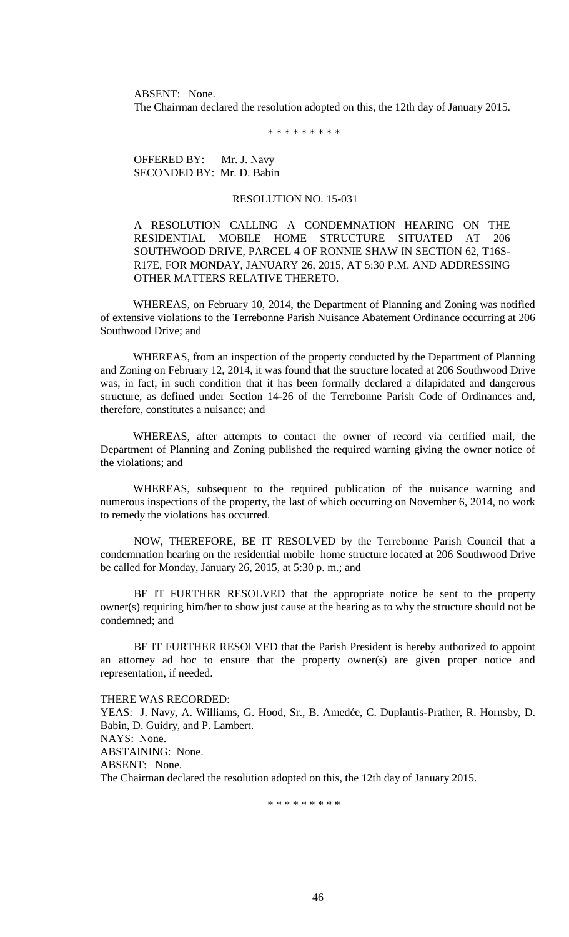ABSENT: None. The Chairman declared the resolution adopted on this, the 12th day of January 2015.

\* \* \* \* \* \* \* \* \*

OFFERED BY: Mr. J. Navy SECONDED BY: Mr. D. Babin

## RESOLUTION NO. 15-031

A RESOLUTION CALLING A CONDEMNATION HEARING ON THE RESIDENTIAL MOBILE HOME STRUCTURE SITUATED AT 206 SOUTHWOOD DRIVE, PARCEL 4 OF RONNIE SHAW IN SECTION 62, T16S-R17E, FOR MONDAY, JANUARY 26, 2015, AT 5:30 P.M. AND ADDRESSING OTHER MATTERS RELATIVE THERETO.

WHEREAS, on February 10, 2014, the Department of Planning and Zoning was notified of extensive violations to the Terrebonne Parish Nuisance Abatement Ordinance occurring at 206 Southwood Drive; and

WHEREAS, from an inspection of the property conducted by the Department of Planning and Zoning on February 12, 2014, it was found that the structure located at 206 Southwood Drive was, in fact, in such condition that it has been formally declared a dilapidated and dangerous structure, as defined under Section 14-26 of the Terrebonne Parish Code of Ordinances and, therefore, constitutes a nuisance; and

WHEREAS, after attempts to contact the owner of record via certified mail, the Department of Planning and Zoning published the required warning giving the owner notice of the violations; and

WHEREAS, subsequent to the required publication of the nuisance warning and numerous inspections of the property, the last of which occurring on November 6, 2014, no work to remedy the violations has occurred.

NOW, THEREFORE, BE IT RESOLVED by the Terrebonne Parish Council that a condemnation hearing on the residential mobile home structure located at 206 Southwood Drive be called for Monday, January 26, 2015, at 5:30 p. m.; and

BE IT FURTHER RESOLVED that the appropriate notice be sent to the property owner(s) requiring him/her to show just cause at the hearing as to why the structure should not be condemned; and

BE IT FURTHER RESOLVED that the Parish President is hereby authorized to appoint an attorney ad hoc to ensure that the property owner(s) are given proper notice and representation, if needed.

THERE WAS RECORDED: YEAS: J. Navy, A. Williams, G. Hood, Sr., B. Amedée, C. Duplantis-Prather, R. Hornsby, D. Babin, D. Guidry, and P. Lambert. NAYS: None. ABSTAINING: None. ABSENT: None. The Chairman declared the resolution adopted on this, the 12th day of January 2015.

\* \* \* \* \* \* \* \* \*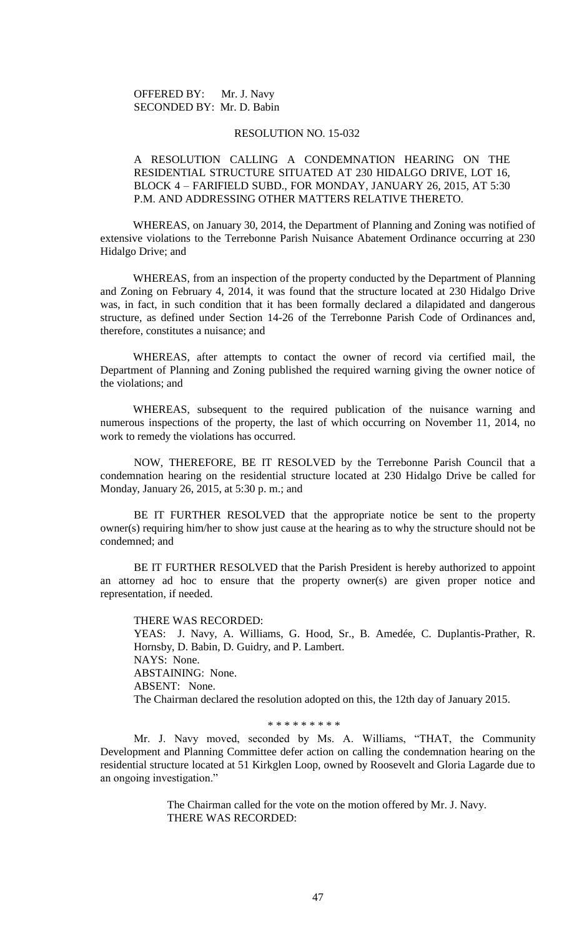OFFERED BY: Mr. J. Navy SECONDED BY: Mr. D. Babin

## RESOLUTION NO. 15-032

# A RESOLUTION CALLING A CONDEMNATION HEARING ON THE RESIDENTIAL STRUCTURE SITUATED AT 230 HIDALGO DRIVE, LOT 16, BLOCK 4 – FARIFIELD SUBD., FOR MONDAY, JANUARY 26, 2015, AT 5:30 P.M. AND ADDRESSING OTHER MATTERS RELATIVE THERETO.

WHEREAS, on January 30, 2014, the Department of Planning and Zoning was notified of extensive violations to the Terrebonne Parish Nuisance Abatement Ordinance occurring at 230 Hidalgo Drive; and

WHEREAS, from an inspection of the property conducted by the Department of Planning and Zoning on February 4, 2014, it was found that the structure located at 230 Hidalgo Drive was, in fact, in such condition that it has been formally declared a dilapidated and dangerous structure, as defined under Section 14-26 of the Terrebonne Parish Code of Ordinances and, therefore, constitutes a nuisance; and

WHEREAS, after attempts to contact the owner of record via certified mail, the Department of Planning and Zoning published the required warning giving the owner notice of the violations; and

WHEREAS, subsequent to the required publication of the nuisance warning and numerous inspections of the property, the last of which occurring on November 11, 2014, no work to remedy the violations has occurred.

NOW, THEREFORE, BE IT RESOLVED by the Terrebonne Parish Council that a condemnation hearing on the residential structure located at 230 Hidalgo Drive be called for Monday, January 26, 2015, at 5:30 p. m.; and

BE IT FURTHER RESOLVED that the appropriate notice be sent to the property owner(s) requiring him/her to show just cause at the hearing as to why the structure should not be condemned; and

BE IT FURTHER RESOLVED that the Parish President is hereby authorized to appoint an attorney ad hoc to ensure that the property owner(s) are given proper notice and representation, if needed.

THERE WAS RECORDED: YEAS: J. Navy, A. Williams, G. Hood, Sr., B. Amedée, C. Duplantis-Prather, R. Hornsby, D. Babin, D. Guidry, and P. Lambert. NAYS: None. ABSTAINING: None. ABSENT: None. The Chairman declared the resolution adopted on this, the 12th day of January 2015.

\* \* \* \* \* \* \* \* \*

Mr. J. Navy moved, seconded by Ms. A. Williams, "THAT, the Community Development and Planning Committee defer action on calling the condemnation hearing on the residential structure located at 51 Kirkglen Loop, owned by Roosevelt and Gloria Lagarde due to an ongoing investigation."

> The Chairman called for the vote on the motion offered by Mr. J. Navy. THERE WAS RECORDED: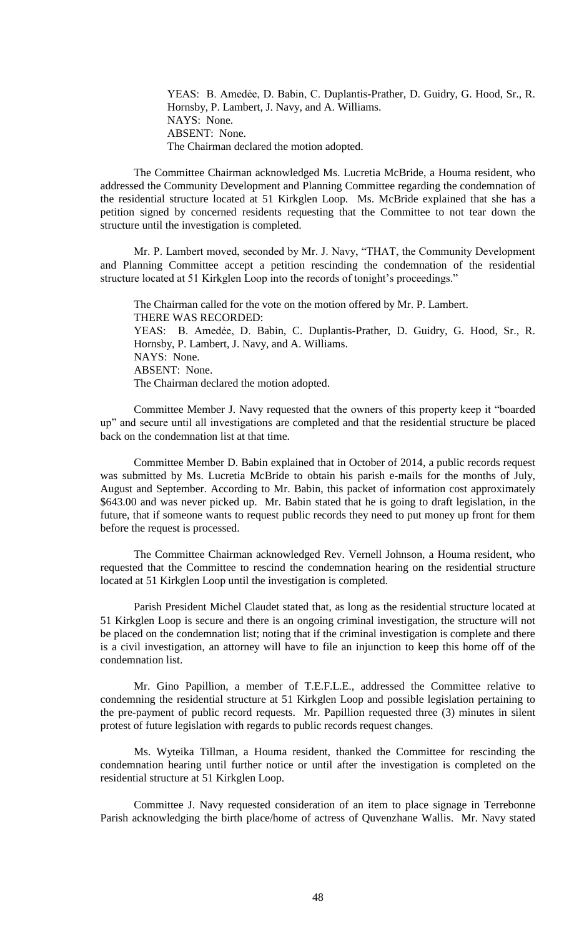YEAS: B. Amedẻe, D. Babin, C. Duplantis-Prather, D. Guidry, G. Hood, Sr., R. Hornsby, P. Lambert, J. Navy, and A. Williams. NAYS: None. ABSENT: None. The Chairman declared the motion adopted.

The Committee Chairman acknowledged Ms. Lucretia McBride, a Houma resident, who addressed the Community Development and Planning Committee regarding the condemnation of the residential structure located at 51 Kirkglen Loop. Ms. McBride explained that she has a petition signed by concerned residents requesting that the Committee to not tear down the structure until the investigation is completed.

Mr. P. Lambert moved, seconded by Mr. J. Navy, "THAT, the Community Development and Planning Committee accept a petition rescinding the condemnation of the residential structure located at 51 Kirkglen Loop into the records of tonight's proceedings."

The Chairman called for the vote on the motion offered by Mr. P. Lambert. THERE WAS RECORDED: YEAS: B. Amedẻe, D. Babin, C. Duplantis-Prather, D. Guidry, G. Hood, Sr., R. Hornsby, P. Lambert, J. Navy, and A. Williams. NAYS: None. ABSENT: None. The Chairman declared the motion adopted.

Committee Member J. Navy requested that the owners of this property keep it "boarded up" and secure until all investigations are completed and that the residential structure be placed back on the condemnation list at that time.

Committee Member D. Babin explained that in October of 2014, a public records request was submitted by Ms. Lucretia McBride to obtain his parish e-mails for the months of July, August and September. According to Mr. Babin, this packet of information cost approximately \$643.00 and was never picked up. Mr. Babin stated that he is going to draft legislation, in the future, that if someone wants to request public records they need to put money up front for them before the request is processed.

The Committee Chairman acknowledged Rev. Vernell Johnson, a Houma resident, who requested that the Committee to rescind the condemnation hearing on the residential structure located at 51 Kirkglen Loop until the investigation is completed.

Parish President Michel Claudet stated that, as long as the residential structure located at 51 Kirkglen Loop is secure and there is an ongoing criminal investigation, the structure will not be placed on the condemnation list; noting that if the criminal investigation is complete and there is a civil investigation, an attorney will have to file an injunction to keep this home off of the condemnation list.

Mr. Gino Papillion, a member of T.E.F.L.E., addressed the Committee relative to condemning the residential structure at 51 Kirkglen Loop and possible legislation pertaining to the pre-payment of public record requests. Mr. Papillion requested three (3) minutes in silent protest of future legislation with regards to public records request changes.

Ms. Wyteika Tillman, a Houma resident, thanked the Committee for rescinding the condemnation hearing until further notice or until after the investigation is completed on the residential structure at 51 Kirkglen Loop.

Committee J. Navy requested consideration of an item to place signage in Terrebonne Parish acknowledging the birth place/home of actress of Quvenzhane Wallis. Mr. Navy stated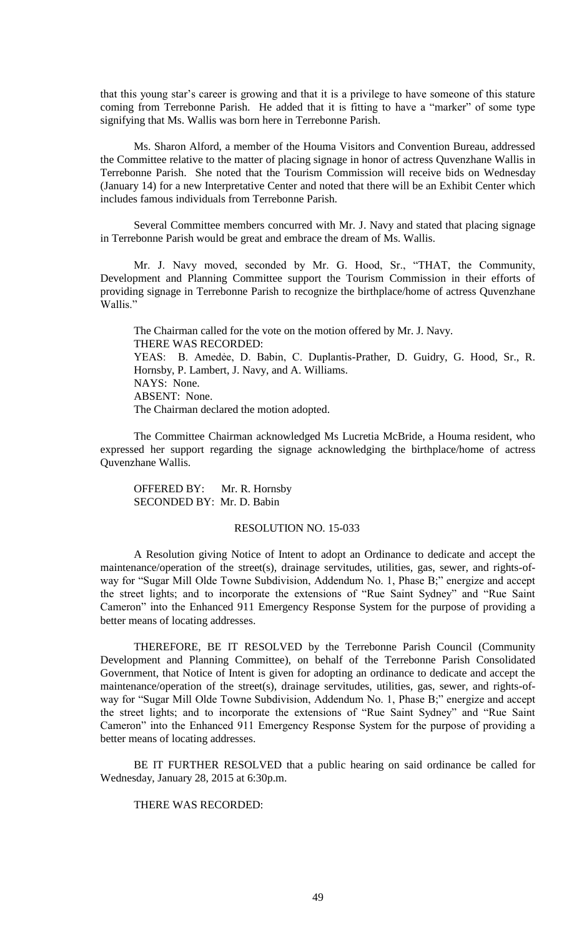that this young star's career is growing and that it is a privilege to have someone of this stature coming from Terrebonne Parish. He added that it is fitting to have a "marker" of some type signifying that Ms. Wallis was born here in Terrebonne Parish.

Ms. Sharon Alford, a member of the Houma Visitors and Convention Bureau, addressed the Committee relative to the matter of placing signage in honor of actress Quvenzhane Wallis in Terrebonne Parish. She noted that the Tourism Commission will receive bids on Wednesday (January 14) for a new Interpretative Center and noted that there will be an Exhibit Center which includes famous individuals from Terrebonne Parish.

Several Committee members concurred with Mr. J. Navy and stated that placing signage in Terrebonne Parish would be great and embrace the dream of Ms. Wallis.

Mr. J. Navy moved, seconded by Mr. G. Hood, Sr., "THAT, the Community, Development and Planning Committee support the Tourism Commission in their efforts of providing signage in Terrebonne Parish to recognize the birthplace/home of actress Quvenzhane Wallis."

The Chairman called for the vote on the motion offered by Mr. J. Navy. THERE WAS RECORDED: YEAS: B. Amedẻe, D. Babin, C. Duplantis-Prather, D. Guidry, G. Hood, Sr., R. Hornsby, P. Lambert, J. Navy, and A. Williams. NAYS: None. ABSENT: None. The Chairman declared the motion adopted.

The Committee Chairman acknowledged Ms Lucretia McBride, a Houma resident, who expressed her support regarding the signage acknowledging the birthplace/home of actress Quvenzhane Wallis.

OFFERED BY: Mr. R. Hornsby SECONDED BY: Mr. D. Babin

# RESOLUTION NO. 15-033

A Resolution giving Notice of Intent to adopt an Ordinance to dedicate and accept the maintenance/operation of the street(s), drainage servitudes, utilities, gas, sewer, and rights-ofway for "Sugar Mill Olde Towne Subdivision, Addendum No. 1, Phase B;" energize and accept the street lights; and to incorporate the extensions of "Rue Saint Sydney" and "Rue Saint Cameron" into the Enhanced 911 Emergency Response System for the purpose of providing a better means of locating addresses.

THEREFORE, BE IT RESOLVED by the Terrebonne Parish Council (Community Development and Planning Committee), on behalf of the Terrebonne Parish Consolidated Government, that Notice of Intent is given for adopting an ordinance to dedicate and accept the maintenance/operation of the street(s), drainage servitudes, utilities, gas, sewer, and rights-ofway for "Sugar Mill Olde Towne Subdivision, Addendum No. 1, Phase B;" energize and accept the street lights; and to incorporate the extensions of "Rue Saint Sydney" and "Rue Saint Cameron" into the Enhanced 911 Emergency Response System for the purpose of providing a better means of locating addresses.

BE IT FURTHER RESOLVED that a public hearing on said ordinance be called for Wednesday, January 28, 2015 at 6:30p.m.

# THERE WAS RECORDED: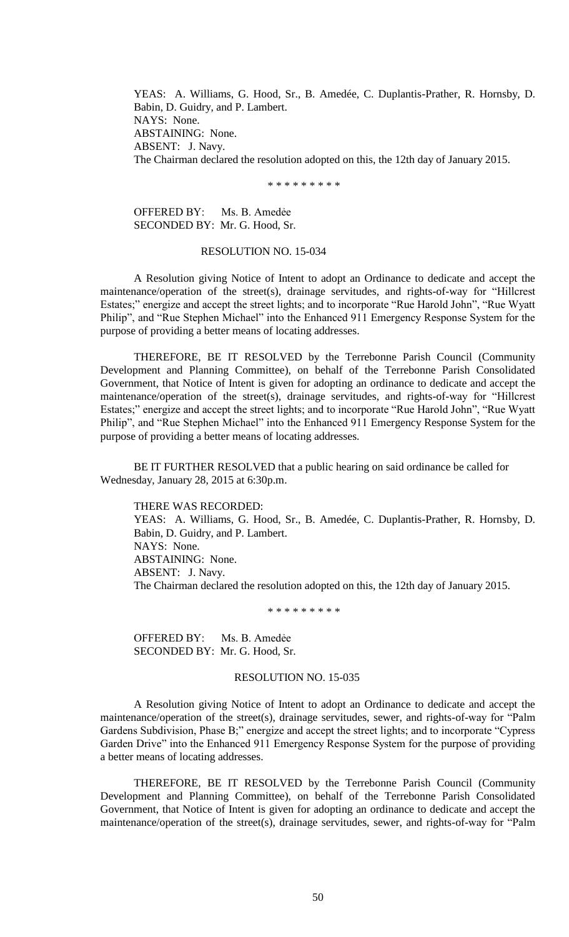YEAS: A. Williams, G. Hood, Sr., B. Amedée, C. Duplantis-Prather, R. Hornsby, D. Babin, D. Guidry, and P. Lambert. NAYS: None. ABSTAINING: None. ABSENT: J. Navy. The Chairman declared the resolution adopted on this, the 12th day of January 2015.

\* \* \* \* \* \* \* \* \*

OFFERED BY: Ms. B. Amedẻe SECONDED BY: Mr. G. Hood, Sr.

## RESOLUTION NO. 15-034

A Resolution giving Notice of Intent to adopt an Ordinance to dedicate and accept the maintenance/operation of the street(s), drainage servitudes, and rights-of-way for "Hillcrest Estates;" energize and accept the street lights; and to incorporate "Rue Harold John", "Rue Wyatt Philip", and "Rue Stephen Michael" into the Enhanced 911 Emergency Response System for the purpose of providing a better means of locating addresses.

THEREFORE, BE IT RESOLVED by the Terrebonne Parish Council (Community Development and Planning Committee), on behalf of the Terrebonne Parish Consolidated Government, that Notice of Intent is given for adopting an ordinance to dedicate and accept the maintenance/operation of the street(s), drainage servitudes, and rights-of-way for "Hillcrest" Estates;" energize and accept the street lights; and to incorporate "Rue Harold John", "Rue Wyatt Philip", and "Rue Stephen Michael" into the Enhanced 911 Emergency Response System for the purpose of providing a better means of locating addresses.

BE IT FURTHER RESOLVED that a public hearing on said ordinance be called for Wednesday, January 28, 2015 at 6:30p.m.

THERE WAS RECORDED: YEAS: A. Williams, G. Hood, Sr., B. Amedée, C. Duplantis-Prather, R. Hornsby, D. Babin, D. Guidry, and P. Lambert. NAYS: None. ABSTAINING: None. ABSENT: J. Navy. The Chairman declared the resolution adopted on this, the 12th day of January 2015.

\* \* \* \* \* \* \* \* \*

OFFERED BY: Ms. B. Amedẻe SECONDED BY: Mr. G. Hood, Sr.

#### RESOLUTION NO. 15-035

A Resolution giving Notice of Intent to adopt an Ordinance to dedicate and accept the maintenance/operation of the street(s), drainage servitudes, sewer, and rights-of-way for "Palm Gardens Subdivision, Phase B;" energize and accept the street lights; and to incorporate "Cypress" Garden Drive" into the Enhanced 911 Emergency Response System for the purpose of providing a better means of locating addresses.

THEREFORE, BE IT RESOLVED by the Terrebonne Parish Council (Community Development and Planning Committee), on behalf of the Terrebonne Parish Consolidated Government, that Notice of Intent is given for adopting an ordinance to dedicate and accept the maintenance/operation of the street(s), drainage servitudes, sewer, and rights-of-way for "Palm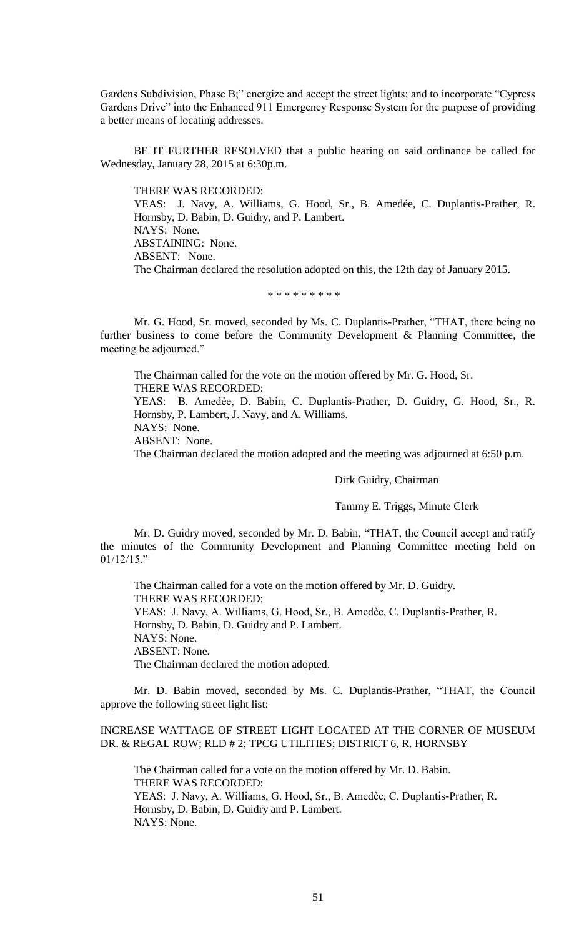Gardens Subdivision, Phase B;" energize and accept the street lights; and to incorporate "Cypress Gardens Drive" into the Enhanced 911 Emergency Response System for the purpose of providing a better means of locating addresses.

BE IT FURTHER RESOLVED that a public hearing on said ordinance be called for Wednesday, January 28, 2015 at 6:30p.m.

THERE WAS RECORDED: YEAS: J. Navy, A. Williams, G. Hood, Sr., B. Amedée, C. Duplantis-Prather, R. Hornsby, D. Babin, D. Guidry, and P. Lambert. NAYS: None. ABSTAINING: None. ABSENT: None. The Chairman declared the resolution adopted on this, the 12th day of January 2015.

#### \* \* \* \* \* \* \* \* \*

Mr. G. Hood, Sr. moved, seconded by Ms. C. Duplantis-Prather, "THAT, there being no further business to come before the Community Development & Planning Committee, the meeting be adjourned."

The Chairman called for the vote on the motion offered by Mr. G. Hood, Sr. THERE WAS RECORDED: YEAS: B. Amedẻe, D. Babin, C. Duplantis-Prather, D. Guidry, G. Hood, Sr., R. Hornsby, P. Lambert, J. Navy, and A. Williams. NAYS: None. ABSENT: None. The Chairman declared the motion adopted and the meeting was adjourned at 6:50 p.m.

## Dirk Guidry, Chairman

#### Tammy E. Triggs, Minute Clerk

Mr. D. Guidry moved, seconded by Mr. D. Babin, "THAT, the Council accept and ratify the minutes of the Community Development and Planning Committee meeting held on  $01/12/15$ ."

The Chairman called for a vote on the motion offered by Mr. D. Guidry. THERE WAS RECORDED: YEAS: J. Navy, A. Williams, G. Hood, Sr., B. Amedèe, C. Duplantis-Prather, R. Hornsby, D. Babin, D. Guidry and P. Lambert. NAYS: None. ABSENT: None. The Chairman declared the motion adopted.

Mr. D. Babin moved, seconded by Ms. C. Duplantis-Prather, "THAT, the Council approve the following street light list:

# INCREASE WATTAGE OF STREET LIGHT LOCATED AT THE CORNER OF MUSEUM DR. & REGAL ROW; RLD # 2; TPCG UTILITIES; DISTRICT 6, R. HORNSBY

The Chairman called for a vote on the motion offered by Mr. D. Babin. THERE WAS RECORDED: YEAS: J. Navy, A. Williams, G. Hood, Sr., B. Amedèe, C. Duplantis-Prather, R. Hornsby, D. Babin, D. Guidry and P. Lambert. NAYS: None.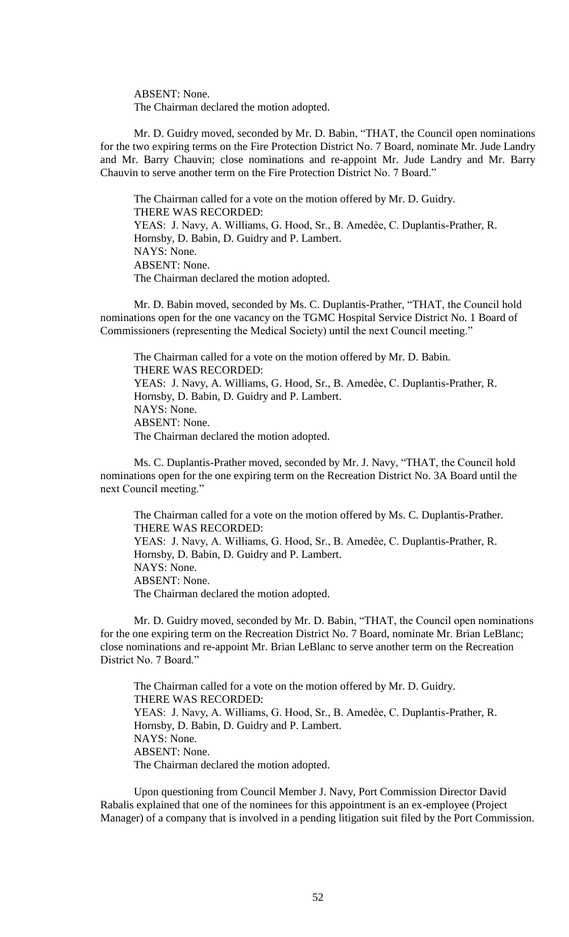ABSENT: None. The Chairman declared the motion adopted.

Mr. D. Guidry moved, seconded by Mr. D. Babin, "THAT, the Council open nominations for the two expiring terms on the Fire Protection District No. 7 Board, nominate Mr. Jude Landry and Mr. Barry Chauvin; close nominations and re-appoint Mr. Jude Landry and Mr. Barry Chauvin to serve another term on the Fire Protection District No. 7 Board."

The Chairman called for a vote on the motion offered by Mr. D. Guidry. THERE WAS RECORDED: YEAS: J. Navy, A. Williams, G. Hood, Sr., B. Amedèe, C. Duplantis-Prather, R. Hornsby, D. Babin, D. Guidry and P. Lambert. NAYS: None. ABSENT: None. The Chairman declared the motion adopted.

Mr. D. Babin moved, seconded by Ms. C. Duplantis-Prather, "THAT, the Council hold nominations open for the one vacancy on the TGMC Hospital Service District No. 1 Board of Commissioners (representing the Medical Society) until the next Council meeting."

The Chairman called for a vote on the motion offered by Mr. D. Babin. THERE WAS RECORDED: YEAS: J. Navy, A. Williams, G. Hood, Sr., B. Amedèe, C. Duplantis-Prather, R. Hornsby, D. Babin, D. Guidry and P. Lambert. NAYS: None. ABSENT: None. The Chairman declared the motion adopted.

Ms. C. Duplantis-Prather moved, seconded by Mr. J. Navy, "THAT, the Council hold nominations open for the one expiring term on the Recreation District No. 3A Board until the next Council meeting."

The Chairman called for a vote on the motion offered by Ms. C. Duplantis-Prather. THERE WAS RECORDED: YEAS: J. Navy, A. Williams, G. Hood, Sr., B. Amedèe, C. Duplantis-Prather, R. Hornsby, D. Babin, D. Guidry and P. Lambert. NAYS: None. ABSENT: None. The Chairman declared the motion adopted.

Mr. D. Guidry moved, seconded by Mr. D. Babin, "THAT, the Council open nominations for the one expiring term on the Recreation District No. 7 Board, nominate Mr. Brian LeBlanc; close nominations and re-appoint Mr. Brian LeBlanc to serve another term on the Recreation District No. 7 Board."

The Chairman called for a vote on the motion offered by Mr. D. Guidry. THERE WAS RECORDED: YEAS: J. Navy, A. Williams, G. Hood, Sr., B. Amedèe, C. Duplantis-Prather, R. Hornsby, D. Babin, D. Guidry and P. Lambert. NAYS: None. ABSENT: None. The Chairman declared the motion adopted.

Upon questioning from Council Member J. Navy, Port Commission Director David Rabalis explained that one of the nominees for this appointment is an ex-employee (Project Manager) of a company that is involved in a pending litigation suit filed by the Port Commission.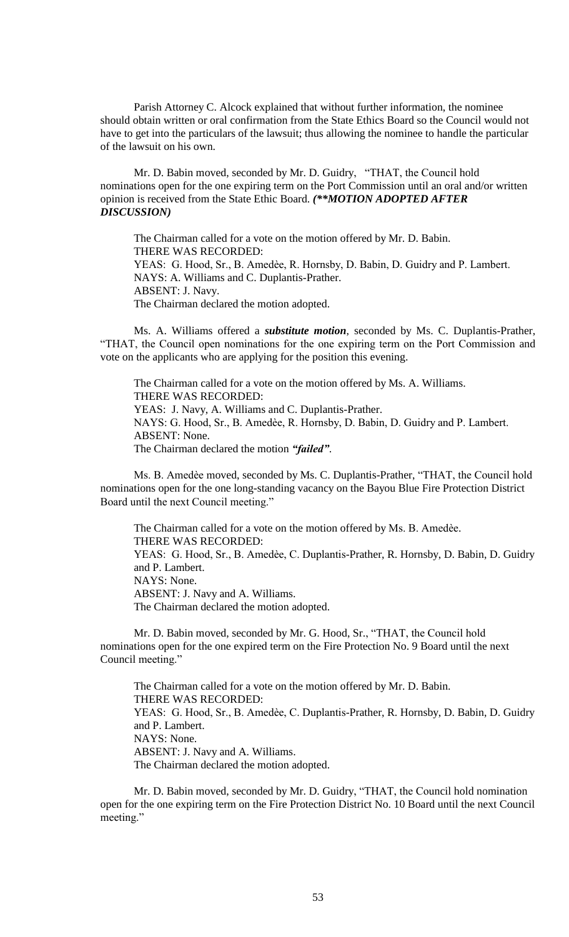Parish Attorney C. Alcock explained that without further information, the nominee should obtain written or oral confirmation from the State Ethics Board so the Council would not have to get into the particulars of the lawsuit; thus allowing the nominee to handle the particular of the lawsuit on his own.

Mr. D. Babin moved, seconded by Mr. D. Guidry, "THAT, the Council hold nominations open for the one expiring term on the Port Commission until an oral and/or written opinion is received from the State Ethic Board. *(\*\*MOTION ADOPTED AFTER DISCUSSION)*

The Chairman called for a vote on the motion offered by Mr. D. Babin. THERE WAS RECORDED: YEAS: G. Hood, Sr., B. Amedèe, R. Hornsby, D. Babin, D. Guidry and P. Lambert. NAYS: A. Williams and C. Duplantis-Prather. ABSENT: J. Navy. The Chairman declared the motion adopted.

Ms. A. Williams offered a *substitute motion*, seconded by Ms. C. Duplantis-Prather, "THAT, the Council open nominations for the one expiring term on the Port Commission and vote on the applicants who are applying for the position this evening.

The Chairman called for a vote on the motion offered by Ms. A. Williams. THERE WAS RECORDED: YEAS: J. Navy, A. Williams and C. Duplantis-Prather. NAYS: G. Hood, Sr., B. Amedѐe, R. Hornsby, D. Babin, D. Guidry and P. Lambert. ABSENT: None. The Chairman declared the motion *"failed"*.

Ms. B. Amedѐe moved, seconded by Ms. C. Duplantis-Prather, "THAT, the Council hold nominations open for the one long-standing vacancy on the Bayou Blue Fire Protection District Board until the next Council meeting."

The Chairman called for a vote on the motion offered by Ms. B. Amedèe. THERE WAS RECORDED: YEAS: G. Hood, Sr., B. Amedèe, C. Duplantis-Prather, R. Hornsby, D. Babin, D. Guidry and P. Lambert. NAYS: None. ABSENT: J. Navy and A. Williams. The Chairman declared the motion adopted.

Mr. D. Babin moved, seconded by Mr. G. Hood, Sr., "THAT, the Council hold nominations open for the one expired term on the Fire Protection No. 9 Board until the next Council meeting."

The Chairman called for a vote on the motion offered by Mr. D. Babin. THERE WAS RECORDED: YEAS: G. Hood, Sr., B. Amedèe, C. Duplantis-Prather, R. Hornsby, D. Babin, D. Guidry and P. Lambert. NAYS: None. ABSENT: J. Navy and A. Williams. The Chairman declared the motion adopted.

Mr. D. Babin moved, seconded by Mr. D. Guidry, "THAT, the Council hold nomination open for the one expiring term on the Fire Protection District No. 10 Board until the next Council meeting."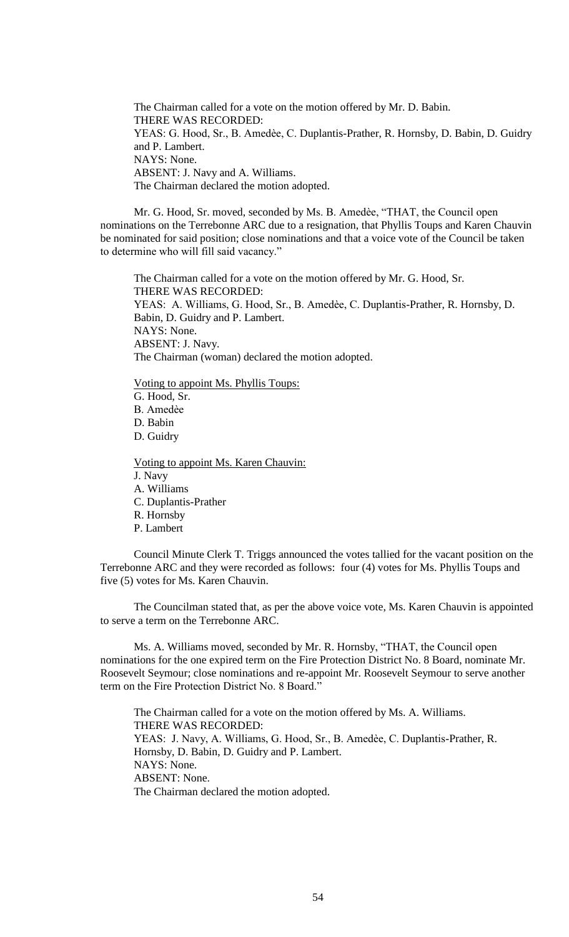The Chairman called for a vote on the motion offered by Mr. D. Babin. THERE WAS RECORDED: YEAS: G. Hood, Sr., B. Amedèe, C. Duplantis-Prather, R. Hornsby, D. Babin, D. Guidry and P. Lambert. NAYS: None. ABSENT: J. Navy and A. Williams. The Chairman declared the motion adopted.

Mr. G. Hood, Sr. moved, seconded by Ms. B. Amedèe, "THAT, the Council open nominations on the Terrebonne ARC due to a resignation, that Phyllis Toups and Karen Chauvin be nominated for said position; close nominations and that a voice vote of the Council be taken to determine who will fill said vacancy."

The Chairman called for a vote on the motion offered by Mr. G. Hood, Sr. THERE WAS RECORDED: YEAS: A. Williams, G. Hood, Sr., B. Amedèe, C. Duplantis-Prather, R. Hornsby, D. Babin, D. Guidry and P. Lambert. NAYS: None. ABSENT: J. Navy. The Chairman (woman) declared the motion adopted.

Voting to appoint Ms. Phyllis Toups:

G. Hood, Sr. B. Amedѐe D. Babin

D. Guidry

Voting to appoint Ms. Karen Chauvin: J. Navy A. Williams C. Duplantis-Prather R. Hornsby P. Lambert

Council Minute Clerk T. Triggs announced the votes tallied for the vacant position on the Terrebonne ARC and they were recorded as follows: four (4) votes for Ms. Phyllis Toups and five (5) votes for Ms. Karen Chauvin.

The Councilman stated that, as per the above voice vote, Ms. Karen Chauvin is appointed to serve a term on the Terrebonne ARC.

Ms. A. Williams moved, seconded by Mr. R. Hornsby, "THAT, the Council open nominations for the one expired term on the Fire Protection District No. 8 Board, nominate Mr. Roosevelt Seymour; close nominations and re-appoint Mr. Roosevelt Seymour to serve another term on the Fire Protection District No. 8 Board."

The Chairman called for a vote on the motion offered by Ms. A. Williams. THERE WAS RECORDED: YEAS: J. Navy, A. Williams, G. Hood, Sr., B. Amedèe, C. Duplantis-Prather, R. Hornsby, D. Babin, D. Guidry and P. Lambert. NAYS: None. ABSENT: None. The Chairman declared the motion adopted.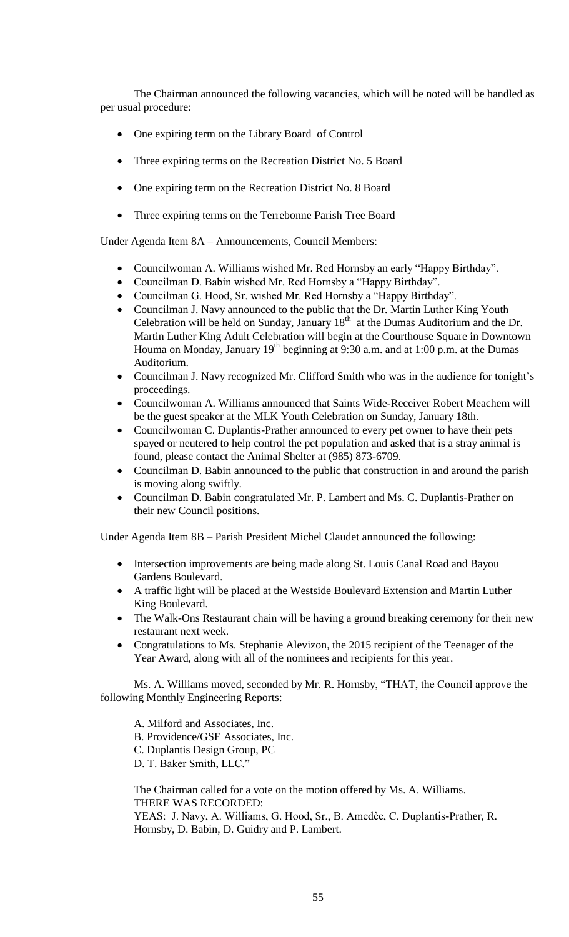The Chairman announced the following vacancies, which will he noted will be handled as per usual procedure:

- One expiring term on the Library Board of Control
- Three expiring terms on the Recreation District No. 5 Board
- One expiring term on the Recreation District No. 8 Board
- Three expiring terms on the Terrebonne Parish Tree Board

Under Agenda Item 8A – Announcements, Council Members:

- Councilwoman A. Williams wished Mr. Red Hornsby an early "Happy Birthday".
- Councilman D. Babin wished Mr. Red Hornsby a "Happy Birthday".
- Councilman G. Hood, Sr. wished Mr. Red Hornsby a "Happy Birthday".
- Councilman J. Navy announced to the public that the Dr. Martin Luther King Youth Celebration will be held on Sunday, January  $18<sup>th</sup>$  at the Dumas Auditorium and the Dr. Martin Luther King Adult Celebration will begin at the Courthouse Square in Downtown Houma on Monday, January  $19<sup>th</sup>$  beginning at 9:30 a.m. and at 1:00 p.m. at the Dumas Auditorium.
- Councilman J. Navy recognized Mr. Clifford Smith who was in the audience for tonight's proceedings.
- Councilwoman A. Williams announced that Saints Wide-Receiver Robert Meachem will be the guest speaker at the MLK Youth Celebration on Sunday, January 18th.
- Councilwoman C. Duplantis-Prather announced to every pet owner to have their pets spayed or neutered to help control the pet population and asked that is a stray animal is found, please contact the Animal Shelter at (985) 873-6709.
- Councilman D. Babin announced to the public that construction in and around the parish is moving along swiftly.
- Councilman D. Babin congratulated Mr. P. Lambert and Ms. C. Duplantis-Prather on their new Council positions.

Under Agenda Item 8B – Parish President Michel Claudet announced the following:

- Intersection improvements are being made along St. Louis Canal Road and Bayou Gardens Boulevard.
- A traffic light will be placed at the Westside Boulevard Extension and Martin Luther King Boulevard.
- The Walk-Ons Restaurant chain will be having a ground breaking ceremony for their new restaurant next week.
- Congratulations to Ms. Stephanie Alevizon, the 2015 recipient of the Teenager of the Year Award, along with all of the nominees and recipients for this year.

Ms. A. Williams moved, seconded by Mr. R. Hornsby, "THAT, the Council approve the following Monthly Engineering Reports:

A. Milford and Associates, Inc. B. Providence/GSE Associates, Inc. C. Duplantis Design Group, PC D. T. Baker Smith, LLC."

The Chairman called for a vote on the motion offered by Ms. A. Williams. THERE WAS RECORDED:

YEAS: J. Navy, A. Williams, G. Hood, Sr., B. Amedèe, C. Duplantis-Prather, R. Hornsby, D. Babin, D. Guidry and P. Lambert.